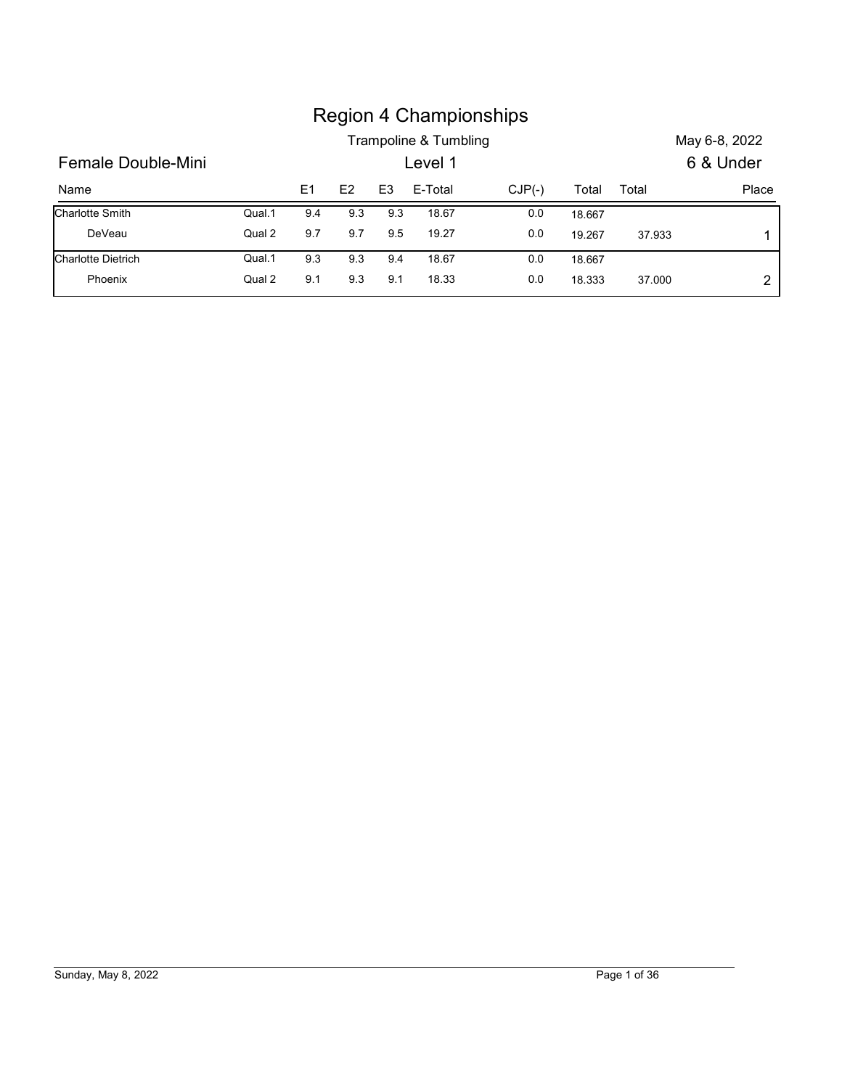|                    |        |                |     |                | <b>Region 4 Championships</b> |          |        |        |               |
|--------------------|--------|----------------|-----|----------------|-------------------------------|----------|--------|--------|---------------|
|                    |        |                |     |                | Trampoline & Tumbling         |          |        |        | May 6-8, 2022 |
| Female Double-Mini |        |                |     |                | Level 1                       |          |        |        | 6 & Under     |
| Name               |        | E <sub>1</sub> | E2  | E <sub>3</sub> | E-Total                       | $CJP(-)$ | Total  | Total  |               |
| Charlotte Smith    | Qual.1 | 9.4            | 9.3 | 9.3            | 18.67                         | 0.0      | 18.667 |        | Place         |
| DeVeau             | Qual 2 | 9.7            | 9.7 | 9.5            | 19.27                         | 0.0      | 19.267 | 37.933 | 1             |
| Charlotte Dietrich | Qual.1 | 9.3            | 9.3 | 9.4            | 18.67                         | 0.0      | 18.667 |        |               |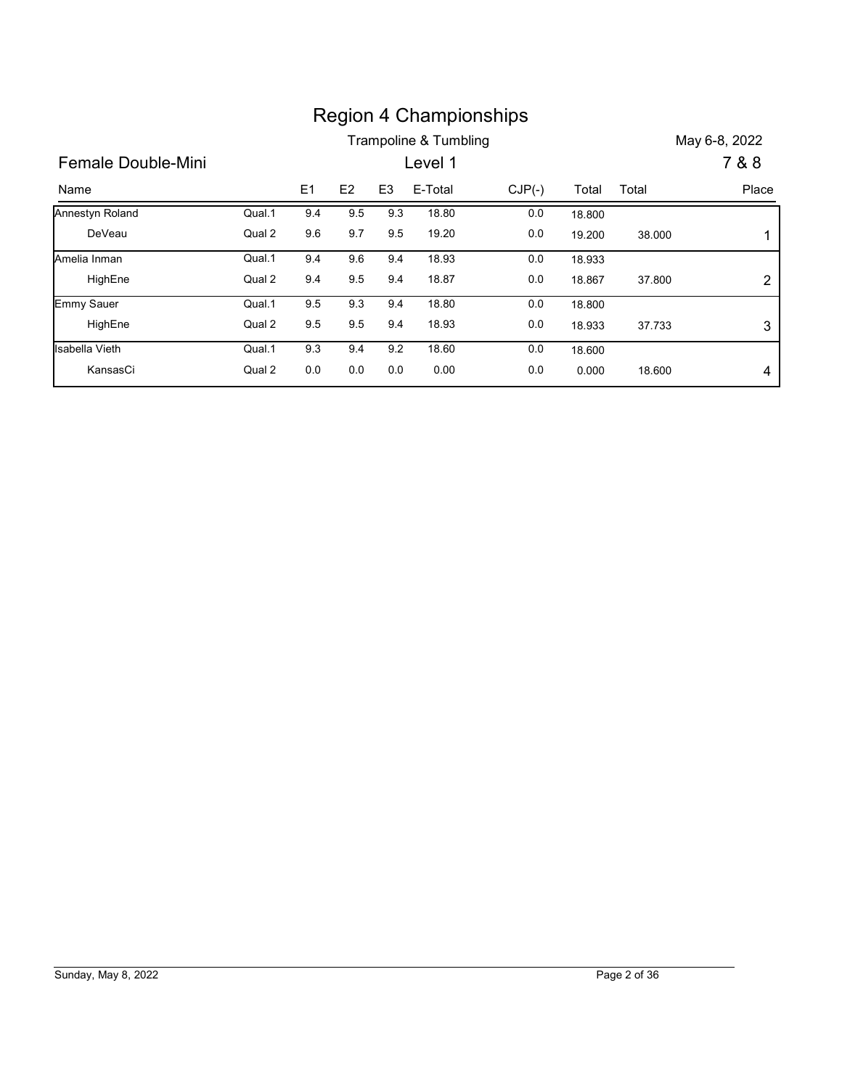|                    |        |     |                |                | <b>Region 4 Championships</b> |          |        |        |                |
|--------------------|--------|-----|----------------|----------------|-------------------------------|----------|--------|--------|----------------|
|                    |        |     |                |                | Trampoline & Tumbling         |          |        |        | May 6-8, 2022  |
| Female Double-Mini |        |     |                |                | Level 1                       |          |        |        | 7 & 8          |
| Name               |        | E1  | E <sub>2</sub> | E <sub>3</sub> | E-Total                       | $CJP(-)$ | Total  | Total  | Place          |
| Annestyn Roland    | Qual.1 | 9.4 | 9.5            | 9.3            | 18.80                         | 0.0      | 18.800 |        |                |
| DeVeau             | Qual 2 | 9.6 | 9.7            | 9.5            | 19.20                         | 0.0      | 19.200 | 38.000 | -1             |
| Amelia Inman       | Qual.1 | 9.4 | 9.6            | 9.4            | 18.93                         | $0.0\,$  | 18.933 |        |                |
| HighEne            | Qual 2 | 9.4 | 9.5            | 9.4            | 18.87                         | 0.0      | 18.867 | 37.800 | $\overline{c}$ |
| Emmy Sauer         | Qual.1 | 9.5 | 9.3            | 9.4            | 18.80                         | 0.0      | 18.800 |        |                |
| HighEne            | Qual 2 | 9.5 | 9.5            | 9.4            | 18.93                         | $0.0\,$  | 18.933 | 37.733 | $\sqrt{3}$     |
| Isabella Vieth     | Qual.1 | 9.3 | 9.4            | 9.2            | 18.60                         | 0.0      | 18.600 |        |                |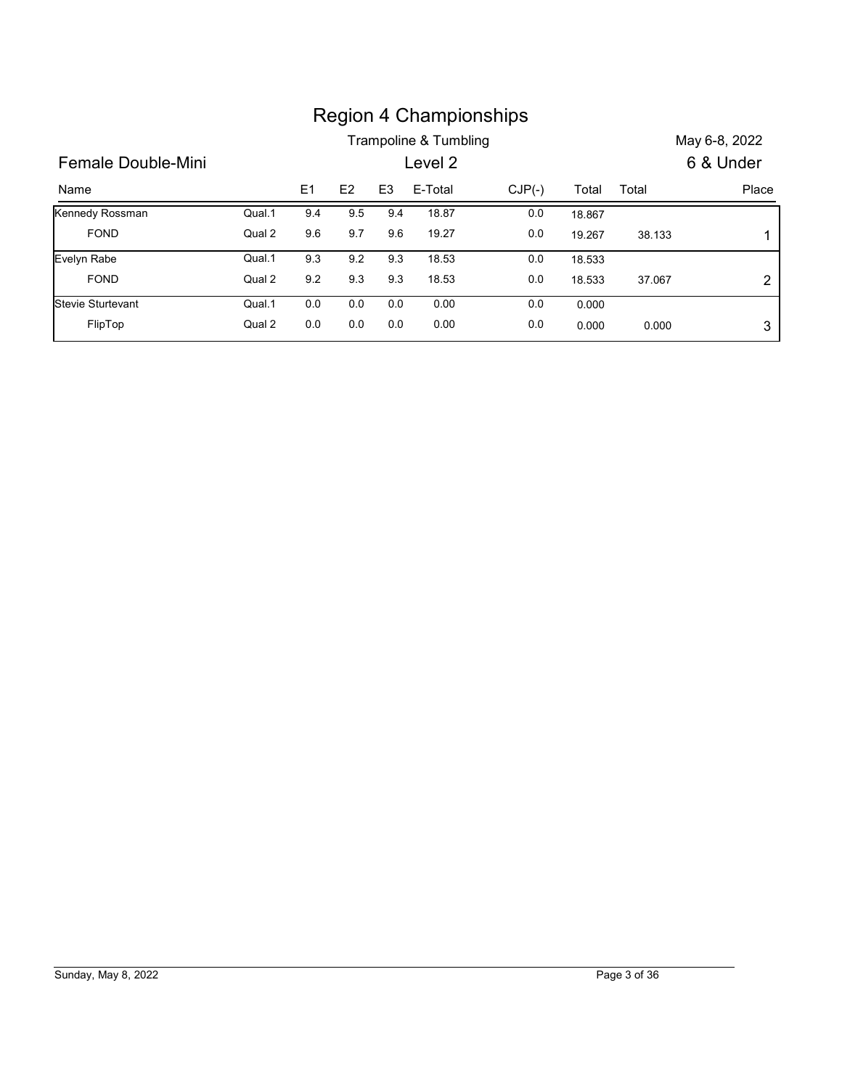|                    |        |                |                |                |                       | <b>Region 4 Championships</b> |        |        |                |
|--------------------|--------|----------------|----------------|----------------|-----------------------|-------------------------------|--------|--------|----------------|
|                    |        |                |                |                | Trampoline & Tumbling |                               |        |        | May 6-8, 2022  |
| Female Double-Mini |        |                |                |                | Level 2               |                               |        |        | 6 & Under      |
| Name               |        | E <sub>1</sub> | E <sub>2</sub> | E <sub>3</sub> | E-Total               | $CJP(-)$                      | Total  | Total  | Place          |
| Kennedy Rossman    | Qual.1 | 9.4            | 9.5            | 9.4            | 18.87                 | $0.0\,$                       | 18.867 |        |                |
| <b>FOND</b>        | Qual 2 | 9.6            | 9.7            | 9.6            | 19.27                 | 0.0                           | 19.267 | 38.133 | 1              |
| Evelyn Rabe        | Qual.1 | 9.3            | 9.2            | 9.3            | 18.53                 | $0.0\,$                       | 18.533 |        |                |
| <b>FOND</b>        | Qual 2 | $9.2\,$        | 9.3            | 9.3            | 18.53                 | 0.0                           | 18.533 | 37.067 | $\overline{2}$ |
| Stevie Sturtevant  | Qual.1 | 0.0            | $0.0\,$        | $0.0\,$        | 0.00                  | 0.0                           | 0.000  |        |                |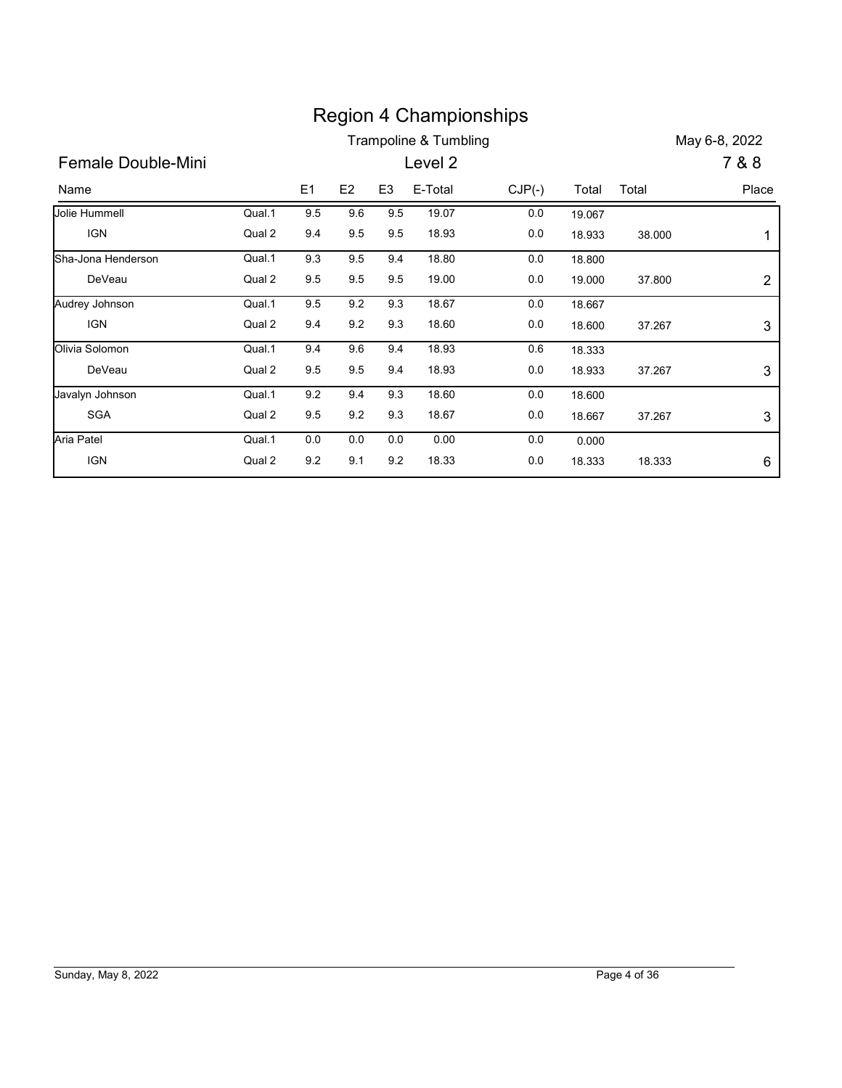|                    |        |         |     |                | <b>Region 4 Championships</b> |          |        |        |                |
|--------------------|--------|---------|-----|----------------|-------------------------------|----------|--------|--------|----------------|
|                    |        |         |     |                | Trampoline & Tumbling         |          |        |        | May 6-8, 2022  |
| Female Double-Mini |        |         |     |                | Level 2                       |          |        |        | 7 & 8          |
| Name               |        | E1      | E2  | E <sub>3</sub> | E-Total                       | $CJP(-)$ | Total  | Total  | Place          |
| Jolie Hummell      | Qual.1 | 9.5     | 9.6 | 9.5            | 19.07                         | $0.0\,$  | 19.067 |        |                |
| <b>IGN</b>         | Qual 2 | 9.4     | 9.5 | 9.5            | 18.93                         | $0.0\,$  | 18.933 | 38.000 | 1              |
| Sha-Jona Henderson | Qual.1 | 9.3     | 9.5 | 9.4            | 18.80                         | 0.0      | 18.800 |        |                |
| DeVeau             | Qual 2 | 9.5     | 9.5 | 9.5            | 19.00                         | 0.0      | 19.000 | 37.800 | $\overline{2}$ |
| Audrey Johnson     | Qual.1 | 9.5     | 9.2 | 9.3            | 18.67                         | 0.0      | 18.667 |        |                |
| IGN                | Qual 2 | 9.4     | 9.2 | 9.3            | 18.60                         | $0.0\,$  | 18.600 | 37.267 | $\sqrt{3}$     |
| Olivia Solomon     | Qual.1 | 9.4     | 9.6 | 9.4            | 18.93                         | 0.6      | 18.333 |        |                |
| DeVeau             | Qual 2 | $9.5\,$ | 9.5 | 9.4            | 18.93                         | $0.0\,$  | 18.933 | 37.267 | $\sqrt{3}$     |
|                    | Qual.1 | 9.2     | 9.4 | 9.3            | 18.60                         | 0.0      | 18.600 |        |                |
| Javalyn Johnson    |        |         |     |                |                               |          |        | 37.267 |                |
| SGA                | Qual 2 | $9.5\,$ | 9.2 | 9.3            | 18.67                         | $0.0\,$  | 18.667 |        | 3              |
| Aria Patel         | Qual.1 | 0.0     | 0.0 | 0.0            | 0.00                          | 0.0      | 0.000  |        |                |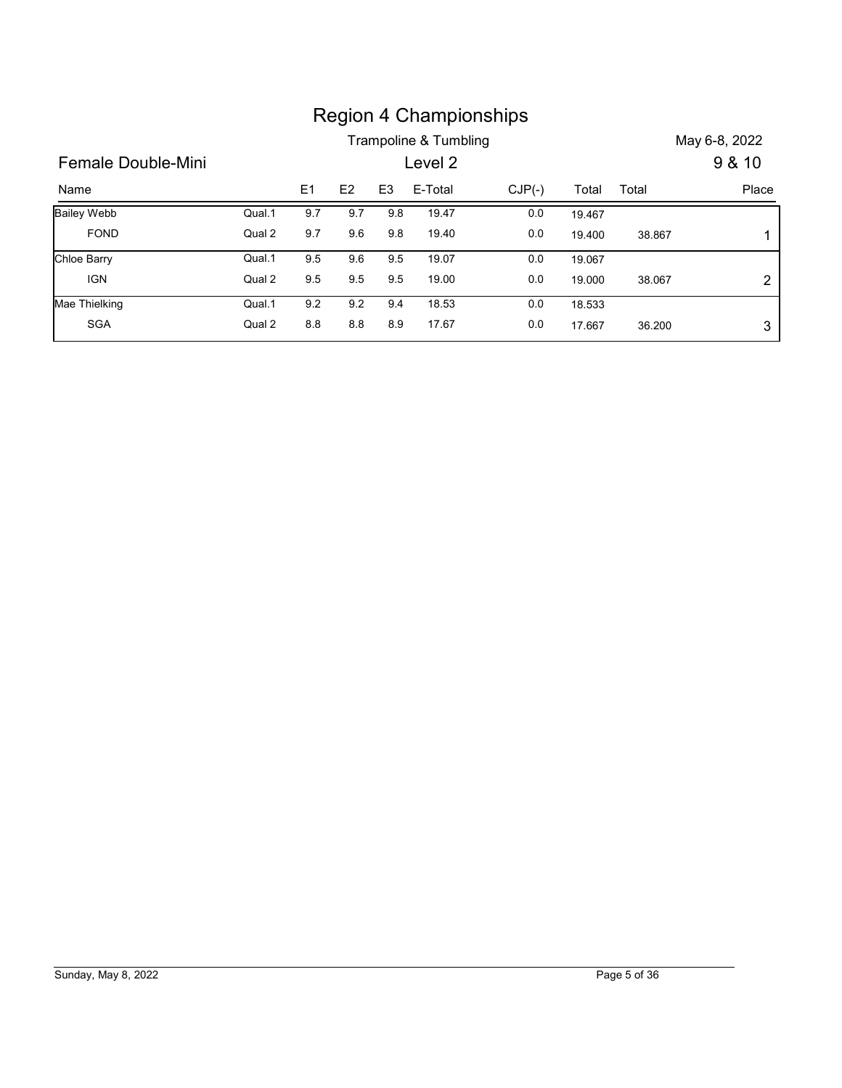| <b>Region 4 Championships</b>                                                                   |
|-------------------------------------------------------------------------------------------------|
| Trampoline & Tumbling<br>May 6-8, 2022                                                          |
| Female Double-Mini<br>Level 2<br>9 & 10                                                         |
| E1<br>E <sub>3</sub><br>E2<br>E-Total<br>$CJP(-)$<br>Place<br>Total<br>Total<br>Name            |
| <b>Bailey Webb</b><br>Qual.1<br>9.7<br>9.7<br>9.8<br>19.47<br>0.0<br>19.467                     |
| Qual 2<br>19.40<br><b>FOND</b><br>9.7<br>9.6<br>9.8<br>0.0<br>19.400<br>38.867<br>1             |
|                                                                                                 |
| <b>Chloe Barry</b><br>Qual.1<br>9.5<br>9.6<br>9.5<br>19.07<br>0.0<br>19.067                     |
| <b>IGN</b><br>Qual 2<br>19.00<br>9.5<br>9.5<br>9.5<br>0.0<br>19.000<br>38.067<br>$\overline{c}$ |
| Mae Thielking<br>Qual.1<br>9.2<br>9.2<br>9.4<br>18.53<br>0.0<br>18.533                          |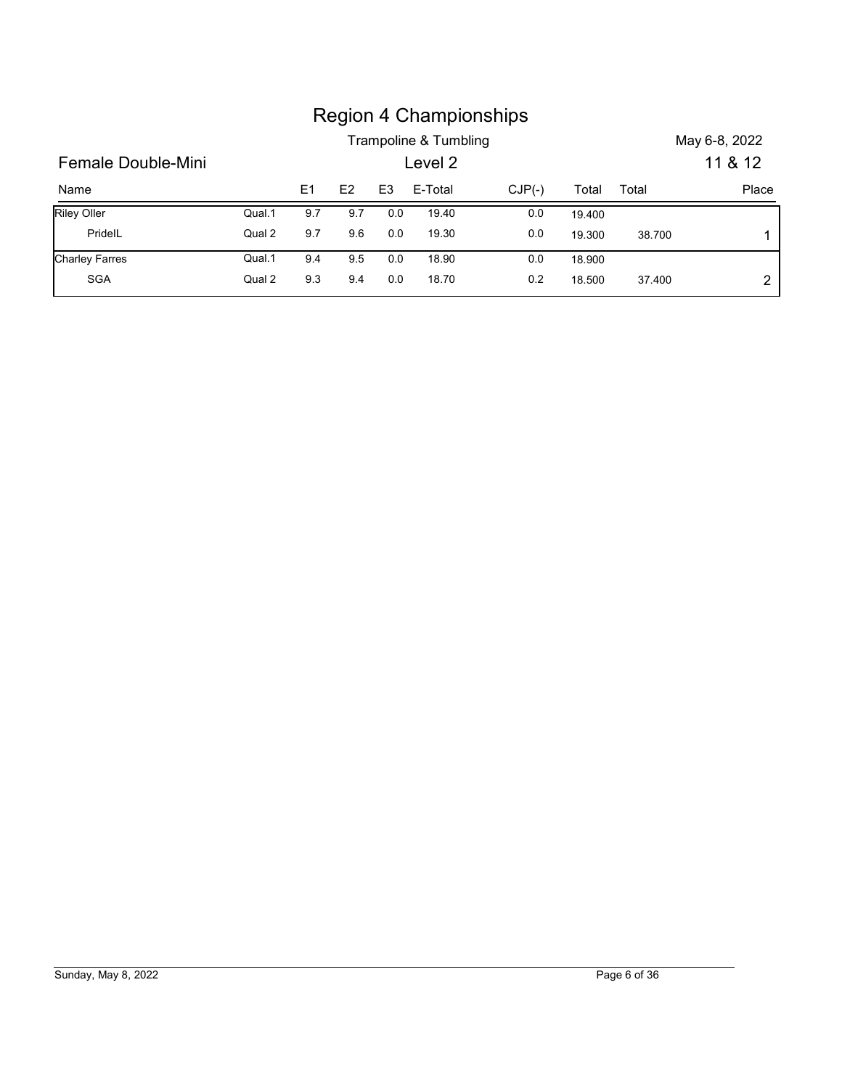|                       |        |     |     |                |                       | <b>Region 4 Championships</b> |        |        |               |
|-----------------------|--------|-----|-----|----------------|-----------------------|-------------------------------|--------|--------|---------------|
|                       |        |     |     |                | Trampoline & Tumbling |                               |        |        | May 6-8, 2022 |
| Female Double-Mini    |        |     |     |                | Level 2               |                               |        |        | 11 & 12       |
| Name                  |        | E1  | E2  | E <sub>3</sub> | E-Total               | $CJP(-)$                      | Total  | Total  | Place         |
| Riley Oller           | Qual.1 | 9.7 | 9.7 | 0.0            | 19.40                 | $0.0\,$                       | 19.400 |        |               |
| PridelL               | Qual 2 | 9.7 | 9.6 | 0.0            | 19.30                 | $0.0\,$                       | 19.300 | 38.700 | 1             |
| <b>Charley Farres</b> | Qual.1 | 9.4 | 9.5 | 0.0            | 18.90                 | 0.0                           | 18.900 |        |               |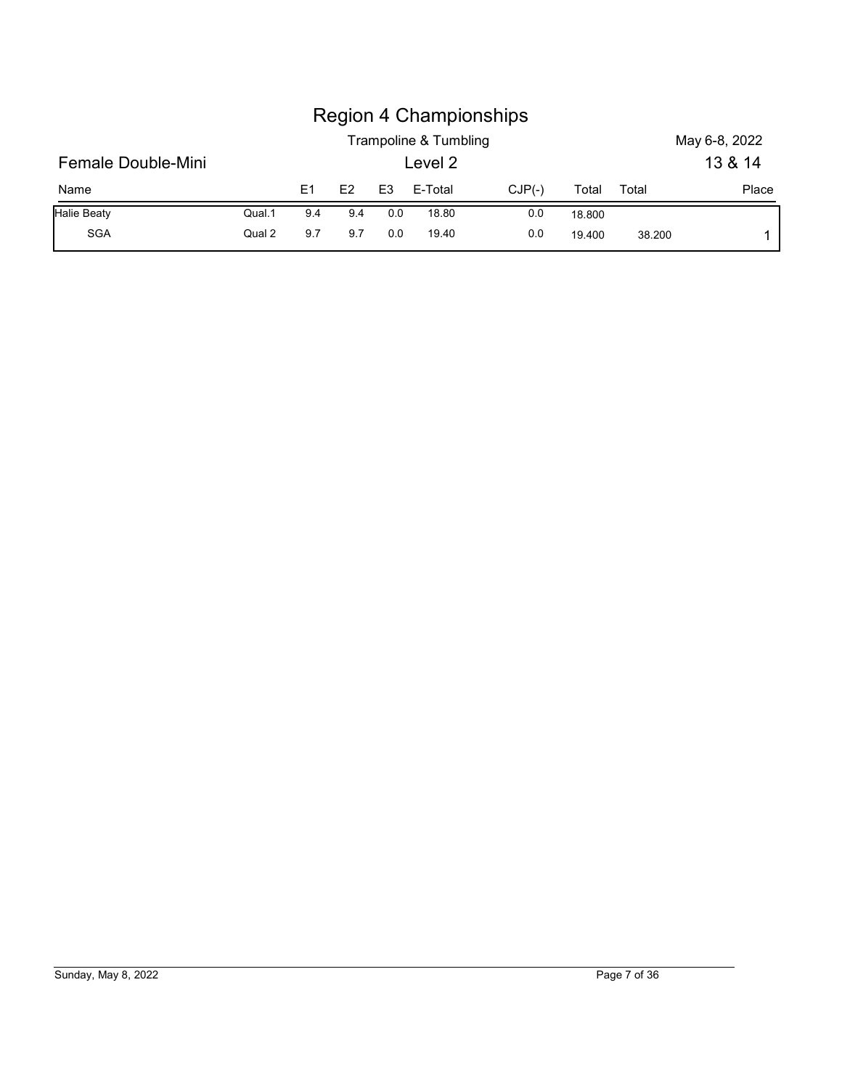|                    |        |     |     |                |                       | <b>Region 4 Championships</b> |        |       |               |
|--------------------|--------|-----|-----|----------------|-----------------------|-------------------------------|--------|-------|---------------|
|                    |        |     |     |                | Trampoline & Tumbling |                               |        |       | May 6-8, 2022 |
| Female Double-Mini |        |     |     |                | Level 2               |                               |        |       | 13 & 14       |
| Name               |        | E1  | E2  | E <sub>3</sub> | E-Total               | $CJP(-)$                      | Total  | Total | Place         |
| <b>Halie Beaty</b> | Qual.1 | 9.4 | 9.4 | 0.0            | 18.80                 | 0.0                           | 18.800 |       |               |

# Sunday, May 8, 2022 Page 7 of 36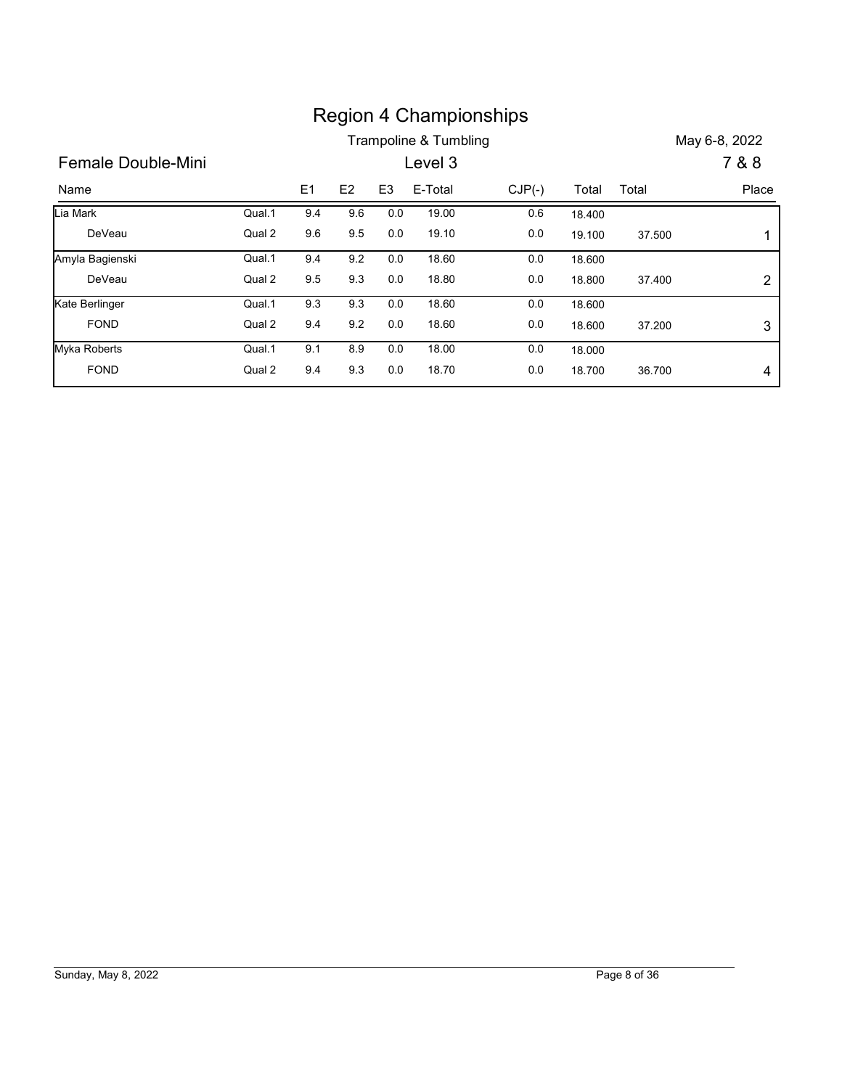|                    |        |     |                |                | <b>Region 4 Championships</b>    |          |        |        |                        |
|--------------------|--------|-----|----------------|----------------|----------------------------------|----------|--------|--------|------------------------|
| Female Double-Mini |        |     |                |                | Trampoline & Tumbling<br>Level 3 |          |        |        | May 6-8, 2022<br>7 & 8 |
| Name               |        | E1  | E <sub>2</sub> | E <sub>3</sub> | E-Total                          | $CJP(-)$ | Total  | Total  | Place                  |
| Lia Mark           | Qual.1 | 9.4 | 9.6            | 0.0            | 19.00                            | 0.6      | 18.400 |        |                        |
| DeVeau             | Qual 2 | 9.6 | 9.5            | 0.0            | 19.10                            | 0.0      | 19.100 | 37.500 | -1                     |
| Amyla Bagienski    | Qual.1 | 9.4 | 9.2            | $0.0\,$        | 18.60                            | $0.0\,$  | 18.600 |        |                        |
| DeVeau             | Qual 2 | 9.5 | 9.3            | 0.0            | 18.80                            | 0.0      | 18.800 | 37.400 | $\overline{2}$         |
| Kate Berlinger     | Qual.1 | 9.3 | 9.3            | 0.0            | 18.60                            | 0.0      | 18.600 |        |                        |
| <b>FOND</b>        | Qual 2 | 9.4 | 9.2            | 0.0            | 18.60                            | $0.0\,$  | 18.600 | 37.200 | $\sqrt{3}$             |
| Myka Roberts       | Qual.1 | 9.1 | 8.9            | 0.0            | 18.00                            | 0.0      | 18.000 |        |                        |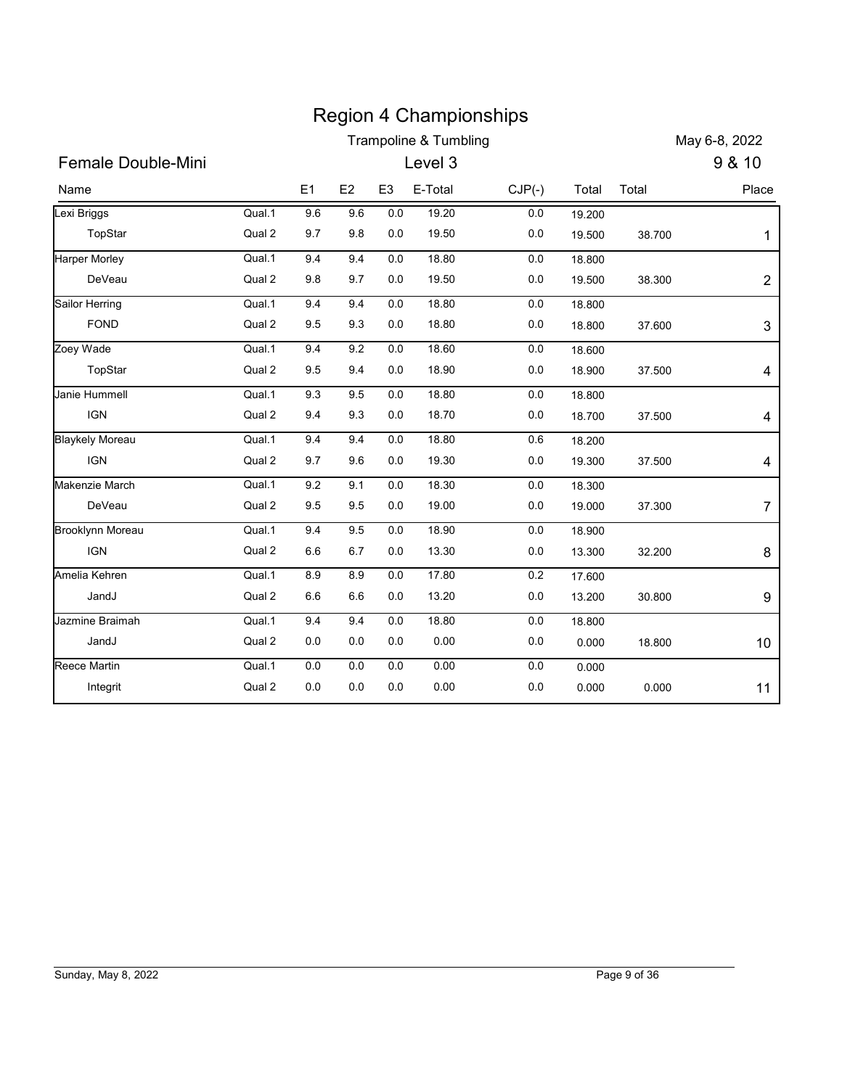|                                |                  |                |            |                    | <b>Region 4 Championships</b> |            |                  |        |                           |
|--------------------------------|------------------|----------------|------------|--------------------|-------------------------------|------------|------------------|--------|---------------------------|
|                                |                  |                |            |                    | Trampoline & Tumbling         |            |                  |        | May 6-8, 2022             |
| Female Double-Mini             |                  |                |            |                    | Level 3                       |            |                  |        | 9 & 10                    |
| Name                           |                  | E <sub>1</sub> | E2         | E <sub>3</sub>     | E-Total                       | $CJP(-)$   | Total            | Total  | Place                     |
| Lexi Briggs                    | Qual.1           | 9.6            | 9.6        | 0.0                | 19.20                         | $0.0\,$    | 19.200           |        |                           |
| TopStar                        | Qual 2           | 9.7            | 9.8        | $0.0\,$            | 19.50                         | $0.0\,$    | 19.500           | 38.700 | -1                        |
| <b>Harper Morley</b><br>DeVeau | Qual.1<br>Qual 2 | 9.4<br>9.8     | 9.4<br>9.7 | $0.0\,$<br>$0.0\,$ | 18.80<br>19.50                | 0.0<br>0.0 | 18.800<br>19.500 | 38.300 |                           |
| Sailor Herring                 | Qual.1           | 9.4            | 9.4        | $0.0\,$            | 18.80                         | $0.0\,$    |                  |        | $\overline{c}$            |
| <b>FOND</b>                    | Qual 2           | 9.5            | 9.3        | $0.0\,$            | 18.80                         | 0.0        | 18.800<br>18.800 | 37.600 | $\ensuremath{\mathsf{3}}$ |
| Zoey Wade                      | Qual.1           | 9.4            | 9.2        | 0.0                | 18.60                         | $0.0\,$    | 18.600           |        |                           |
| TopStar                        | Qual 2           | 9.5            | 9.4        | $0.0\,$            | 18.90                         | 0.0        | 18.900           | 37.500 | 4                         |
| Janie Hummell                  | Qual.1           | 9.3            | 9.5        | $0.0\,$            | 18.80                         | $0.0\,$    | 18.800           |        |                           |
| IGN                            | Qual 2           | 9.4            | 9.3        | 0.0                | 18.70                         | $0.0\,$    | 18.700           | 37.500 | 4                         |
| <b>Blaykely Moreau</b>         | Qual.1           | 9.4            | 9.4        | $0.0\,$            | 18.80                         | $0.6\,$    | 18.200           |        |                           |
| <b>IGN</b>                     | Qual 2           | 9.7            | 9.6        | $0.0\,$            | 19.30                         | $0.0\,$    | 19.300           | 37.500 | $\overline{\mathbf{4}}$   |
| Makenzie March                 | Qual.1           | 9.2            | 9.1        | 0.0                | 18.30                         | $0.0\,$    | 18.300           |        |                           |
| DeVeau                         | Qual 2           | 9.5            | 9.5        | $0.0\,$            | 19.00                         | $0.0\,$    | 19.000           | 37.300 | $\overline{7}$            |
| <b>Brooklynn Moreau</b>        | Qual.1           | 9.4            | 9.5        | 0.0                | 18.90                         | $0.0\,$    | 18.900           |        |                           |
| <b>IGN</b>                     | Qual 2           | 6.6            | $6.7\,$    | 0.0                | 13.30                         | 0.0        | 13.300           | 32.200 | 8                         |
| Amelia Kehren                  | Qual.1           | 8.9            | 8.9        | 0.0                | 17.80                         | $0.2\,$    | 17.600           |        |                           |
| JandJ                          | Qual 2           | $6.6\,$        | 6.6        | $0.0\,$            | 13.20                         | $0.0\,$    | 13.200           | 30.800 | 9                         |
| Jazmine Braimah                | Qual.1           | 9.4            | 9.4        | $0.0\,$            | 18.80                         | $0.0\,$    | 18.800           |        |                           |
| JandJ                          | Qual 2           | $0.0\,$        | $0.0\,$    | $0.0\,$            | 0.00                          | $0.0\,$    | 0.000            | 18.800 | 10                        |
| Reece Martin                   | Qual.1           | $0.0\,$        | $0.0\,$    | $0.0\,$            | 0.00                          | $0.0\,$    | 0.000            |        |                           |
| Integrit                       | Qual 2           | 0.0            | 0.0        | 0.0                | 0.00                          | $0.0\,$    | 0.000            | 0.000  | 11                        |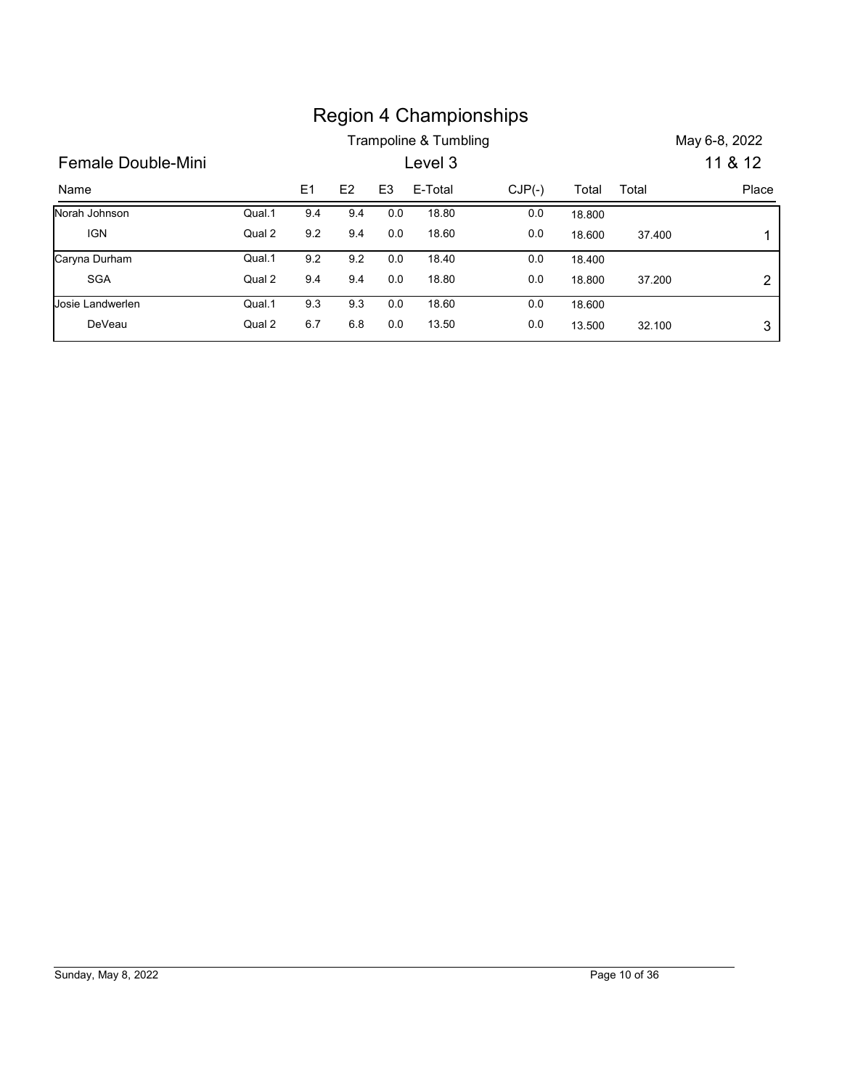|                      |        |     |                |                | <b>Region 4 Championships</b> |          |        |        |                |
|----------------------|--------|-----|----------------|----------------|-------------------------------|----------|--------|--------|----------------|
|                      |        |     |                |                | Trampoline & Tumbling         |          |        |        | May 6-8, 2022  |
| Female Double-Mini   |        |     |                |                | Level 3                       |          |        |        | 11 & 12        |
| Name                 |        | E1  | E <sub>2</sub> | E <sub>3</sub> | E-Total                       | $CJP(-)$ | Total  | Total  | Place          |
| Norah Johnson        | Qual.1 | 9.4 | 9.4            | 0.0            | 18.80                         | $0.0\,$  | 18.800 |        |                |
| <b>IGN</b>           | Qual 2 | 9.2 | 9.4            | 0.0            | 18.60                         | $0.0\,$  | 18.600 | 37.400 | 1              |
|                      | Qual.1 | 9.2 | 9.2            | 0.0            | 18.40                         | 0.0      | 18.400 |        |                |
| Caryna Durham<br>SGA | Qual 2 | 9.4 | 9.4            | 0.0            | 18.80                         | $0.0\,$  | 18.800 | 37.200 | $\overline{2}$ |
| Josie Landwerlen     | Qual.1 | 9.3 | 9.3            | 0.0            | 18.60                         | 0.0      | 18.600 |        |                |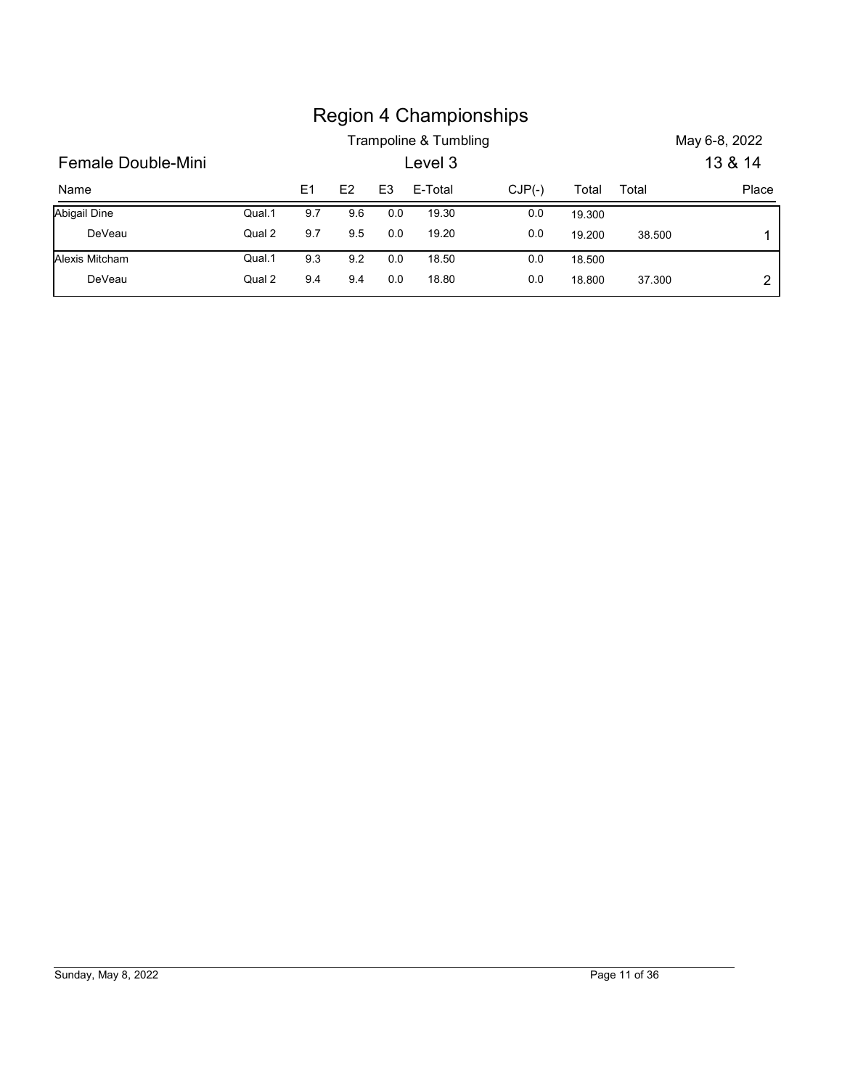|                     |        |     |     |                | Trampoline & Tumbling | <b>Region 4 Championships</b> |        |        | May 6-8, 2022 |
|---------------------|--------|-----|-----|----------------|-----------------------|-------------------------------|--------|--------|---------------|
| Female Double-Mini  |        |     |     |                | Level 3               |                               |        |        | 13 & 14       |
| Name                |        | E1  | E2  | E <sub>3</sub> | E-Total               | $CJP(-)$                      | Total  | Total  |               |
| <b>Abigail Dine</b> | Qual.1 | 9.7 | 9.6 | 0.0            | 19.30                 | $0.0\,$                       | 19.300 |        | Place         |
| DeVeau              | Qual 2 | 9.7 | 9.5 | 0.0            | 19.20                 | 0.0                           | 19.200 | 38.500 | 1             |
| Alexis Mitcham      | Qual.1 | 9.3 | 9.2 | 0.0            | 18.50                 | 0.0                           | 18.500 |        |               |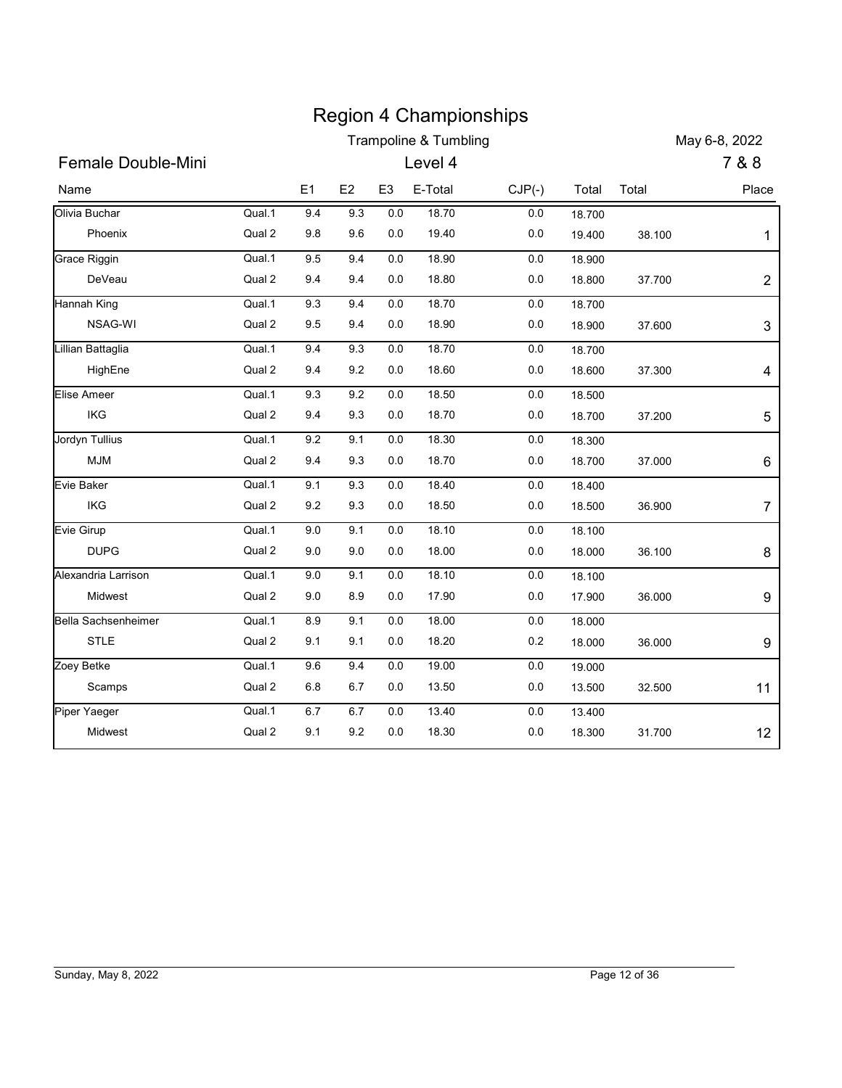|                           |                  |                |            |                       | <b>Region 4 Championships</b> |                     |                  |        |                        |
|---------------------------|------------------|----------------|------------|-----------------------|-------------------------------|---------------------|------------------|--------|------------------------|
| Female Double-Mini        |                  |                |            |                       | Trampoline & Tumbling         |                     |                  |        | May 6-8, 2022<br>7 & 8 |
|                           |                  |                |            |                       | Level 4                       |                     |                  |        |                        |
| Name<br>Olivia Buchar     | Qual.1           | E1<br>9.4      | E2<br>9.3  | E <sub>3</sub><br>0.0 | E-Total<br>18.70              | $CJP(-)$<br>$0.0\,$ | Total            | Total  | Place                  |
| Phoenix                   | Qual 2           | 9.8            | 9.6        | 0.0                   | 19.40                         | $0.0\,$             | 18.700<br>19.400 | 38.100 | 1                      |
| Grace Riggin              | Qual.1           | 9.5            | 9.4        | 0.0                   | 18.90                         | 0.0                 | 18.900           |        |                        |
| DeVeau                    | Qual 2           | 9.4            | 9.4        | $0.0\,$               | 18.80                         | $0.0\,$             | 18.800           | 37.700 | $\overline{2}$         |
| Hannah King               | Qual.1           | 9.3            | 9.4        | $0.0\,$               | 18.70                         | $0.0\,$             | 18.700           |        |                        |
| NSAG-WI                   | Qual 2           | 9.5            | 9.4        | $0.0\,$               | 18.90                         | $0.0\,$             | 18.900           | 37.600 | $\mathbf{3}$           |
| Lillian Battaglia         | Qual.1           | 9.4            | 9.3        | $0.0\,$               | 18.70                         | 0.0                 | 18.700           |        |                        |
| HighEne                   | Qual 2           | 9.4            | 9.2        | $0.0\,$               | 18.60                         | 0.0                 | 18.600           | 37.300 | 4                      |
| Elise Ameer               | Qual.1           | 9.3            | 9.2        | 0.0                   | 18.50                         | $0.0\,$             | 18.500           |        |                        |
| IKG                       | Qual 2           | 9.4            | 9.3        | 0.0                   | 18.70                         | $0.0\,$             | 18.700           | 37.200 | 5                      |
| Jordyn Tullius            | Qual.1           | 9.2            | 9.1        | $0.0\,$               | 18.30                         | $0.0\,$             | 18.300           |        |                        |
| <b>MJM</b>                | Qual 2           | 9.4            | 9.3        | $0.0\,$               | 18.70                         | $0.0\,$             | 18.700           | 37.000 | $\,6$                  |
| Evie Baker                | Qual.1           | 9.1            | 9.3        | $0.0\,$               | 18.40                         | $0.0\,$             | 18.400           |        |                        |
| IKG                       | Qual 2           | 9.2            | 9.3        | $0.0\,$               | 18.50                         | $0.0\,$             | 18.500           | 36.900 | $\overline{7}$         |
| Evie Girup<br><b>DUPG</b> | Qual.1<br>Qual 2 | $9.0\,$<br>9.0 | 9.1<br>9.0 | $0.0\,$<br>$0.0\,$    | 18.10<br>18.00                | $0.0\,$<br>$0.0\,$  | 18.100<br>18.000 | 36.100 | 8                      |
| Alexandria Larrison       | Qual.1           | $9.0\,$        | 9.1        | 0.0                   | 18.10                         | 0.0                 | 18.100           |        |                        |
| Midwest                   | Qual 2           | 9.0            | 8.9        | $0.0\,$               | 17.90                         | $0.0\,$             | 17.900           | 36.000 | 9                      |
| Bella Sachsenheimer       | Qual.1           | $8.9\,$        | 9.1        | $0.0\,$               | 18.00                         | $0.0\,$             | 18.000           |        |                        |
| STLE                      | Qual 2           | 9.1            | 9.1        | $0.0\,$               | 18.20                         | 0.2                 | 18.000           | 36.000 | 9                      |
| Zoey Betke                | Qual.1           | 9.6            | 9.4        | $0.0\,$               | 19.00                         | $0.0\,$             | 19.000           |        |                        |
| Scamps                    | Qual 2           | $6.8\,$        | 6.7        | $0.0\,$               | 13.50                         | $0.0\,$             | 13.500           | 32.500 | 11                     |
| Piper Yaeger              | Qual.1           | $6.7\,$        | 6.7        | $0.0\,$               | 13.40                         | $0.0\,$             | 13.400           |        |                        |
| Midwest                   | Qual 2           | 9.1            | 9.2        | $0.0\,$               | 18.30                         | $0.0\,$             | 18.300           | 31.700 | 12                     |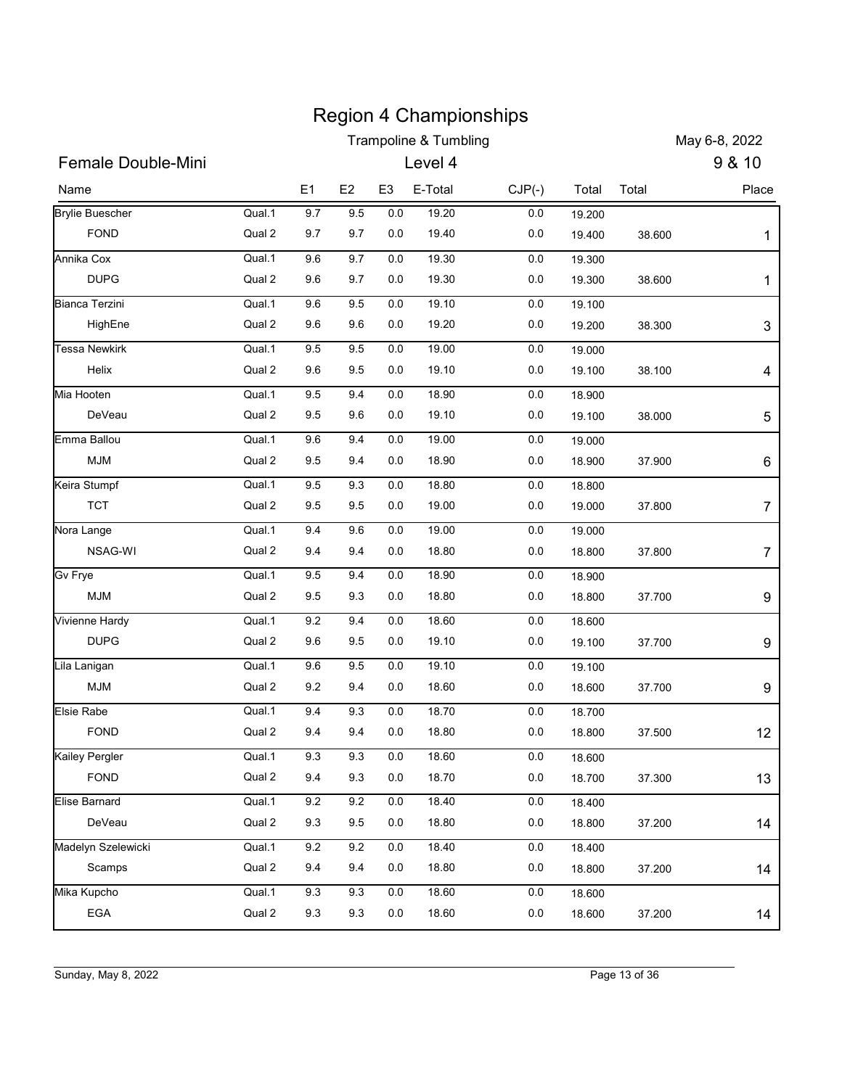| <b>Trampoline &amp; Tumbling</b><br>9 & 10<br>Female Double-Mini<br>Level 4<br>E <sub>3</sub><br>E <sub>1</sub><br>E-Total<br>Total<br>E <sub>2</sub><br>$CJP(-)$<br>Total<br>Place<br>Name<br>9.7<br>Qual.1<br>9.5<br>0.0<br>19.20<br>0.0<br>19.200<br><b>FOND</b><br>Qual 2<br>9.7<br>9.7<br>0.0<br>19.40<br>0.0<br>19.400<br>38.600<br>1<br>Qual.1<br>9.6<br>9.7<br>0.0<br>19.30<br>0.0<br>19.300<br>Qual 2<br><b>DUPG</b><br>9.6<br>9.7<br>19.30<br>0.0<br>0.0<br>19.300<br>38.600<br>1<br>Qual.1<br>9.6<br>9.5<br>0.0<br>19.10<br>0.0<br>19.100<br>Qual 2<br>9.6<br>19.20<br>HighEne<br>9.6<br>0.0<br>0.0<br>19.200<br>38.300<br>Qual.1<br>9.5<br>19.00<br>0.0<br>9.5<br>0.0<br>19.000<br>Qual 2<br>9.5<br>19.10<br>Helix<br>9.6<br>0.0<br>0.0<br>19.100<br>38.100<br>Qual.1<br>9.5<br>9.4<br>0.0<br>18.90<br>$0.0\,$<br>18.900<br>0.0<br>DeVeau<br>Qual 2<br>9.5<br>9.6<br>0.0<br>19.10<br>19.100<br>38.000<br>Qual.1<br>19.00<br>9.6<br>9.4<br>0.0<br>0.0<br>19.000<br>Qual 2<br>MJM<br>9.5<br>9.4<br>0.0<br>18.90<br>0.0<br>18.900<br>37.900<br>Qual.1<br>9.3<br>18.80<br>9.5<br>$0.0\,$<br>$0.0\,$<br>18.800<br><b>TCT</b><br>Qual 2<br>9.5<br>9.5<br>19.00<br>0.0<br>0.0<br>19.000<br>37.800<br>Qual.1<br>19.00<br>9.4<br>9.6<br>$0.0\,$<br>$0.0\,$<br>19.000<br>Qual 2<br>NSAG-WI<br>9.4<br>9.4<br>0.0<br>18.80<br>0.0<br>18.800<br>37.800<br>Qual.1<br>9.5<br>9.4<br>0.0<br>18.90<br>$0.0\,$<br>18.900<br>Qual 2<br>MJM<br>9.3<br>9.5<br>0.0<br>18.80<br>0.0<br>18.800<br>37.700<br>Qual.1<br>18.60<br>9.2<br>9.4<br>$0.0\,$<br>0.0<br>18.600<br><b>DUPG</b><br>Qual 2<br>9.6<br>9.5<br>19.10<br>0.0<br>0.0<br>19.100<br>37.700<br>Qual.1<br>9.6<br>$9.5\,$<br>$0.0\,$<br>19.10<br>$0.0\,$<br>19.100<br>MJM<br>Qual 2<br>9.2<br>9.4<br>0.0<br>18.60<br>0.0<br>18.600<br>37.700<br>Qual.1<br>9.4<br>9.3<br>$0.0\,$<br>18.70<br>0.0<br>18.700<br>Qual 2<br>FOND<br>9.4<br>9.4<br>0.0<br>18.80<br>0.0<br>18.800<br>37.500<br>Qual.1<br>9.3<br>9.3<br>$0.0\,$<br>18.60<br>$0.0\,$<br>18.600<br>Qual 2<br>FOND<br>9.4<br>9.3<br>0.0<br>18.70<br>0.0<br>18.700<br>37.300<br>13<br>Qual.1<br>9.2<br>$9.2\,$<br>$0.0\,$<br>18.40<br>0.0<br>18.400<br>DeVeau<br>Qual 2<br>9.5<br>9.3<br>0.0<br>18.80<br>0.0<br>18.800<br>14<br>37.200<br>Qual.1<br>$9.2\,$<br>$9.2\,$<br>$0.0\,$<br>18.40<br>0.0<br>18.400<br>Qual 2<br>Scamps<br>9.4<br>9.4<br>0.0<br>18.80<br>0.0<br>14<br>18.800<br>37.200<br>Qual.1<br>$0.0\,$<br>18.60<br>9.3<br>9.3<br>0.0<br>18.600<br>EGA<br>Qual 2<br>9.3<br>9.3<br>$0.0\,$<br>18.60<br>0.0<br>18.600<br>37.200<br>14 |                     |  |  | <b>Region 4 Championships</b> |  |               | May 6-8, 2022  |
|---------------------------------------------------------------------------------------------------------------------------------------------------------------------------------------------------------------------------------------------------------------------------------------------------------------------------------------------------------------------------------------------------------------------------------------------------------------------------------------------------------------------------------------------------------------------------------------------------------------------------------------------------------------------------------------------------------------------------------------------------------------------------------------------------------------------------------------------------------------------------------------------------------------------------------------------------------------------------------------------------------------------------------------------------------------------------------------------------------------------------------------------------------------------------------------------------------------------------------------------------------------------------------------------------------------------------------------------------------------------------------------------------------------------------------------------------------------------------------------------------------------------------------------------------------------------------------------------------------------------------------------------------------------------------------------------------------------------------------------------------------------------------------------------------------------------------------------------------------------------------------------------------------------------------------------------------------------------------------------------------------------------------------------------------------------------------------------------------------------------------------------------------------------------------------------------------------------------------------------------------------------------------------------------------------------------------------------------------------------------------------------------------------------------------------------------------------------------------------------------------------------------------------------------------|---------------------|--|--|-------------------------------|--|---------------|----------------|
| <b>Brylie Buescher</b><br><b>Tessa Newkirk</b>                                                                                                                                                                                                                                                                                                                                                                                                                                                                                                                                                                                                                                                                                                                                                                                                                                                                                                                                                                                                                                                                                                                                                                                                                                                                                                                                                                                                                                                                                                                                                                                                                                                                                                                                                                                                                                                                                                                                                                                                                                                                                                                                                                                                                                                                                                                                                                                                                                                                                                    |                     |  |  |                               |  |               |                |
|                                                                                                                                                                                                                                                                                                                                                                                                                                                                                                                                                                                                                                                                                                                                                                                                                                                                                                                                                                                                                                                                                                                                                                                                                                                                                                                                                                                                                                                                                                                                                                                                                                                                                                                                                                                                                                                                                                                                                                                                                                                                                                                                                                                                                                                                                                                                                                                                                                                                                                                                                   |                     |  |  |                               |  |               |                |
| Annika Cox<br><b>Bianca Terzini</b><br>Mia Hooten<br>Emma Ballou<br>Keira Stumpf<br>Nora Lange<br>Gv Frye<br>Vivienne Hardy<br>Lila Lanigan<br>Elsie Rabe<br>Kailey Pergler<br>Elise Barnard<br>Madelyn Szelewicki<br>Mika Kupcho                                                                                                                                                                                                                                                                                                                                                                                                                                                                                                                                                                                                                                                                                                                                                                                                                                                                                                                                                                                                                                                                                                                                                                                                                                                                                                                                                                                                                                                                                                                                                                                                                                                                                                                                                                                                                                                                                                                                                                                                                                                                                                                                                                                                                                                                                                                 |                     |  |  |                               |  |               |                |
|                                                                                                                                                                                                                                                                                                                                                                                                                                                                                                                                                                                                                                                                                                                                                                                                                                                                                                                                                                                                                                                                                                                                                                                                                                                                                                                                                                                                                                                                                                                                                                                                                                                                                                                                                                                                                                                                                                                                                                                                                                                                                                                                                                                                                                                                                                                                                                                                                                                                                                                                                   |                     |  |  |                               |  |               |                |
|                                                                                                                                                                                                                                                                                                                                                                                                                                                                                                                                                                                                                                                                                                                                                                                                                                                                                                                                                                                                                                                                                                                                                                                                                                                                                                                                                                                                                                                                                                                                                                                                                                                                                                                                                                                                                                                                                                                                                                                                                                                                                                                                                                                                                                                                                                                                                                                                                                                                                                                                                   |                     |  |  |                               |  |               |                |
|                                                                                                                                                                                                                                                                                                                                                                                                                                                                                                                                                                                                                                                                                                                                                                                                                                                                                                                                                                                                                                                                                                                                                                                                                                                                                                                                                                                                                                                                                                                                                                                                                                                                                                                                                                                                                                                                                                                                                                                                                                                                                                                                                                                                                                                                                                                                                                                                                                                                                                                                                   |                     |  |  |                               |  |               |                |
|                                                                                                                                                                                                                                                                                                                                                                                                                                                                                                                                                                                                                                                                                                                                                                                                                                                                                                                                                                                                                                                                                                                                                                                                                                                                                                                                                                                                                                                                                                                                                                                                                                                                                                                                                                                                                                                                                                                                                                                                                                                                                                                                                                                                                                                                                                                                                                                                                                                                                                                                                   |                     |  |  |                               |  |               |                |
|                                                                                                                                                                                                                                                                                                                                                                                                                                                                                                                                                                                                                                                                                                                                                                                                                                                                                                                                                                                                                                                                                                                                                                                                                                                                                                                                                                                                                                                                                                                                                                                                                                                                                                                                                                                                                                                                                                                                                                                                                                                                                                                                                                                                                                                                                                                                                                                                                                                                                                                                                   |                     |  |  |                               |  |               |                |
|                                                                                                                                                                                                                                                                                                                                                                                                                                                                                                                                                                                                                                                                                                                                                                                                                                                                                                                                                                                                                                                                                                                                                                                                                                                                                                                                                                                                                                                                                                                                                                                                                                                                                                                                                                                                                                                                                                                                                                                                                                                                                                                                                                                                                                                                                                                                                                                                                                                                                                                                                   |                     |  |  |                               |  |               | $\sqrt{3}$     |
|                                                                                                                                                                                                                                                                                                                                                                                                                                                                                                                                                                                                                                                                                                                                                                                                                                                                                                                                                                                                                                                                                                                                                                                                                                                                                                                                                                                                                                                                                                                                                                                                                                                                                                                                                                                                                                                                                                                                                                                                                                                                                                                                                                                                                                                                                                                                                                                                                                                                                                                                                   |                     |  |  |                               |  |               |                |
|                                                                                                                                                                                                                                                                                                                                                                                                                                                                                                                                                                                                                                                                                                                                                                                                                                                                                                                                                                                                                                                                                                                                                                                                                                                                                                                                                                                                                                                                                                                                                                                                                                                                                                                                                                                                                                                                                                                                                                                                                                                                                                                                                                                                                                                                                                                                                                                                                                                                                                                                                   |                     |  |  |                               |  |               | 4              |
|                                                                                                                                                                                                                                                                                                                                                                                                                                                                                                                                                                                                                                                                                                                                                                                                                                                                                                                                                                                                                                                                                                                                                                                                                                                                                                                                                                                                                                                                                                                                                                                                                                                                                                                                                                                                                                                                                                                                                                                                                                                                                                                                                                                                                                                                                                                                                                                                                                                                                                                                                   |                     |  |  |                               |  |               |                |
|                                                                                                                                                                                                                                                                                                                                                                                                                                                                                                                                                                                                                                                                                                                                                                                                                                                                                                                                                                                                                                                                                                                                                                                                                                                                                                                                                                                                                                                                                                                                                                                                                                                                                                                                                                                                                                                                                                                                                                                                                                                                                                                                                                                                                                                                                                                                                                                                                                                                                                                                                   |                     |  |  |                               |  |               | 5              |
|                                                                                                                                                                                                                                                                                                                                                                                                                                                                                                                                                                                                                                                                                                                                                                                                                                                                                                                                                                                                                                                                                                                                                                                                                                                                                                                                                                                                                                                                                                                                                                                                                                                                                                                                                                                                                                                                                                                                                                                                                                                                                                                                                                                                                                                                                                                                                                                                                                                                                                                                                   |                     |  |  |                               |  |               |                |
|                                                                                                                                                                                                                                                                                                                                                                                                                                                                                                                                                                                                                                                                                                                                                                                                                                                                                                                                                                                                                                                                                                                                                                                                                                                                                                                                                                                                                                                                                                                                                                                                                                                                                                                                                                                                                                                                                                                                                                                                                                                                                                                                                                                                                                                                                                                                                                                                                                                                                                                                                   |                     |  |  |                               |  |               | 6              |
|                                                                                                                                                                                                                                                                                                                                                                                                                                                                                                                                                                                                                                                                                                                                                                                                                                                                                                                                                                                                                                                                                                                                                                                                                                                                                                                                                                                                                                                                                                                                                                                                                                                                                                                                                                                                                                                                                                                                                                                                                                                                                                                                                                                                                                                                                                                                                                                                                                                                                                                                                   |                     |  |  |                               |  |               |                |
|                                                                                                                                                                                                                                                                                                                                                                                                                                                                                                                                                                                                                                                                                                                                                                                                                                                                                                                                                                                                                                                                                                                                                                                                                                                                                                                                                                                                                                                                                                                                                                                                                                                                                                                                                                                                                                                                                                                                                                                                                                                                                                                                                                                                                                                                                                                                                                                                                                                                                                                                                   |                     |  |  |                               |  |               | 7              |
|                                                                                                                                                                                                                                                                                                                                                                                                                                                                                                                                                                                                                                                                                                                                                                                                                                                                                                                                                                                                                                                                                                                                                                                                                                                                                                                                                                                                                                                                                                                                                                                                                                                                                                                                                                                                                                                                                                                                                                                                                                                                                                                                                                                                                                                                                                                                                                                                                                                                                                                                                   |                     |  |  |                               |  |               |                |
|                                                                                                                                                                                                                                                                                                                                                                                                                                                                                                                                                                                                                                                                                                                                                                                                                                                                                                                                                                                                                                                                                                                                                                                                                                                                                                                                                                                                                                                                                                                                                                                                                                                                                                                                                                                                                                                                                                                                                                                                                                                                                                                                                                                                                                                                                                                                                                                                                                                                                                                                                   |                     |  |  |                               |  |               | $\overline{7}$ |
|                                                                                                                                                                                                                                                                                                                                                                                                                                                                                                                                                                                                                                                                                                                                                                                                                                                                                                                                                                                                                                                                                                                                                                                                                                                                                                                                                                                                                                                                                                                                                                                                                                                                                                                                                                                                                                                                                                                                                                                                                                                                                                                                                                                                                                                                                                                                                                                                                                                                                                                                                   |                     |  |  |                               |  |               |                |
|                                                                                                                                                                                                                                                                                                                                                                                                                                                                                                                                                                                                                                                                                                                                                                                                                                                                                                                                                                                                                                                                                                                                                                                                                                                                                                                                                                                                                                                                                                                                                                                                                                                                                                                                                                                                                                                                                                                                                                                                                                                                                                                                                                                                                                                                                                                                                                                                                                                                                                                                                   |                     |  |  |                               |  |               | 9              |
|                                                                                                                                                                                                                                                                                                                                                                                                                                                                                                                                                                                                                                                                                                                                                                                                                                                                                                                                                                                                                                                                                                                                                                                                                                                                                                                                                                                                                                                                                                                                                                                                                                                                                                                                                                                                                                                                                                                                                                                                                                                                                                                                                                                                                                                                                                                                                                                                                                                                                                                                                   |                     |  |  |                               |  |               |                |
|                                                                                                                                                                                                                                                                                                                                                                                                                                                                                                                                                                                                                                                                                                                                                                                                                                                                                                                                                                                                                                                                                                                                                                                                                                                                                                                                                                                                                                                                                                                                                                                                                                                                                                                                                                                                                                                                                                                                                                                                                                                                                                                                                                                                                                                                                                                                                                                                                                                                                                                                                   |                     |  |  |                               |  |               | 9              |
|                                                                                                                                                                                                                                                                                                                                                                                                                                                                                                                                                                                                                                                                                                                                                                                                                                                                                                                                                                                                                                                                                                                                                                                                                                                                                                                                                                                                                                                                                                                                                                                                                                                                                                                                                                                                                                                                                                                                                                                                                                                                                                                                                                                                                                                                                                                                                                                                                                                                                                                                                   |                     |  |  |                               |  |               |                |
|                                                                                                                                                                                                                                                                                                                                                                                                                                                                                                                                                                                                                                                                                                                                                                                                                                                                                                                                                                                                                                                                                                                                                                                                                                                                                                                                                                                                                                                                                                                                                                                                                                                                                                                                                                                                                                                                                                                                                                                                                                                                                                                                                                                                                                                                                                                                                                                                                                                                                                                                                   |                     |  |  |                               |  |               | 9              |
|                                                                                                                                                                                                                                                                                                                                                                                                                                                                                                                                                                                                                                                                                                                                                                                                                                                                                                                                                                                                                                                                                                                                                                                                                                                                                                                                                                                                                                                                                                                                                                                                                                                                                                                                                                                                                                                                                                                                                                                                                                                                                                                                                                                                                                                                                                                                                                                                                                                                                                                                                   |                     |  |  |                               |  |               |                |
|                                                                                                                                                                                                                                                                                                                                                                                                                                                                                                                                                                                                                                                                                                                                                                                                                                                                                                                                                                                                                                                                                                                                                                                                                                                                                                                                                                                                                                                                                                                                                                                                                                                                                                                                                                                                                                                                                                                                                                                                                                                                                                                                                                                                                                                                                                                                                                                                                                                                                                                                                   |                     |  |  |                               |  |               | 12             |
|                                                                                                                                                                                                                                                                                                                                                                                                                                                                                                                                                                                                                                                                                                                                                                                                                                                                                                                                                                                                                                                                                                                                                                                                                                                                                                                                                                                                                                                                                                                                                                                                                                                                                                                                                                                                                                                                                                                                                                                                                                                                                                                                                                                                                                                                                                                                                                                                                                                                                                                                                   |                     |  |  |                               |  |               |                |
|                                                                                                                                                                                                                                                                                                                                                                                                                                                                                                                                                                                                                                                                                                                                                                                                                                                                                                                                                                                                                                                                                                                                                                                                                                                                                                                                                                                                                                                                                                                                                                                                                                                                                                                                                                                                                                                                                                                                                                                                                                                                                                                                                                                                                                                                                                                                                                                                                                                                                                                                                   |                     |  |  |                               |  |               |                |
|                                                                                                                                                                                                                                                                                                                                                                                                                                                                                                                                                                                                                                                                                                                                                                                                                                                                                                                                                                                                                                                                                                                                                                                                                                                                                                                                                                                                                                                                                                                                                                                                                                                                                                                                                                                                                                                                                                                                                                                                                                                                                                                                                                                                                                                                                                                                                                                                                                                                                                                                                   |                     |  |  |                               |  |               |                |
|                                                                                                                                                                                                                                                                                                                                                                                                                                                                                                                                                                                                                                                                                                                                                                                                                                                                                                                                                                                                                                                                                                                                                                                                                                                                                                                                                                                                                                                                                                                                                                                                                                                                                                                                                                                                                                                                                                                                                                                                                                                                                                                                                                                                                                                                                                                                                                                                                                                                                                                                                   |                     |  |  |                               |  |               |                |
|                                                                                                                                                                                                                                                                                                                                                                                                                                                                                                                                                                                                                                                                                                                                                                                                                                                                                                                                                                                                                                                                                                                                                                                                                                                                                                                                                                                                                                                                                                                                                                                                                                                                                                                                                                                                                                                                                                                                                                                                                                                                                                                                                                                                                                                                                                                                                                                                                                                                                                                                                   |                     |  |  |                               |  |               |                |
|                                                                                                                                                                                                                                                                                                                                                                                                                                                                                                                                                                                                                                                                                                                                                                                                                                                                                                                                                                                                                                                                                                                                                                                                                                                                                                                                                                                                                                                                                                                                                                                                                                                                                                                                                                                                                                                                                                                                                                                                                                                                                                                                                                                                                                                                                                                                                                                                                                                                                                                                                   |                     |  |  |                               |  |               |                |
|                                                                                                                                                                                                                                                                                                                                                                                                                                                                                                                                                                                                                                                                                                                                                                                                                                                                                                                                                                                                                                                                                                                                                                                                                                                                                                                                                                                                                                                                                                                                                                                                                                                                                                                                                                                                                                                                                                                                                                                                                                                                                                                                                                                                                                                                                                                                                                                                                                                                                                                                                   |                     |  |  |                               |  |               |                |
|                                                                                                                                                                                                                                                                                                                                                                                                                                                                                                                                                                                                                                                                                                                                                                                                                                                                                                                                                                                                                                                                                                                                                                                                                                                                                                                                                                                                                                                                                                                                                                                                                                                                                                                                                                                                                                                                                                                                                                                                                                                                                                                                                                                                                                                                                                                                                                                                                                                                                                                                                   |                     |  |  |                               |  |               |                |
|                                                                                                                                                                                                                                                                                                                                                                                                                                                                                                                                                                                                                                                                                                                                                                                                                                                                                                                                                                                                                                                                                                                                                                                                                                                                                                                                                                                                                                                                                                                                                                                                                                                                                                                                                                                                                                                                                                                                                                                                                                                                                                                                                                                                                                                                                                                                                                                                                                                                                                                                                   |                     |  |  |                               |  |               |                |
|                                                                                                                                                                                                                                                                                                                                                                                                                                                                                                                                                                                                                                                                                                                                                                                                                                                                                                                                                                                                                                                                                                                                                                                                                                                                                                                                                                                                                                                                                                                                                                                                                                                                                                                                                                                                                                                                                                                                                                                                                                                                                                                                                                                                                                                                                                                                                                                                                                                                                                                                                   |                     |  |  |                               |  |               |                |
|                                                                                                                                                                                                                                                                                                                                                                                                                                                                                                                                                                                                                                                                                                                                                                                                                                                                                                                                                                                                                                                                                                                                                                                                                                                                                                                                                                                                                                                                                                                                                                                                                                                                                                                                                                                                                                                                                                                                                                                                                                                                                                                                                                                                                                                                                                                                                                                                                                                                                                                                                   | Sunday, May 8, 2022 |  |  |                               |  | Page 13 of 36 |                |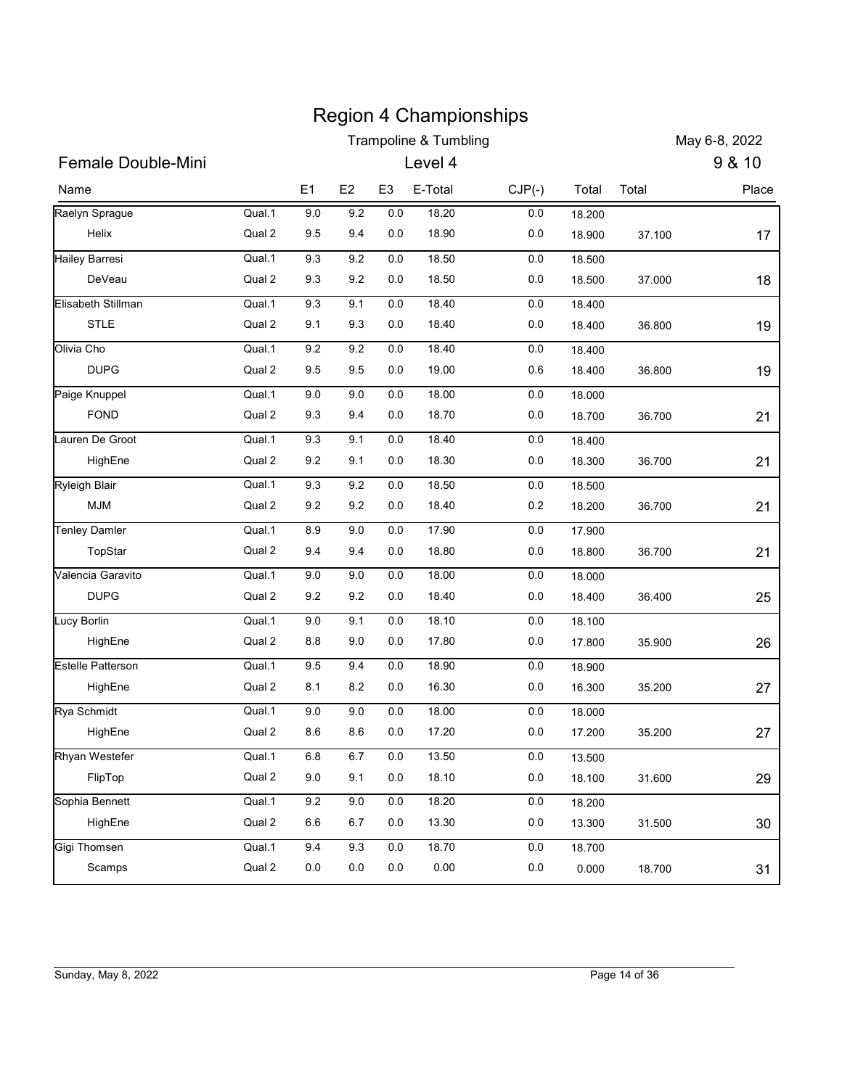|                           |                  |                |                    |                    | <b>Region 4 Championships</b>               |                    |                  |        |                         |
|---------------------------|------------------|----------------|--------------------|--------------------|---------------------------------------------|--------------------|------------------|--------|-------------------------|
| Female Double-Mini        |                  |                |                    |                    | <b>Trampoline &amp; Tumbling</b><br>Level 4 |                    |                  |        | May 6-8, 2022<br>9 & 10 |
|                           |                  | E1             |                    |                    |                                             |                    |                  |        |                         |
| Name                      |                  |                | E <sub>2</sub>     | E <sub>3</sub>     | E-Total                                     | $CJP(-)$           | Total            | Total  | Place                   |
| Raelyn Sprague<br>Helix   | Qual.1<br>Qual 2 | $9.0\,$<br>9.5 | 9.2<br>9.4         | 0.0<br>0.0         | 18.20<br>18.90                              | $0.0\,$<br>0.0     | 18.200<br>18.900 | 37.100 | 17                      |
| Hailey Barresi            | Qual.1           | 9.3            | 9.2                | 0.0                | 18.50                                       | 0.0                | 18.500           |        |                         |
| DeVeau                    | Qual 2           | 9.3            | 9.2                | 0.0                | 18.50                                       | 0.0                | 18.500           | 37.000 | 18                      |
| Elisabeth Stillman        | Qual.1           | 9.3            | 9.1                | 0.0                | 18.40                                       | $0.0\,$            | 18.400           |        |                         |
| <b>STLE</b>               | Qual 2           | 9.1            | 9.3                | 0.0                | 18.40                                       | $0.0\,$            | 18.400           | 36.800 | 19                      |
| Olivia Cho                | Qual.1           | 9.2            | 9.2                | 0.0                | 18.40                                       | $0.0\,$            | 18.400           |        |                         |
| <b>DUPG</b>               | Qual 2           | 9.5            | 9.5                | 0.0                | 19.00                                       | 0.6                | 18.400           | 36.800 | 19                      |
| Paige Knuppel             | Qual.1           | 9.0            | 9.0                | 0.0                | 18.00                                       | $0.0\,$            | 18.000           |        |                         |
| <b>FOND</b>               | Qual 2           | 9.3            | 9.4                | 0.0                | 18.70                                       | $0.0\,$            | 18.700           | 36.700 | 21                      |
| Lauren De Groot           | Qual.1           | 9.3            | 9.1                | $0.0\,$            | 18.40                                       | $0.0\,$            | 18.400           |        |                         |
| HighEne                   | Qual 2           | 9.2            | 9.1                | $0.0\,$            | 18.30                                       | $0.0\,$            | 18.300           | 36.700 | 21                      |
| <b>Ryleigh Blair</b>      | Qual.1           | 9.3            | 9.2                | $0.0\,$            | 18.50                                       | $0.0\,$            | 18.500           |        |                         |
| <b>MJM</b>                | Qual 2           | 9.2            | 9.2                | 0.0                | 18.40                                       | 0.2                | 18.200           | 36.700 | 21                      |
| <b>Tenley Damler</b>      | Qual.1           | 8.9            | 9.0                | $0.0\,$            | 17.90                                       | $0.0\,$            | 17.900           |        |                         |
| TopStar                   | Qual 2           | 9.4            | 9.4                | $0.0\,$            | 18.80                                       | $0.0\,$            | 18.800           | 36.700 | 21                      |
| Valencia Garavito         | Qual.1           | $9.0\,$        | 9.0                | $0.0\,$            | 18.00                                       | $0.0\,$            | 18.000           |        |                         |
| <b>DUPG</b>               | Qual 2           | 9.2            | 9.2                | 0.0                | 18.40                                       | $0.0\,$            | 18.400           | 36.400 | 25                      |
| <b>Lucy Borlin</b>        | Qual.1           | $9.0\,$        | 9.1                | $0.0\,$            | 18.10                                       | $0.0\,$            | 18.100           |        |                         |
| HighEne                   | Qual 2           | $8.8\,$        | 9.0                | $0.0\,$            | 17.80                                       | $0.0\,$            | 17.800           | 35.900 | 26                      |
| Estelle Patterson         | Qual.1           | 9.5            | 9.4                | $0.0\,$            | 18.90                                       | $0.0\,$            | 18.900           |        |                         |
| HighEne                   | Qual 2           | 8.1            | 8.2                | $0.0\,$            | 16.30                                       | 0.0                | 16.300           | 35.200 | 27                      |
| Rya Schmidt<br>HighEne    | Qual.1<br>Qual 2 | 9.0<br>8.6     | $9.0\,$<br>$8.6\,$ | $0.0\,$<br>$0.0\,$ | 18.00<br>17.20                              | 0.0<br>$0.0\,$     | 18.000<br>17.200 |        |                         |
|                           | Qual.1           |                |                    |                    |                                             |                    |                  | 35.200 | 27                      |
| Rhyan Westefer<br>FlipTop | Qual 2           | $6.8\,$<br>9.0 | $6.7\,$<br>9.1     | $0.0\,$<br>$0.0\,$ | 13.50<br>18.10                              | $0.0\,$<br>$0.0\,$ | 13.500<br>18.100 | 31.600 | 29                      |
|                           | Qual.1           | 9.2            | $9.0\,$            | $0.0\,$            | 18.20                                       | $0.0\,$            | 18.200           |        |                         |
|                           |                  |                |                    |                    |                                             |                    |                  |        |                         |
| Sophia Bennett            |                  |                |                    |                    |                                             |                    |                  |        |                         |
| HighEne<br>Gigi Thomsen   | Qual 2<br>Qual.1 | 6.6<br>9.4     | $6.7\,$<br>9.3     | $0.0\,$<br>$0.0\,$ | 13.30<br>18.70                              | $0.0\,$<br>$0.0\,$ | 13.300<br>18.700 | 31.500 | 30                      |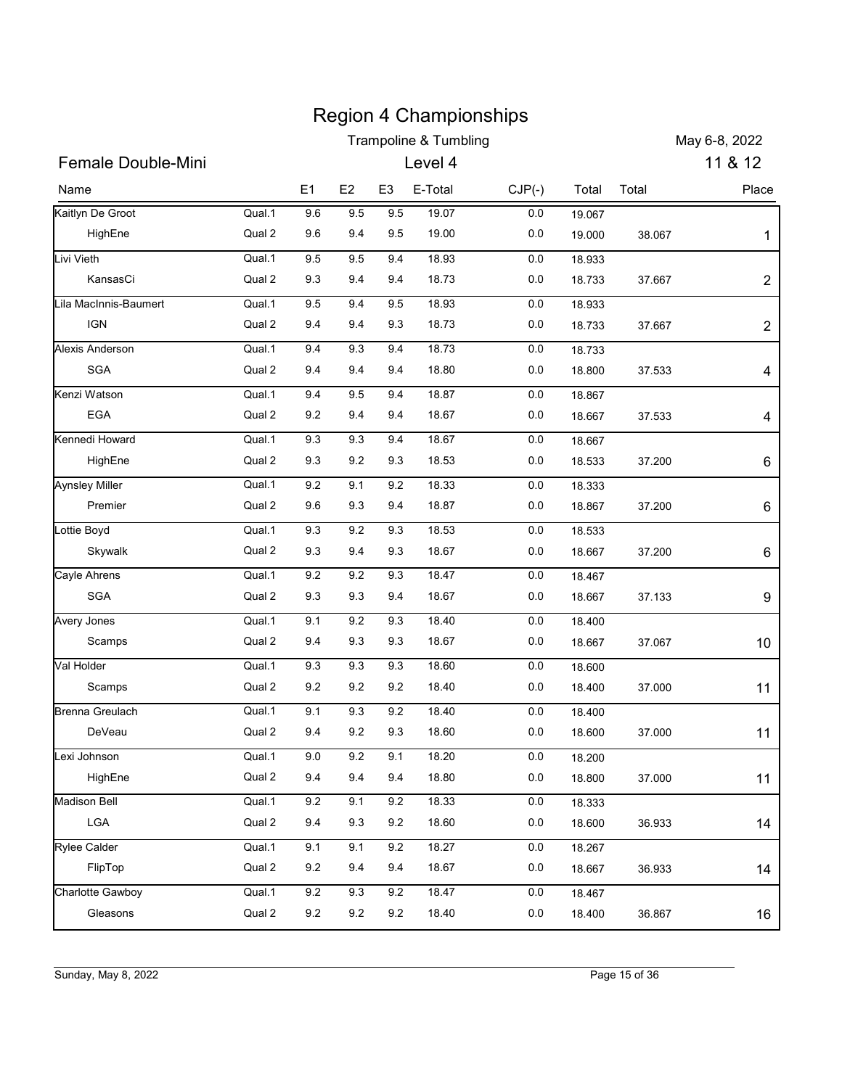|                           |                  |            |                |                | <b>Region 4 Championships</b><br><b>Trampoline &amp; Tumbling</b> |                |                  |               | May 6-8, 2022  |
|---------------------------|------------------|------------|----------------|----------------|-------------------------------------------------------------------|----------------|------------------|---------------|----------------|
| <b>Female Double-Mini</b> |                  |            |                |                | Level 4                                                           |                |                  |               | 11 & 12        |
|                           |                  |            |                |                |                                                                   |                |                  |               |                |
| Name                      |                  | E1         | E <sub>2</sub> | E <sub>3</sub> | E-Total                                                           | $CJP(-)$       | Total            | Total         | Place          |
| Kaitlyn De Groot          | Qual.1           | $9.6\,$    | 9.5            | 9.5            | 19.07                                                             | 0.0            | 19.067           |               |                |
| HighEne                   | Qual 2           | 9.6        | 9.4            | 9.5            | 19.00                                                             | 0.0            | 19.000           | 38.067        | 1              |
| Livi Vieth<br>KansasCi    | Qual.1<br>Qual 2 | 9.5<br>9.3 | 9.5<br>9.4     | 9.4<br>9.4     | 18.93<br>18.73                                                    | 0.0<br>0.0     | 18.933<br>18.733 | 37.667        | $\overline{2}$ |
| Lila MacInnis-Baumert     | Qual.1           |            |                |                |                                                                   |                |                  |               |                |
| <b>IGN</b>                | Qual 2           | 9.5<br>9.4 | 9.4<br>9.4     | 9.5<br>9.3     | 18.93<br>18.73                                                    | 0.0<br>0.0     | 18.933<br>18.733 | 37.667        | $\overline{c}$ |
| <b>Alexis Anderson</b>    | Qual.1           | 9.4        | 9.3            | 9.4            | 18.73                                                             | 0.0            |                  |               |                |
| <b>SGA</b>                | Qual 2           | 9.4        | 9.4            | 9.4            | 18.80                                                             | 0.0            | 18.733<br>18.800 | 37.533        | 4              |
| Kenzi Watson              | Qual.1           | 9.4        | 9.5            | 9.4            | 18.87                                                             | 0.0            | 18.867           |               |                |
| <b>EGA</b>                | Qual 2           | 9.2        | 9.4            | 9.4            | 18.67                                                             | $0.0\,$        | 18.667           | 37.533        | 4              |
| Kennedi Howard            | Qual.1           | 9.3        | 9.3            | 9.4            | 18.67                                                             | 0.0            | 18.667           |               |                |
| HighEne                   | Qual 2           | 9.3        | $9.2\,$        | 9.3            | 18.53                                                             | 0.0            | 18.533           | 37.200        | 6              |
| <b>Aynsley Miller</b>     | Qual.1           | 9.2        | 9.1            | 9.2            | 18.33                                                             | $0.0\,$        | 18.333           |               |                |
| Premier                   | Qual 2           | 9.6        | 9.3            | 9.4            | 18.87                                                             | 0.0            | 18.867           | 37.200        | 6              |
| Lottie Boyd               | Qual.1           | 9.3        | $9.2\,$        | 9.3            | 18.53                                                             | 0.0            |                  |               |                |
| Skywalk                   | Qual 2           | 9.3        | 9.4            | 9.3            | 18.67                                                             | 0.0            | 18.533<br>18.667 | 37.200        | 6              |
|                           |                  |            |                |                |                                                                   |                |                  |               |                |
| Cayle Ahrens<br>SGA       | Qual.1<br>Qual 2 | 9.2<br>9.3 | 9.2<br>9.3     | 9.3<br>9.4     | 18.47<br>18.67                                                    | $0.0\,$<br>0.0 | 18.467<br>18.667 | 37.133        |                |
|                           |                  |            |                |                |                                                                   |                |                  |               | 9              |
| Avery Jones<br>Scamps     | Qual.1<br>Qual 2 | 9.1<br>9.4 | $9.2\,$<br>9.3 | 9.3<br>9.3     | 18.40<br>18.67                                                    | 0.0<br>0.0     | 18.400<br>18.667 |               |                |
|                           |                  |            |                |                |                                                                   |                |                  | 37.067        | 10             |
| Val Holder<br>Scamps      | Qual.1           | 9.3        | $9.3\,$        | 9.3            | 18.60                                                             | 0.0            | 18.600           |               |                |
|                           | Qual 2           | 9.2        | 9.2            | 9.2            | 18.40                                                             | 0.0            | 18.400           | 37.000        | 11             |
| Brenna Greulach           | Qual.1           | 9.1        | 9.3            | 9.2            | 18.40                                                             | 0.0            | 18.400           |               |                |
| DeVeau                    | Qual 2           | 9.4        | 9.2            | 9.3            | 18.60                                                             | 0.0            | 18.600           | 37.000        | 11             |
| Lexi Johnson              | Qual.1           | $9.0\,$    | $9.2\,$        | 9.1            | 18.20                                                             | 0.0            | 18.200           |               |                |
| HighEne                   | Qual 2           | 9.4        | 9.4            | 9.4            | 18.80                                                             | 0.0            | 18.800           | 37.000        | 11             |
| Madison Bell              | Qual.1           | $9.2\,$    | 9.1            | 9.2            | 18.33                                                             | 0.0            | 18.333           |               |                |
| LGA                       | Qual 2           | 9.4        | 9.3            | 9.2            | 18.60                                                             | 0.0            | 18.600           | 36.933        | 14             |
| Rylee Calder              | Qual.1           | 9.1        | 9.1            | $9.2\,$        | 18.27                                                             | 0.0            | 18.267           |               |                |
| FlipTop                   | Qual 2           | 9.2        | 9.4            | 9.4            | 18.67                                                             | 0.0            | 18.667           | 36.933        | 14             |
| Charlotte Gawboy          | Qual.1           | 9.2        | 9.3            | 9.2            | 18.47                                                             | 0.0            | 18.467           |               |                |
| Gleasons                  | Qual 2           | 9.2        | 9.2            | 9.2            | 18.40                                                             | 0.0            | 18.400           | 36.867        | 16             |
|                           |                  |            |                |                |                                                                   |                |                  |               |                |
|                           |                  |            |                |                |                                                                   |                |                  |               |                |
| Sunday, May 8, 2022       |                  |            |                |                |                                                                   |                |                  | Page 15 of 36 |                |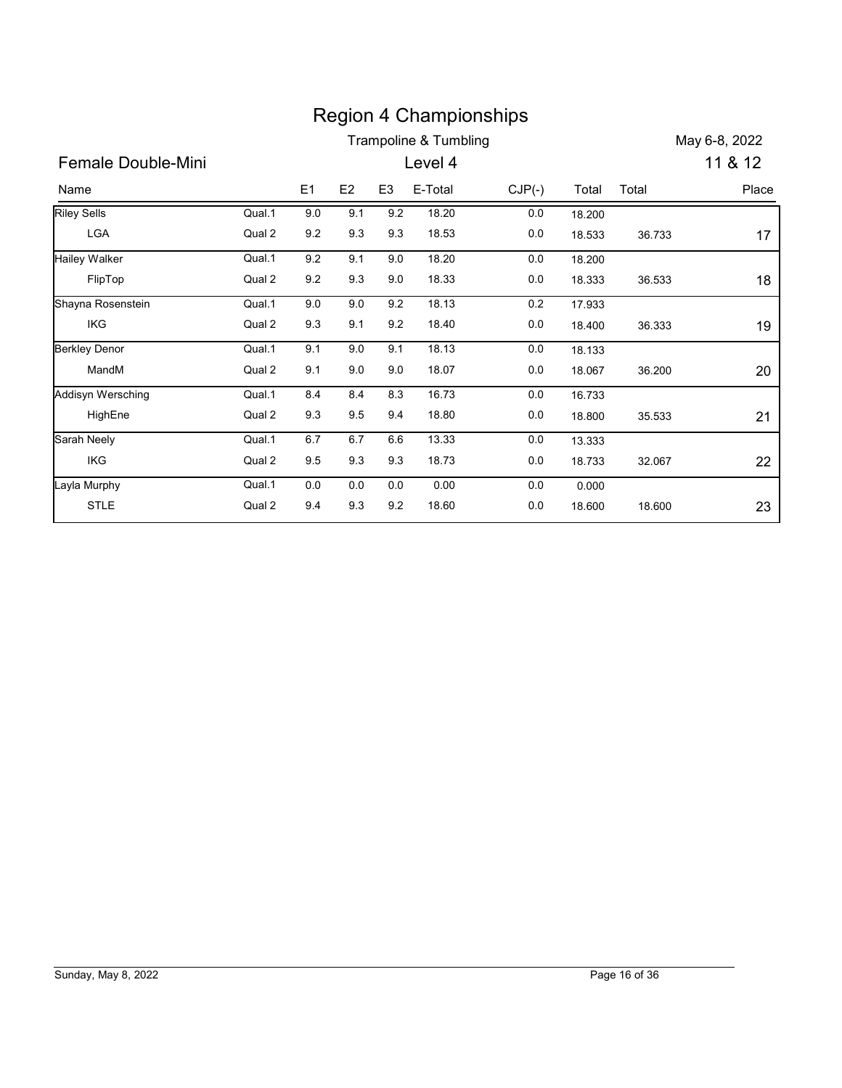|                             |        |            |         |                |                       | <b>Region 4 Championships</b> |        |        |               |
|-----------------------------|--------|------------|---------|----------------|-----------------------|-------------------------------|--------|--------|---------------|
|                             |        |            |         |                | Trampoline & Tumbling |                               |        |        | May 6-8, 2022 |
| Female Double-Mini          |        |            |         |                | Level 4               |                               |        |        | 11 & 12       |
|                             |        |            |         |                |                       |                               |        |        |               |
| Name                        |        | E1         | E2      | E <sub>3</sub> | E-Total               | $CJP(-)$                      | Total  | Total  | Place         |
| Riley Sells                 | Qual.1 | 9.0        | 9.1     | 9.2            | 18.20                 | 0.0                           | 18.200 |        |               |
| LGA                         | Qual 2 | $9.2\,$    | 9.3     | 9.3            | 18.53                 | $0.0\,$                       | 18.533 | 36.733 | 17            |
| <b>Hailey Walker</b>        | Qual.1 | 9.2        | 9.1     | 9.0            | 18.20                 | 0.0                           | 18.200 |        |               |
| FlipTop                     | Qual 2 | $9.2\,$    | 9.3     | 9.0            | 18.33                 | 0.0                           | 18.333 | 36.533 | 18            |
| Shayna Rosenstein           | Qual.1 | 9.0        | 9.0     | 9.2            | 18.13                 | 0.2                           | 17.933 |        |               |
| IKG                         | Qual 2 | $9.3\,$    | 9.1     | 9.2            | 18.40                 | 0.0                           | 18.400 | 36.333 | 19            |
| <b>Berkley Denor</b>        | Qual.1 | 9.1        | 9.0     | 9.1            | 18.13                 | 0.0                           | 18.133 |        |               |
| MandM                       | Qual 2 | 9.1        | $9.0\,$ | $9.0\,$        | 18.07                 | 0.0                           | 18.067 | 36.200 | 20            |
| Addisyn Wersching           | Qual.1 | 8.4        | 8.4     | 8.3            | 16.73                 | 0.0                           | 16.733 |        |               |
| HighEne                     | Qual 2 | $9.3\,$    | $9.5\,$ | 9.4            | 18.80                 | 0.0                           | 18.800 | 35.533 | 21            |
| Sarah Neely                 | Qual.1 | 6.7        | 6.7     | 6.6            | 13.33                 | 0.0                           | 13.333 |        |               |
| <b>IKG</b>                  | Qual 2 | $9.5\,$    | $9.3\,$ | 9.3            | 18.73                 | 0.0                           | 18.733 |        |               |
|                             |        |            |         |                |                       |                               |        | 32.067 | 22            |
|                             | Qual.1 | 0.0<br>9.4 | 0.0     | 0.0<br>9.2     | 0.00                  | 0.0                           | 0.000  |        |               |
| Layla Murphy<br><b>STLE</b> | Qual 2 |            | 9.3     |                | 18.60                 | 0.0                           | 18.600 | 18.600 | 23            |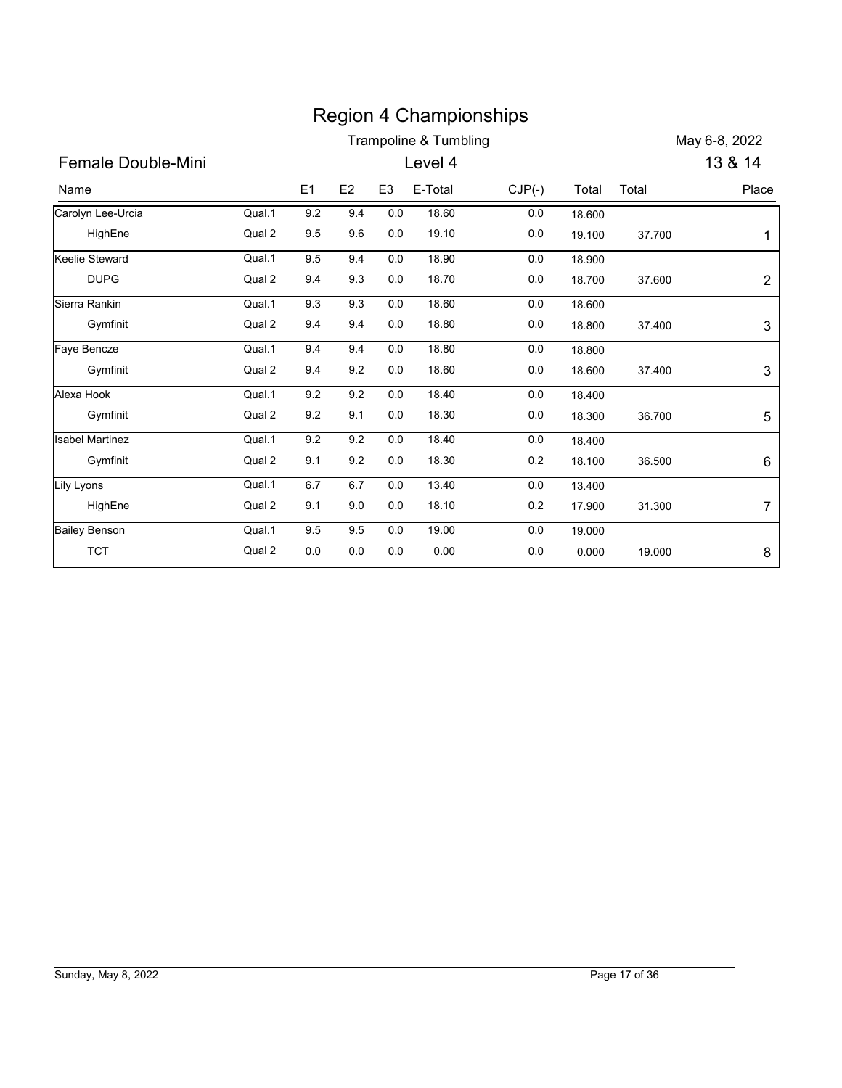|                        |        |                |         |                | <b>Region 4 Championships</b>    |          |        |        |                  |
|------------------------|--------|----------------|---------|----------------|----------------------------------|----------|--------|--------|------------------|
|                        |        |                |         |                | <b>Trampoline &amp; Tumbling</b> |          |        |        | May 6-8, 2022    |
| Female Double-Mini     |        |                |         |                | Level 4                          |          |        |        | 13 & 14          |
| Name                   |        | E <sub>1</sub> | E2      | E <sub>3</sub> | E-Total                          | $CJP(-)$ | Total  | Total  | Place            |
| Carolyn Lee-Urcia      | Qual.1 | $9.2\,$        | 9.4     | $0.0\,$        | 18.60                            | 0.0      | 18.600 |        |                  |
| HighEne                | Qual 2 | 9.5            | 9.6     | $0.0\,$        | 19.10                            | 0.0      | 19.100 | 37.700 | 1                |
| Keelie Steward         | Qual.1 | 9.5            | 9.4     | 0.0            | 18.90                            | 0.0      | 18.900 |        |                  |
| <b>DUPG</b>            | Qual 2 | 9.4            | 9.3     | $0.0\,$        | 18.70                            | 0.0      | 18.700 | 37.600 | $\overline{2}$   |
| Sierra Rankin          | Qual.1 | 9.3            | 9.3     | 0.0            | 18.60                            | 0.0      | 18.600 |        |                  |
| Gymfinit               | Qual 2 | 9.4            | 9.4     | 0.0            | 18.80                            | 0.0      | 18.800 | 37.400 | 3                |
| Faye Bencze            | Qual.1 | 9.4            | 9.4     | 0.0            | 18.80                            | 0.0      | 18.800 |        |                  |
| Gymfinit               | Qual 2 | 9.4            | 9.2     | 0.0            | 18.60                            | 0.0      | 18.600 | 37.400 | 3                |
| Alexa Hook             | Qual.1 | 9.2            | 9.2     | 0.0            | 18.40                            | 0.0      | 18.400 |        |                  |
| Gymfinit               | Qual 2 | 9.2            | 9.1     | 0.0            | 18.30                            | $0.0\,$  | 18.300 | 36.700 | 5                |
| <b>Isabel Martinez</b> | Qual.1 | 9.2            | $9.2\,$ | $0.0\,$        | 18.40                            | 0.0      | 18.400 |        |                  |
| Gymfinit               | Qual 2 | 9.1            | 9.2     | $0.0\,$        | 18.30                            | 0.2      | 18.100 | 36.500 | 6                |
| Lily Lyons             | Qual.1 | 6.7            | 6.7     | 0.0            | 13.40                            | $0.0\,$  | 13.400 |        |                  |
| HighEne                | Qual 2 | 9.1            | 9.0     | 0.0            | 18.10                            | 0.2      | 17.900 | 31.300 | $\boldsymbol{7}$ |
| <b>Bailey Benson</b>   | Qual.1 | 9.5            | 9.5     | $0.0\,$        | 19.00                            | 0.0      | 19.000 |        |                  |
|                        | Qual 2 | $0.0\,$        | $0.0\,$ | 0.0            | 0.00                             | 0.0      | 0.000  | 19.000 | 8                |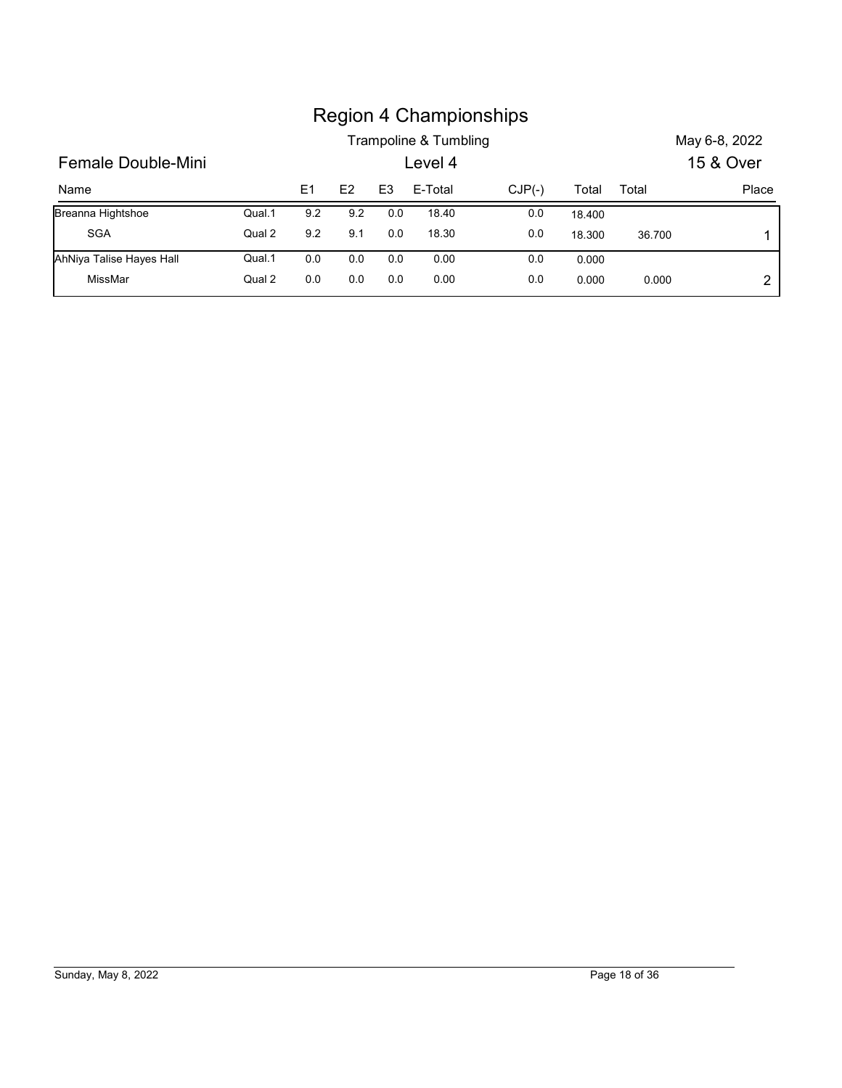|                          |        |                |     |                |                       | <b>Region 4 Championships</b> |        |        |               |
|--------------------------|--------|----------------|-----|----------------|-----------------------|-------------------------------|--------|--------|---------------|
|                          |        |                |     |                | Trampoline & Tumbling |                               |        |        | May 6-8, 2022 |
| Female Double-Mini       |        |                |     |                | Level 4               |                               |        |        | 15 & Over     |
| Name                     |        | E <sub>1</sub> | E2  | E <sub>3</sub> | E-Total               | $CJP(-)$                      | Total  | Total  |               |
| Breanna Hightshoe        | Qual.1 | 9.2            | 9.2 | 0.0            | 18.40                 | 0.0                           | 18.400 |        | Place         |
| SGA                      | Qual 2 | 9.2            | 9.1 | 0.0            | 18.30                 | 0.0                           | 18.300 | 36.700 | 1             |
| AhNiya Talise Hayes Hall | Qual.1 | 0.0            | 0.0 | 0.0            | 0.00                  | 0.0                           | 0.000  |        |               |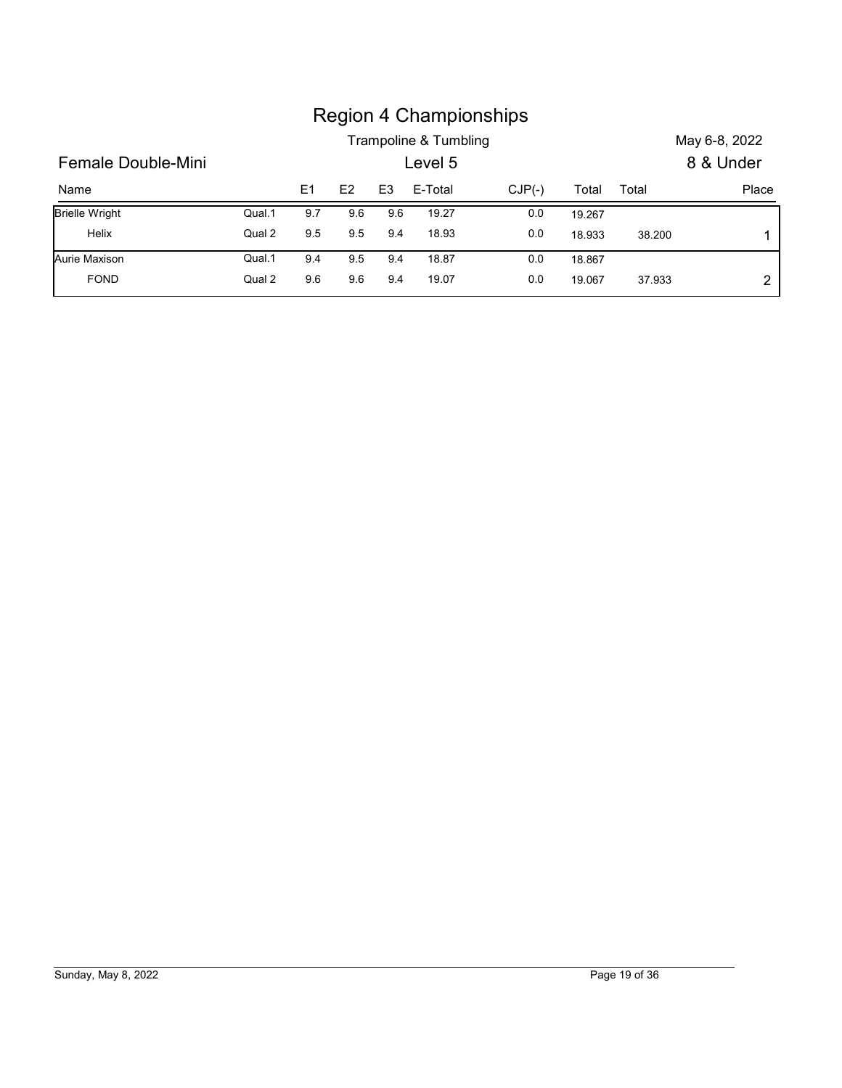|                       |        |     |                |                |                       | <b>Region 4 Championships</b> |        |        |               |
|-----------------------|--------|-----|----------------|----------------|-----------------------|-------------------------------|--------|--------|---------------|
|                       |        |     |                |                | Trampoline & Tumbling |                               |        |        | May 6-8, 2022 |
| Female Double-Mini    |        |     |                |                | Level 5               |                               |        |        | 8 & Under     |
| Name                  |        | E1  | E <sub>2</sub> | E <sub>3</sub> | E-Total               | $CJP(-)$                      | Total  | Total  |               |
| <b>Brielle Wright</b> | Qual.1 | 9.7 | 9.6            | 9.6            | 19.27                 | 0.0                           | 19.267 |        |               |
| Helix                 | Qual 2 | 9.5 | 9.5            | 9.4            | 18.93                 | 0.0                           | 18.933 | 38.200 | Place<br>1    |
| Aurie Maxison         | Qual.1 | 9.4 | 9.5            | 9.4            | 18.87                 | 0.0                           | 18.867 |        |               |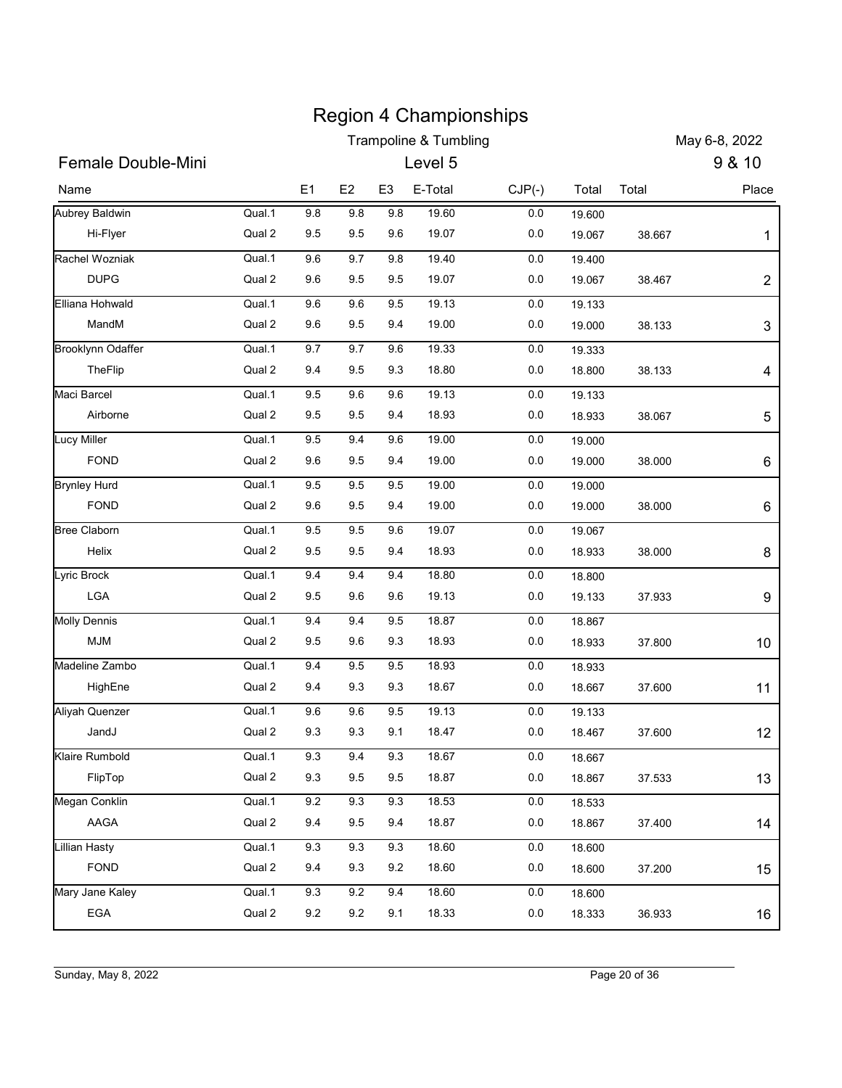|                                                                                                                                                       |                                                                              |                                               |                                                   |                                               | <b>Region 4 Championships</b>                               |                                                                           |                                                          |                                                       |                |
|-------------------------------------------------------------------------------------------------------------------------------------------------------|------------------------------------------------------------------------------|-----------------------------------------------|---------------------------------------------------|-----------------------------------------------|-------------------------------------------------------------|---------------------------------------------------------------------------|----------------------------------------------------------|-------------------------------------------------------|----------------|
|                                                                                                                                                       |                                                                              |                                               |                                                   |                                               | <b>Trampoline &amp; Tumbling</b>                            |                                                                           |                                                          |                                                       | May 6-8, 2022  |
| Female Double-Mini                                                                                                                                    |                                                                              |                                               |                                                   |                                               | Level 5                                                     |                                                                           |                                                          |                                                       | 9 & 10         |
| Name                                                                                                                                                  |                                                                              | E1                                            | E <sub>2</sub>                                    | E <sub>3</sub>                                | E-Total                                                     | $CJP(-)$                                                                  | Total                                                    | Total                                                 | Place          |
| Aubrey Baldwin                                                                                                                                        | Qual.1                                                                       | 9.8                                           | 9.8                                               | 9.8                                           | 19.60                                                       | $0.0\,$                                                                   | 19.600                                                   |                                                       |                |
| Hi-Flyer                                                                                                                                              | Qual 2                                                                       | 9.5                                           | 9.5                                               | 9.6                                           | 19.07                                                       | 0.0                                                                       | 19.067                                                   | 38.667                                                | 1              |
| Rachel Wozniak                                                                                                                                        | Qual.1<br>Qual 2                                                             | 9.6                                           | 9.7                                               | 9.8                                           | 19.40                                                       | 0.0                                                                       | 19.400                                                   |                                                       |                |
| <b>DUPG</b><br>Elliana Hohwald                                                                                                                        |                                                                              | 9.6                                           | 9.5                                               | 9.5                                           | 19.07                                                       | 0.0                                                                       | 19.067                                                   | 38.467                                                | $\overline{2}$ |
| MandM                                                                                                                                                 | Qual.1<br>Qual 2                                                             | 9.6<br>9.6                                    | 9.6<br>9.5                                        | 9.5<br>9.4                                    | 19.13<br>19.00                                              | $0.0\,$<br>$0.0\,$                                                        | 19.133<br>19.000                                         | 38.133                                                | $\sqrt{3}$     |
| <b>Brooklynn Odaffer</b>                                                                                                                              | Qual.1                                                                       | 9.7                                           | 9.7                                               | 9.6                                           | 19.33                                                       | $0.0\,$                                                                   | 19.333                                                   |                                                       |                |
| TheFlip                                                                                                                                               | Qual 2                                                                       | 9.4                                           | 9.5                                               | 9.3                                           | 18.80                                                       | 0.0                                                                       | 18.800                                                   | 38.133                                                | 4              |
| Maci Barcel                                                                                                                                           | Qual.1                                                                       | 9.5                                           | 9.6                                               | 9.6                                           | 19.13                                                       | $0.0\,$                                                                   | 19.133                                                   |                                                       |                |
| Airborne                                                                                                                                              | Qual 2                                                                       | 9.5                                           | 9.5                                               | 9.4                                           | 18.93                                                       | $0.0\,$                                                                   | 18.933                                                   | 38.067                                                | 5              |
| Lucy Miller                                                                                                                                           | Qual.1                                                                       | 9.5                                           | 9.4                                               | 9.6                                           | 19.00                                                       | $0.0\,$                                                                   | 19.000                                                   |                                                       |                |
| FOND                                                                                                                                                  | Qual 2                                                                       | 9.6                                           | 9.5                                               | 9.4                                           | 19.00                                                       | $0.0\,$                                                                   | 19.000                                                   | 38.000                                                | 6              |
| <b>Brynley Hurd</b>                                                                                                                                   | Qual.1                                                                       | 9.5                                           | 9.5                                               | $9.5\,$                                       | 19.00                                                       | $0.0\,$                                                                   | 19.000                                                   |                                                       |                |
| FOND                                                                                                                                                  | Qual 2                                                                       | 9.6                                           | 9.5                                               | 9.4                                           | 19.00                                                       | $0.0\,$                                                                   | 19.000                                                   | 38.000                                                | 6              |
| <b>Bree Claborn</b>                                                                                                                                   | Qual.1                                                                       | 9.5                                           | 9.5                                               | $9.6\,$                                       | 19.07                                                       | $0.0\,$                                                                   | 19.067                                                   |                                                       |                |
| Helix                                                                                                                                                 | Qual 2                                                                       | 9.5                                           | 9.5                                               | 9.4                                           | 18.93                                                       | $0.0\,$                                                                   | 18.933                                                   | 38.000                                                | 8              |
| Lyric Brock                                                                                                                                           | Qual.1                                                                       | 9.4                                           | 9.4                                               | 9.4                                           | 18.80                                                       | $0.0\,$                                                                   | 18.800                                                   |                                                       |                |
| LGA                                                                                                                                                   | Qual 2                                                                       | 9.5                                           | 9.6                                               | 9.6                                           | 19.13                                                       | $0.0\,$                                                                   | 19.133                                                   | 37.933                                                | 9              |
| <b>Molly Dennis</b>                                                                                                                                   | Qual.1                                                                       | 9.4                                           | 9.4                                               | $9.5\,$                                       | 18.87                                                       | $0.0\,$                                                                   | 18.867                                                   |                                                       |                |
| <b>MJM</b>                                                                                                                                            | Qual 2                                                                       | 9.5                                           | 9.6                                               | 9.3                                           | 18.93                                                       | $0.0\,$                                                                   | 18.933                                                   | 37.800                                                | 10             |
|                                                                                                                                                       | Qual.1                                                                       | 9.4                                           | $9.5\,$                                           | $9.5\,$                                       | 18.93                                                       | $0.0\,$                                                                   | 18.933                                                   |                                                       |                |
| HighEne                                                                                                                                               | Qual 2                                                                       | 9.4                                           | 9.3                                               | 9.3                                           | 18.67                                                       | 0.0                                                                       | 18.667                                                   | 37.600                                                | 11             |
| Aliyah Quenzer                                                                                                                                        | Qual.1                                                                       | 9.6                                           | $9.6\,$                                           | $9.5\,$                                       | 19.13                                                       | 0.0                                                                       | 19.133                                                   |                                                       |                |
| JandJ                                                                                                                                                 |                                                                              | 9.3                                           | 9.3                                               | 9.1                                           | 18.47                                                       | $0.0\,$                                                                   | 18.467                                                   | 37.600                                                | 12             |
|                                                                                                                                                       | Qual.1                                                                       | 9.3                                           | 9.4                                               | $9.3\,$                                       | 18.67                                                       | $0.0\,$                                                                   | 18.667                                                   |                                                       |                |
|                                                                                                                                                       |                                                                              |                                               |                                                   |                                               |                                                             |                                                                           |                                                          |                                                       | 13             |
|                                                                                                                                                       |                                                                              |                                               |                                                   |                                               |                                                             |                                                                           | 18.533                                                   |                                                       |                |
|                                                                                                                                                       |                                                                              |                                               |                                                   |                                               |                                                             |                                                                           |                                                          |                                                       | 14             |
|                                                                                                                                                       |                                                                              |                                               |                                                   |                                               |                                                             |                                                                           |                                                          |                                                       |                |
|                                                                                                                                                       |                                                                              |                                               |                                                   |                                               |                                                             |                                                                           |                                                          |                                                       | 15             |
|                                                                                                                                                       |                                                                              |                                               |                                                   |                                               |                                                             |                                                                           |                                                          |                                                       |                |
|                                                                                                                                                       |                                                                              |                                               |                                                   |                                               |                                                             |                                                                           |                                                          |                                                       | 16             |
| Madeline Zambo<br>Klaire Rumbold<br>FlipTop<br>Megan Conklin<br>AAGA<br><b>Lillian Hasty</b><br>FOND<br>Mary Jane Kaley<br>EGA<br>Sunday, May 8, 2022 | Qual 2<br>Qual 2<br>Qual.1<br>Qual 2<br>Qual.1<br>Qual 2<br>Qual.1<br>Qual 2 | 9.3<br>9.2<br>9.4<br>9.3<br>9.4<br>9.3<br>9.2 | 9.5<br>9.3<br>9.5<br>9.3<br>9.3<br>$9.2\,$<br>9.2 | 9.5<br>9.3<br>9.4<br>9.3<br>9.2<br>9.4<br>9.1 | 18.87<br>18.53<br>18.87<br>18.60<br>18.60<br>18.60<br>18.33 | $0.0\,$<br>$0.0\,$<br>$0.0\,$<br>$0.0\,$<br>$0.0\,$<br>$0.0\,$<br>$0.0\,$ | 18.867<br>18.867<br>18.600<br>18.600<br>18.600<br>18.333 | 37.533<br>37.400<br>37.200<br>36.933<br>Page 20 of 36 |                |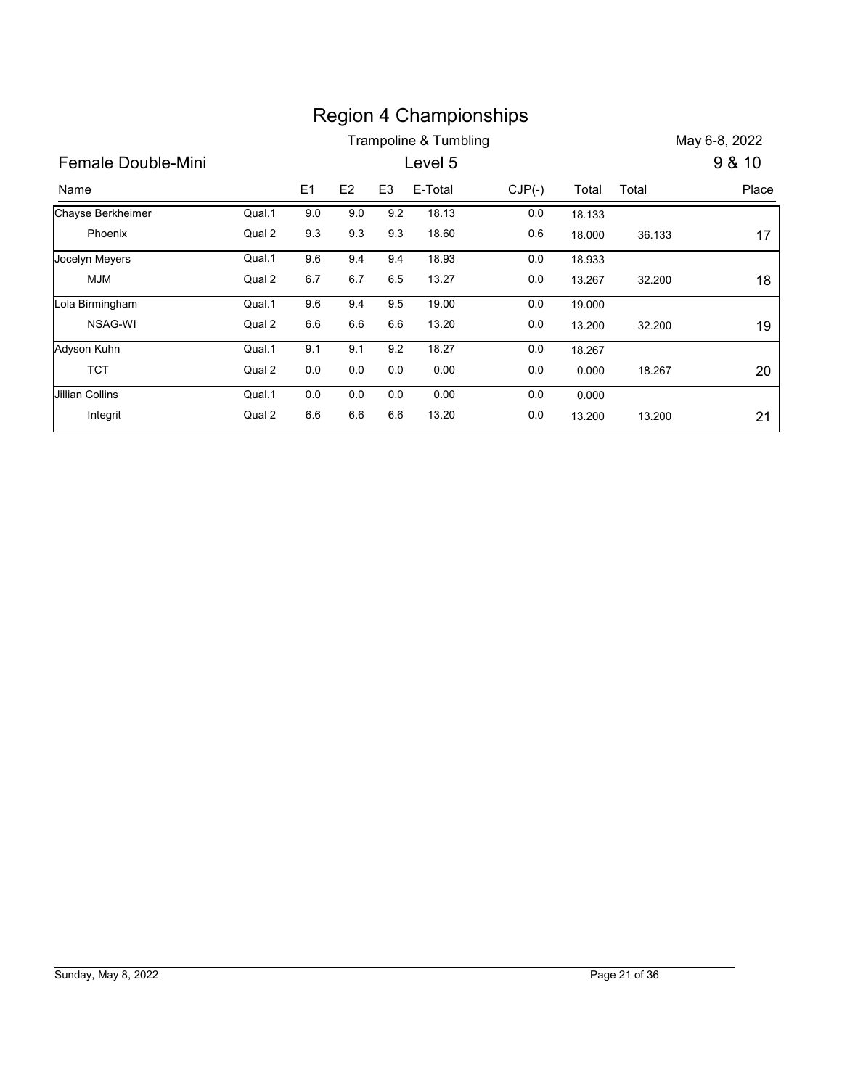|                        |        |         |         |                | <b>Region 4 Championships</b> |          |        |        |               |
|------------------------|--------|---------|---------|----------------|-------------------------------|----------|--------|--------|---------------|
|                        |        |         |         |                | Trampoline & Tumbling         |          |        |        | May 6-8, 2022 |
| Female Double-Mini     |        |         |         |                | Level 5                       |          |        |        | 9 & 10        |
| Name                   |        | E1      | E2      | E <sub>3</sub> | E-Total                       | $CJP(-)$ | Total  | Total  | Place         |
| Chayse Berkheimer      | Qual.1 | $9.0\,$ | 9.0     | 9.2            | 18.13                         | $0.0\,$  | 18.133 |        |               |
| Phoenix                | Qual 2 | 9.3     | 9.3     | 9.3            | 18.60                         | $0.6\,$  | 18.000 | 36.133 | 17            |
| Jocelyn Meyers         | Qual.1 | 9.6     | 9.4     | 9.4            | 18.93                         | 0.0      | 18.933 |        |               |
| <b>MJM</b>             | Qual 2 | 6.7     | 6.7     | 6.5            | 13.27                         | $0.0\,$  | 13.267 | 32.200 | 18            |
| Lola Birmingham        | Qual.1 | 9.6     | 9.4     | 9.5            | 19.00                         | 0.0      | 19.000 |        |               |
| NSAG-WI                | Qual 2 | 6.6     | 6.6     | 6.6            | 13.20                         | 0.0      | 13.200 | 32.200 | 19            |
| Adyson Kuhn            | Qual.1 | 9.1     | 9.1     | 9.2            | 18.27                         | 0.0      | 18.267 |        |               |
| <b>TCT</b>             | Qual 2 | 0.0     | 0.0     | $0.0\,$        | 0.00                          | 0.0      | 0.000  | 18.267 | 20            |
| <b>Jillian Collins</b> | Qual.1 | 0.0     | 0.0     | 0.0            | 0.00                          | $0.0\,$  | 0.000  |        |               |
| Integrit               | Qual 2 | $6.6\,$ | $6.6\,$ | $6.6\,$        | 13.20                         | $0.0\,$  | 13.200 | 13.200 | 21            |
|                        |        |         |         |                |                               |          |        |        |               |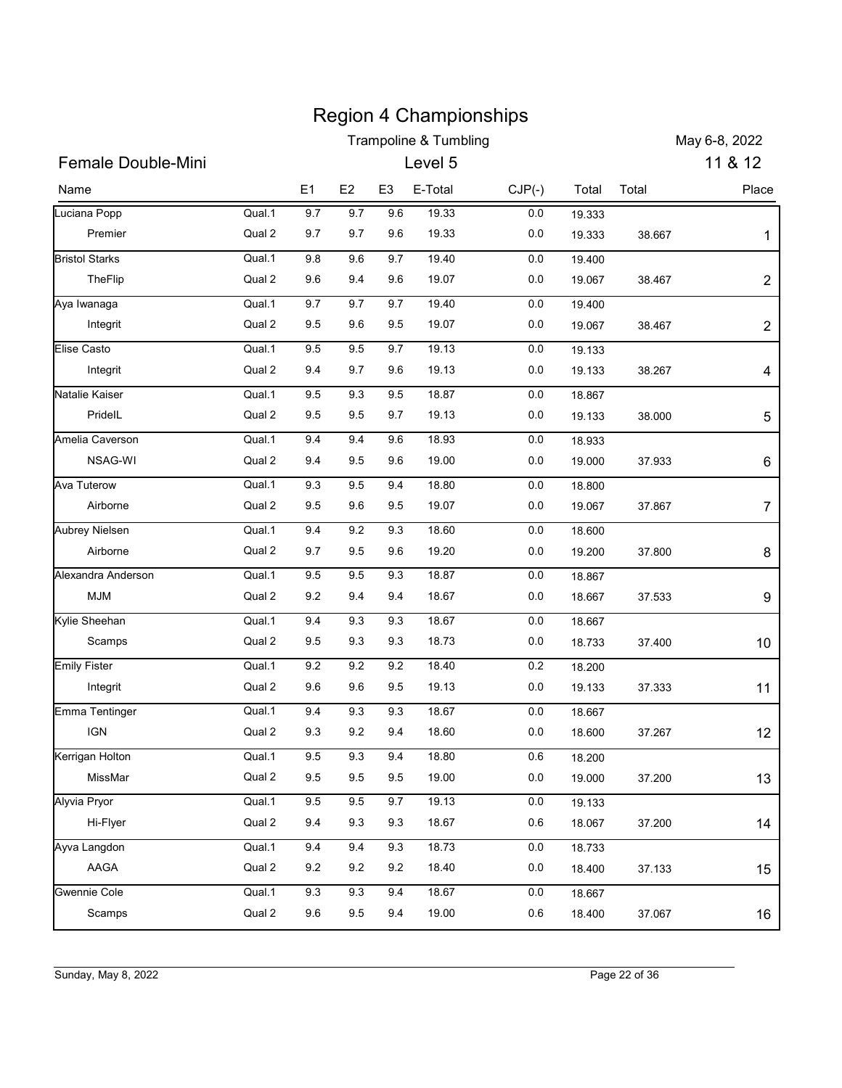|                           |        |         |         |                | <b>Region 4 Championships</b>    |          |        |               |                |
|---------------------------|--------|---------|---------|----------------|----------------------------------|----------|--------|---------------|----------------|
| <b>Female Double-Mini</b> |        |         |         |                | <b>Trampoline &amp; Tumbling</b> |          |        |               | May 6-8, 2022  |
|                           |        |         |         |                | Level 5                          |          |        |               | 11 & 12        |
| Name                      |        | E1      | E2      | E <sub>3</sub> | E-Total                          | $CJP(-)$ | Total  | Total         | Place          |
| Luciana Popp              | Qual.1 | 9.7     | 9.7     | 9.6            | 19.33                            | 0.0      | 19.333 |               |                |
| Premier                   | Qual 2 | 9.7     | 9.7     | 9.6            | 19.33                            | 0.0      | 19.333 | 38.667        | 1              |
| <b>Bristol Starks</b>     | Qual.1 | 9.8     | 9.6     | 9.7            | 19.40                            | 0.0      | 19.400 |               |                |
| TheFlip                   | Qual 2 | 9.6     | 9.4     | 9.6            | 19.07                            | 0.0      | 19.067 | 38.467        | $\overline{2}$ |
| Aya Iwanaga               | Qual.1 | 9.7     | 9.7     | 9.7            | 19.40                            | 0.0      | 19.400 |               |                |
| Integrit                  | Qual 2 | 9.5     | 9.6     | 9.5            | 19.07                            | 0.0      | 19.067 | 38.467        | $\overline{c}$ |
| <b>Elise Casto</b>        | Qual.1 | 9.5     | 9.5     | 9.7            | 19.13                            | 0.0      | 19.133 |               |                |
| Integrit                  | Qual 2 | 9.4     | 9.7     | 9.6            | 19.13                            | 0.0      | 19.133 | 38.267        | 4              |
| Natalie Kaiser            | Qual.1 | 9.5     | 9.3     | 9.5            | 18.87                            | 0.0      | 18.867 |               |                |
| PridelL                   | Qual 2 | 9.5     | 9.5     | 9.7            | 19.13                            | $0.0\,$  | 19.133 | 38.000        | 5              |
| Amelia Caverson           | Qual.1 | 9.4     | 9.4     | 9.6            | 18.93                            | 0.0      | 18.933 |               |                |
| NSAG-WI                   | Qual 2 | 9.4     | 9.5     | 9.6            | 19.00                            | 0.0      | 19.000 | 37.933        | 6              |
| <b>Ava Tuterow</b>        | Qual.1 | 9.3     | 9.5     | 9.4            | 18.80                            | $0.0\,$  | 18.800 |               |                |
| Airborne                  | Qual 2 | 9.5     | 9.6     | 9.5            | 19.07                            | 0.0      | 19.067 | 37.867        | 7              |
| <b>Aubrey Nielsen</b>     | Qual.1 | 9.4     | 9.2     | 9.3            | 18.60                            | 0.0      | 18.600 |               |                |
| Airborne                  | Qual 2 | 9.7     | 9.5     | 9.6            | 19.20                            | 0.0      | 19.200 | 37.800        | 8              |
| Alexandra Anderson        | Qual.1 | 9.5     | 9.5     | 9.3            | 18.87                            | $0.0\,$  | 18.867 |               |                |
| <b>MJM</b>                | Qual 2 | 9.2     | 9.4     | 9.4            | 18.67                            | 0.0      | 18.667 | 37.533        | 9              |
| Kylie Sheehan             | Qual.1 | 9.4     | 9.3     | 9.3            | 18.67                            | 0.0      | 18.667 |               |                |
| Scamps                    | Qual 2 | $9.5\,$ | 9.3     | 9.3            | 18.73                            | 0.0      | 18.733 | 37.400        | 10             |
| <b>Emily Fister</b>       | Qual.1 | $9.2\,$ | 9.2     | 9.2            | 18.40                            | 0.2      | 18.200 |               |                |
| Integrit                  | Qual 2 | 9.6     | 9.6     | 9.5            | 19.13                            | 0.0      | 19.133 | 37.333        | 11             |
| Emma Tentinger            | Qual.1 | 9.4     | 9.3     | 9.3            | 18.67                            | 0.0      | 18.667 |               |                |
| <b>IGN</b>                | Qual 2 | 9.3     | 9.2     | 9.4            | 18.60                            | 0.0      | 18.600 | 37.267        | 12             |
| Kerrigan Holton           | Qual.1 | $9.5\,$ | 9.3     | 9.4            | 18.80                            | 0.6      | 18.200 |               |                |
| MissMar                   | Qual 2 | 9.5     | 9.5     | 9.5            | 19.00                            | 0.0      | 19.000 | 37.200        | 13             |
| Alyvia Pryor              | Qual.1 | $9.5\,$ | 9.5     | 9.7            | 19.13                            | 0.0      | 19.133 |               |                |
| Hi-Flyer                  | Qual 2 | 9.4     | 9.3     | 9.3            | 18.67                            | 0.6      | 18.067 | 37.200        | 14             |
| Ayva Langdon              | Qual.1 | 9.4     | 9.4     | 9.3            | 18.73                            | 0.0      | 18.733 |               |                |
| AAGA                      | Qual 2 | 9.2     | $9.2\,$ | 9.2            | 18.40                            | 0.0      | 18.400 | 37.133        | 15             |
| Gwennie Cole              | Qual.1 | 9.3     | 9.3     | 9.4            | 18.67                            | 0.0      | 18.667 |               |                |
| Scamps                    | Qual 2 | 9.6     | 9.5     | 9.4            | 19.00                            | 0.6      | 18.400 | 37.067        |                |
|                           |        |         |         |                |                                  |          |        |               | 16             |
|                           |        |         |         |                |                                  |          |        |               |                |
| Sunday, May 8, 2022       |        |         |         |                |                                  |          |        | Page 22 of 36 |                |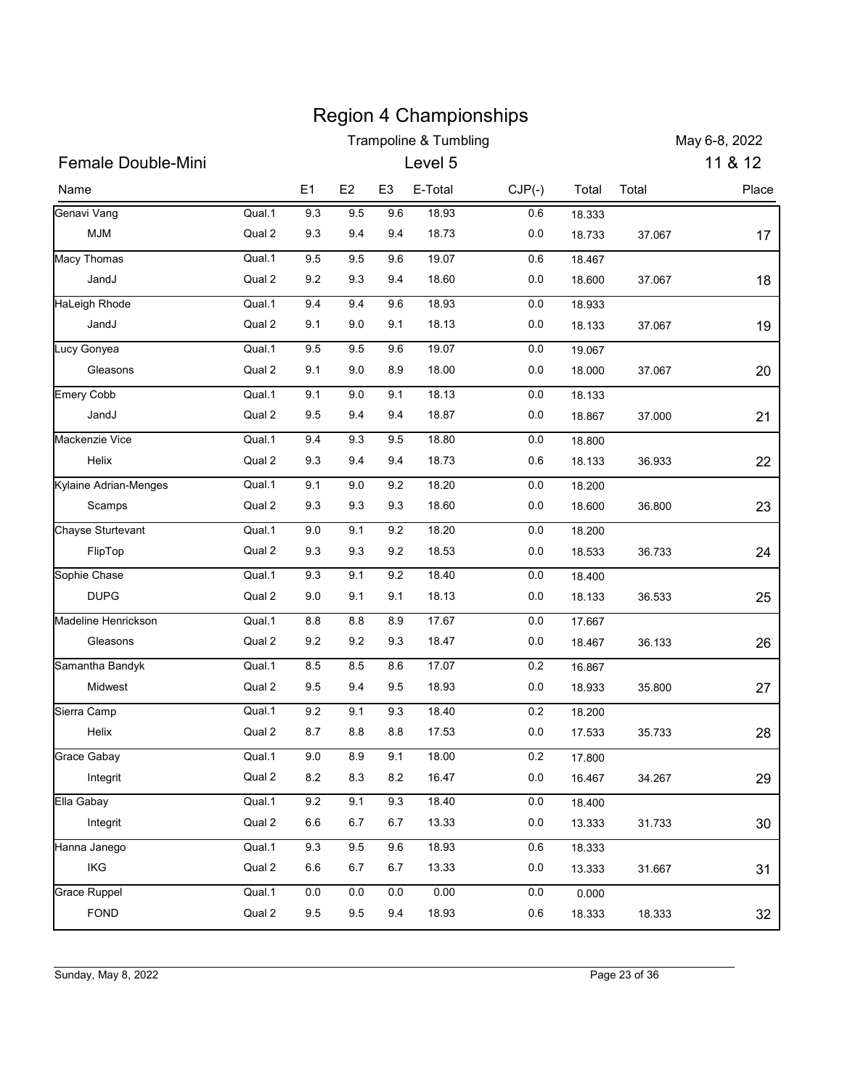|                           |        |           |         |                | <b>Region 4 Championships</b>    |          |                  |               |               |
|---------------------------|--------|-----------|---------|----------------|----------------------------------|----------|------------------|---------------|---------------|
|                           |        |           |         |                | <b>Trampoline &amp; Tumbling</b> |          |                  |               | May 6-8, 2022 |
| <b>Female Double-Mini</b> |        |           |         |                | Level 5                          |          |                  |               | 11 & 12       |
| Name                      |        | E1        | E2      | E <sub>3</sub> | E-Total                          | $CJP(-)$ | Total            | Total         | Place         |
| Genavi Vang               | Qual.1 | 9.3       | 9.5     | 9.6            | 18.93                            | 0.6      | 18.333           |               |               |
| <b>MJM</b>                | Qual 2 | 9.3       | 9.4     | 9.4            | 18.73                            | 0.0      | 18.733           | 37.067        | 17            |
| Macy Thomas               | Qual.1 | 9.5       | 9.5     | 9.6            | 19.07                            | 0.6      | 18.467           |               |               |
| JandJ                     | Qual 2 | 9.2       | 9.3     | 9.4            | 18.60                            | 0.0      | 18.600           | 37.067        | 18            |
| HaLeigh Rhode             | Qual.1 | 9.4       | 9.4     | 9.6            | 18.93                            | 0.0      | 18.933           |               |               |
| JandJ                     | Qual 2 | 9.1       | 9.0     | 9.1            | 18.13                            | 0.0      | 18.133           | 37.067        | 19            |
| Lucy Gonyea               | Qual.1 | 9.5       | 9.5     | 9.6            | 19.07                            | 0.0      | 19.067           |               |               |
| Gleasons                  | Qual 2 | 9.1       | 9.0     | 8.9            | 18.00                            | 0.0      | 18.000           | 37.067        | $20\,$        |
| <b>Emery Cobb</b>         | Qual.1 | 9.1       | 9.0     | 9.1            | 18.13                            | 0.0      | 18.133           |               |               |
| JandJ                     | Qual 2 | 9.5       | 9.4     | 9.4            | 18.87                            | $0.0\,$  | 18.867           | 37.000        | 21            |
| Mackenzie Vice            | Qual.1 | 9.4       | $9.3\,$ | 9.5            | 18.80                            | 0.0      | 18.800           |               |               |
| Helix                     | Qual 2 | $9.3\,$   | 9.4     | 9.4            | 18.73                            | 0.6      | 18.133           | 36.933        | 22            |
| Kylaine Adrian-Menges     | Qual.1 | 9.1       | $9.0\,$ | 9.2            | 18.20                            | $0.0\,$  | 18.200           |               |               |
| Scamps                    | Qual 2 | 9.3       | 9.3     | 9.3            | 18.60                            | 0.0      | 18.600           | 36.800        | 23            |
| <b>Chayse Sturtevant</b>  | Qual.1 | $9.0\,$   | 9.1     | 9.2            | 18.20                            | 0.0      | 18.200           |               |               |
| FlipTop                   | Qual 2 | 9.3       | 9.3     | 9.2            | 18.53                            | 0.0      | 18.533           | 36.733        | 24            |
| Sophie Chase              | Qual.1 | 9.3       | 9.1     | 9.2            | 18.40                            | $0.0\,$  | 18.400           |               |               |
| <b>DUPG</b>               | Qual 2 | 9.0       | 9.1     | 9.1            | 18.13                            | 0.0      | 18.133           | 36.533        | 25            |
| Madeline Henrickson       | Qual.1 | $\bf 8.8$ | $8.8\,$ | 8.9            | 17.67                            | 0.0      | 17.667           |               |               |
| Gleasons                  | Qual 2 | $9.2\,$   | $9.2\,$ | 9.3            | 18.47                            | 0.0      | 18.467           | 36.133        | 26            |
| Samantha Bandyk           | Qual.1 | $\bf 8.5$ | $8.5\,$ | 8.6            | 17.07                            | 0.2      | 16.867           |               |               |
| Midwest                   | Qual 2 | 9.5       | 9.4     | 9.5            | 18.93                            | 0.0      | 18.933           | 35.800        | 27            |
| Sierra Camp               | Qual.1 | $9.2\,$   | 9.1     | 9.3            | 18.40                            | 0.2      | 18.200           |               |               |
| Helix                     | Qual 2 | 8.7       | $8.8\,$ | 8.8            | 17.53                            | 0.0      | 17.533           | 35.733        | 28            |
| Grace Gabay               | Qual.1 | $9.0\,$   | $8.9\,$ | 9.1            | 18.00                            | 0.2      | 17.800           |               |               |
| Integrit                  | Qual 2 | $8.2\,$   | 8.3     | 8.2            | 16.47                            | 0.0      | 16.467           | 34.267        | 29            |
| Ella Gabay                | Qual.1 | $9.2\,$   | 9.1     | 9.3            | 18.40                            | 0.0      | 18.400           |               |               |
| Integrit                  | Qual 2 | $6.6\,$   | 6.7     | 6.7            | 13.33                            | 0.0      | 13.333           | 31.733        | 30            |
| Hanna Janego              | Qual.1 | 9.3       | 9.5     | 9.6            | 18.93                            | 0.6      |                  |               |               |
| IKG                       | Qual 2 | 6.6       | 6.7     | 6.7            | 13.33                            | 0.0      | 18.333<br>13.333 | 31.667        | 31            |
|                           |        |           |         |                |                                  |          |                  |               |               |
| <b>Grace Ruppel</b>       | Qual.1 | $0.0\,$   | $0.0\,$ | $0.0\,$        | 0.00                             | 0.0      | 0.000            |               |               |
| <b>FOND</b>               | Qual 2 | 9.5       | 9.5     | 9.4            | 18.93                            | 0.6      | 18.333           | 18.333        | 32            |
|                           |        |           |         |                |                                  |          |                  |               |               |
|                           |        |           |         |                |                                  |          |                  |               |               |
| Sunday, May 8, 2022       |        |           |         |                |                                  |          |                  | Page 23 of 36 |               |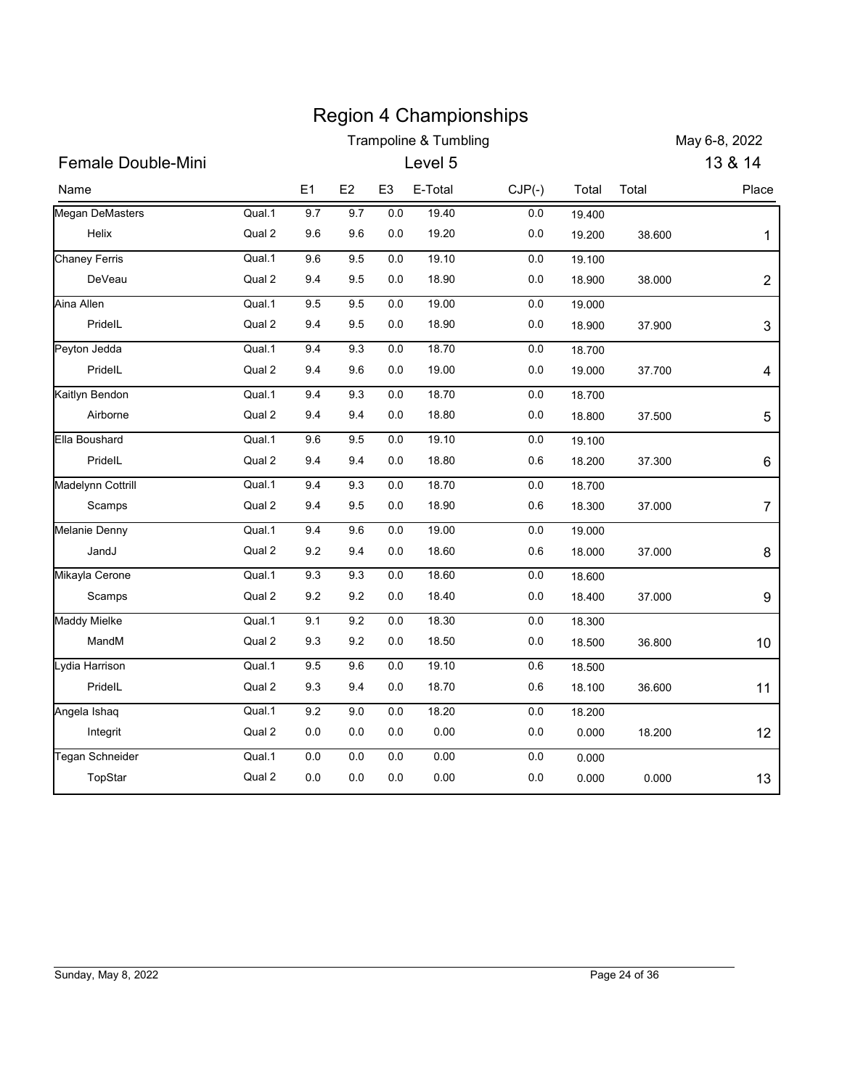|                                |                  |            |            |                | <b>Region 4 Championships</b> |                    |                  |        |                |
|--------------------------------|------------------|------------|------------|----------------|-------------------------------|--------------------|------------------|--------|----------------|
|                                |                  |            |            |                | Trampoline & Tumbling         |                    |                  |        | May 6-8, 2022  |
| Female Double-Mini             |                  |            |            |                | Level 5                       |                    |                  |        | 13 & 14        |
| Name                           |                  | E1         | E2         | E <sub>3</sub> | E-Total                       | $CJP(-)$           | Total            | Total  | Place          |
| <b>Megan DeMasters</b>         | Qual.1           | 9.7        | 9.7        | 0.0            | 19.40                         | $0.0\,$            | 19.400           |        |                |
| Helix                          | Qual 2           | 9.6        | 9.6        | 0.0            | 19.20                         | 0.0                | 19.200           | 38.600 | 1              |
| <b>Chaney Ferris</b><br>DeVeau | Qual.1<br>Qual 2 | 9.6<br>9.4 | 9.5<br>9.5 | 0.0<br>0.0     | 19.10<br>18.90                | $0.0\,$<br>$0.0\,$ | 19.100<br>18.900 | 38.000 |                |
| Aina Allen                     | Qual.1           | 9.5        | 9.5        | 0.0            | 19.00                         | $0.0\,$            | 19.000           |        | $\overline{c}$ |
| PridelL                        | Qual 2           | 9.4        | 9.5        | 0.0            | 18.90                         | $0.0\,$            | 18.900           | 37.900 | 3              |
| Peyton Jedda                   | Qual.1           | 9.4        | 9.3        | 0.0            | 18.70                         | $0.0\,$            | 18.700           |        |                |
| PridelL                        | Qual 2           | 9.4        | 9.6        | 0.0            | 19.00                         | $0.0\,$            | 19.000           | 37.700 | 4              |
| Kaitlyn Bendon                 | Qual.1           | 9.4        | 9.3        | 0.0            | 18.70                         | 0.0                | 18.700           |        |                |
| Airborne                       | Qual 2           | 9.4        | 9.4        | 0.0            | 18.80                         | 0.0                | 18.800           | 37.500 | 5              |
| Ella Boushard                  | Qual.1           | $9.6\,$    | 9.5        | 0.0            | 19.10                         | $0.0\,$            | 19.100           |        |                |
| PridelL                        | Qual 2           | 9.4        | 9.4        | $0.0\,$        | 18.80                         | $0.6\,$            | 18.200           | 37.300 | 6              |
| <b>Madelynn Cottrill</b>       | Qual.1           | 9.4        | 9.3        | $0.0\,$        | 18.70                         | $0.0\,$            | 18.700           |        |                |
| Scamps                         | Qual 2           | 9.4        | 9.5        | 0.0            | 18.90                         | $0.6\,$            | 18.300           | 37.000 | $\overline{7}$ |
| Melanie Denny                  | Qual.1           | 9.4        | 9.6        | 0.0            | 19.00                         | $0.0\,$            | 19.000           |        |                |
| JandJ                          | Qual 2           | 9.2        | 9.4        | $0.0\,$        | 18.60                         | $0.6\,$            | 18.000           | 37.000 | 8              |
| Mikayla Cerone                 | Qual.1           | 9.3        | 9.3        | $0.0\,$        | 18.60                         | $0.0\,$            | 18.600           |        |                |
| Scamps                         | Qual 2           | $9.2\,$    | $9.2\,$    | 0.0            | 18.40                         | $0.0\,$            | 18.400           | 37.000 | 9              |
| <b>Maddy Mielke</b>            | Qual.1           | 9.1        | 9.2        | 0.0            | 18.30                         | $0.0\,$            | 18.300           |        |                |
| MandM                          | Qual 2           | 9.3        | 9.2        | $0.0\,$        | 18.50                         | $0.0\,$            | 18.500           | 36.800 | $10$           |
| Lydia Harrison                 | Qual.1           | $9.5\,$    | $9.6\,$    | $0.0\,$        | 19.10                         | $0.6\,$            | 18.500           |        |                |
| PridelL                        | Qual 2           | $9.3\,$    | 9.4        | 0.0            | 18.70                         | 0.6                | 18.100           | 36.600 | 11             |
| Angela Ishaq                   | Qual.1           | $9.2\,$    | $9.0\,$    | 0.0            | 18.20                         | $0.0\,$            | 18.200           |        |                |
| Integrit                       | Qual 2           | $0.0\,$    | $0.0\,$    | $0.0\,$        | 0.00                          | $0.0\,$            | 0.000            | 18.200 | 12             |
| Tegan Schneider                | Qual.1           | $0.0\,$    | $0.0\,$    | $0.0\,$        | $0.00\,$                      | $0.0\,$            | 0.000            |        |                |
| TopStar                        | Qual 2           | $0.0\,$    | 0.0        | 0.0            | 0.00                          | $0.0\,$            | 0.000            | 0.000  | 13             |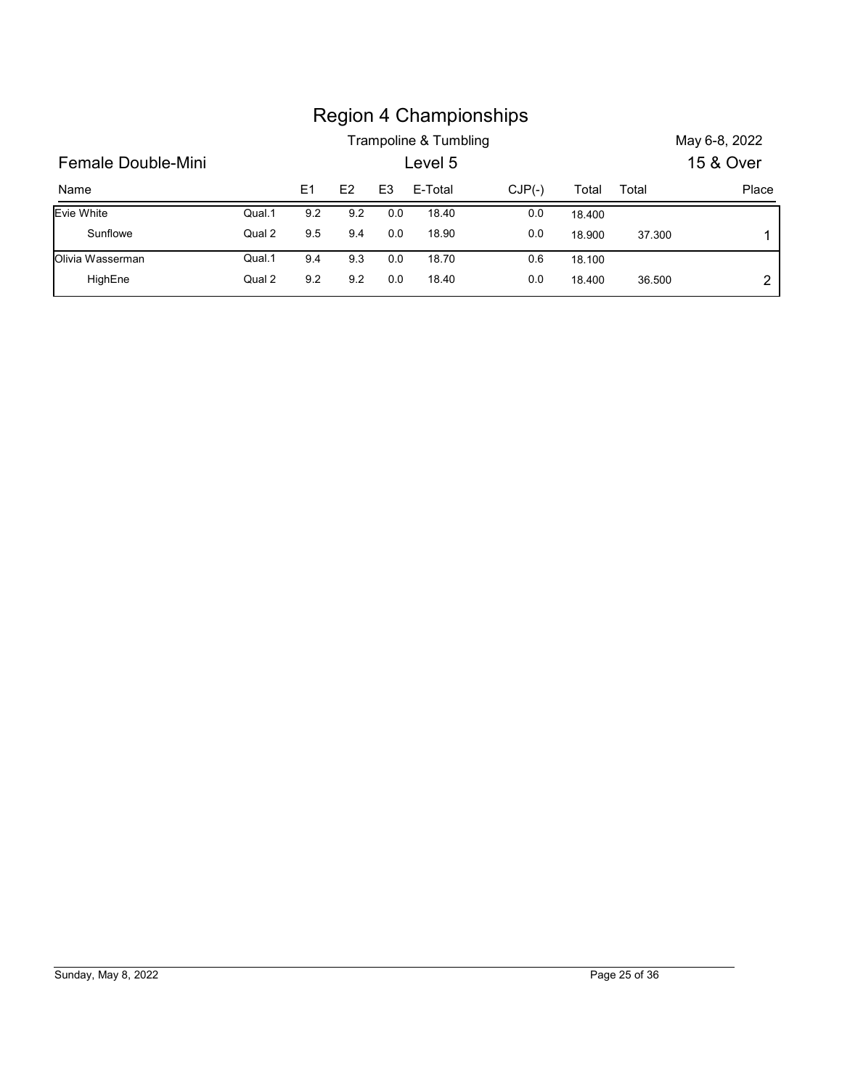|                    |        |                |     |                |                       | <b>Region 4 Championships</b> |        |        |               |
|--------------------|--------|----------------|-----|----------------|-----------------------|-------------------------------|--------|--------|---------------|
|                    |        |                |     |                | Trampoline & Tumbling |                               |        |        | May 6-8, 2022 |
| Female Double-Mini |        |                |     |                | Level 5               |                               |        |        | 15 & Over     |
| Name               |        | E <sub>1</sub> | E2  | E <sub>3</sub> | E-Total               | $CJP(-)$                      | Total  | Total  | Place         |
| Evie White         | Qual.1 | 9.2            | 9.2 | 0.0            | 18.40                 | 0.0                           | 18.400 |        |               |
| Sunflowe           | Qual 2 | 9.5            | 9.4 | 0.0            | 18.90                 | 0.0                           | 18.900 | 37.300 | 1             |
| Olivia Wasserman   | Qual.1 | 9.4            | 9.3 | 0.0            | 18.70                 | 0.6                           | 18.100 |        |               |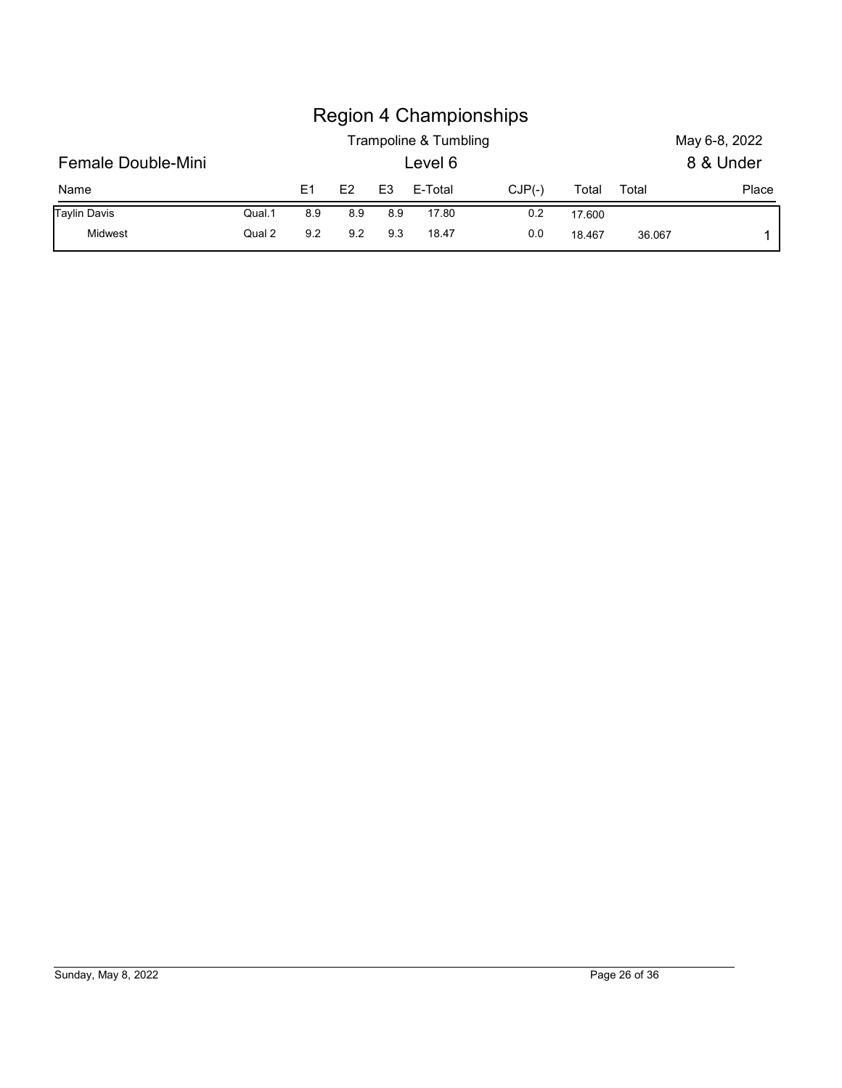|                     |        |                |     |                |                       | <b>Region 4 Championships</b> |        |       |               |
|---------------------|--------|----------------|-----|----------------|-----------------------|-------------------------------|--------|-------|---------------|
|                     |        |                |     |                | Trampoline & Tumbling |                               |        |       | May 6-8, 2022 |
| Female Double-Mini  |        |                |     |                | Level 6               |                               |        |       | 8 & Under     |
| Name                |        | E <sub>1</sub> | E2  | E <sub>3</sub> | E-Total               | $CJP(-)$                      | Total  | Total | Place         |
| <b>Taylin Davis</b> | Qual.1 | 8.9            | 8.9 | 8.9            | 17.80                 | 0.2                           | 17.600 |       |               |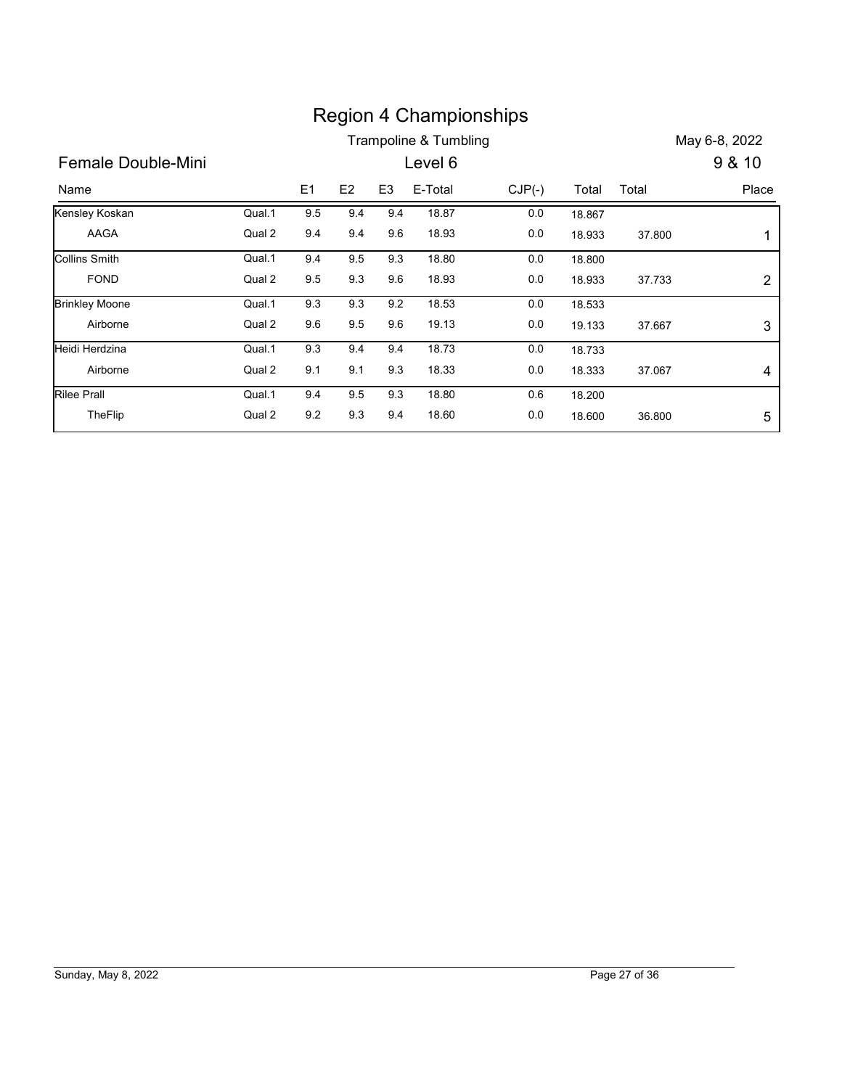|                       |        |                |     |                | <b>Region 4 Championships</b> |          |        |        |                           |
|-----------------------|--------|----------------|-----|----------------|-------------------------------|----------|--------|--------|---------------------------|
|                       |        |                |     |                | Trampoline & Tumbling         |          |        |        | May 6-8, 2022             |
| Female Double-Mini    |        |                |     |                | Level 6                       |          |        |        | 9 & 10                    |
|                       |        |                |     |                |                               |          |        |        |                           |
| Name                  |        | E <sub>1</sub> | E2  | E <sub>3</sub> | E-Total                       | $CJP(-)$ | Total  | Total  | Place                     |
| Kensley Koskan        | Qual.1 | 9.5            | 9.4 | 9.4            | 18.87                         | 0.0      | 18.867 |        |                           |
| AAGA                  | Qual 2 | 9.4            | 9.4 | 9.6            | 18.93                         | 0.0      | 18.933 | 37.800 | $\mathbf 1$               |
| <b>Collins Smith</b>  | Qual.1 | 9.4            | 9.5 | 9.3            | 18.80                         | $0.0\,$  | 18.800 |        |                           |
| <b>FOND</b>           | Qual 2 | 9.5            | 9.3 | 9.6            | 18.93                         | 0.0      | 18.933 | 37.733 | $\boldsymbol{2}$          |
| <b>Brinkley Moone</b> | Qual.1 | 9.3            | 9.3 | 9.2            | 18.53                         | 0.0      | 18.533 |        |                           |
| Airborne              | Qual 2 | 9.6            | 9.5 | 9.6            | 19.13                         | 0.0      | 19.133 | 37.667 | $\ensuremath{\mathsf{3}}$ |
| Heidi Herdzina        | Qual.1 | 9.3            | 9.4 | 9.4            | 18.73                         | 0.0      | 18.733 |        |                           |
| Airborne              | Qual 2 | 9.1            | 9.1 | 9.3            | 18.33                         | 0.0      | 18.333 | 37.067 | 4                         |
| <b>Rilee Prall</b>    | Qual.1 | 9.4            | 9.5 | 9.3            | 18.80                         | 0.6      | 18.200 |        |                           |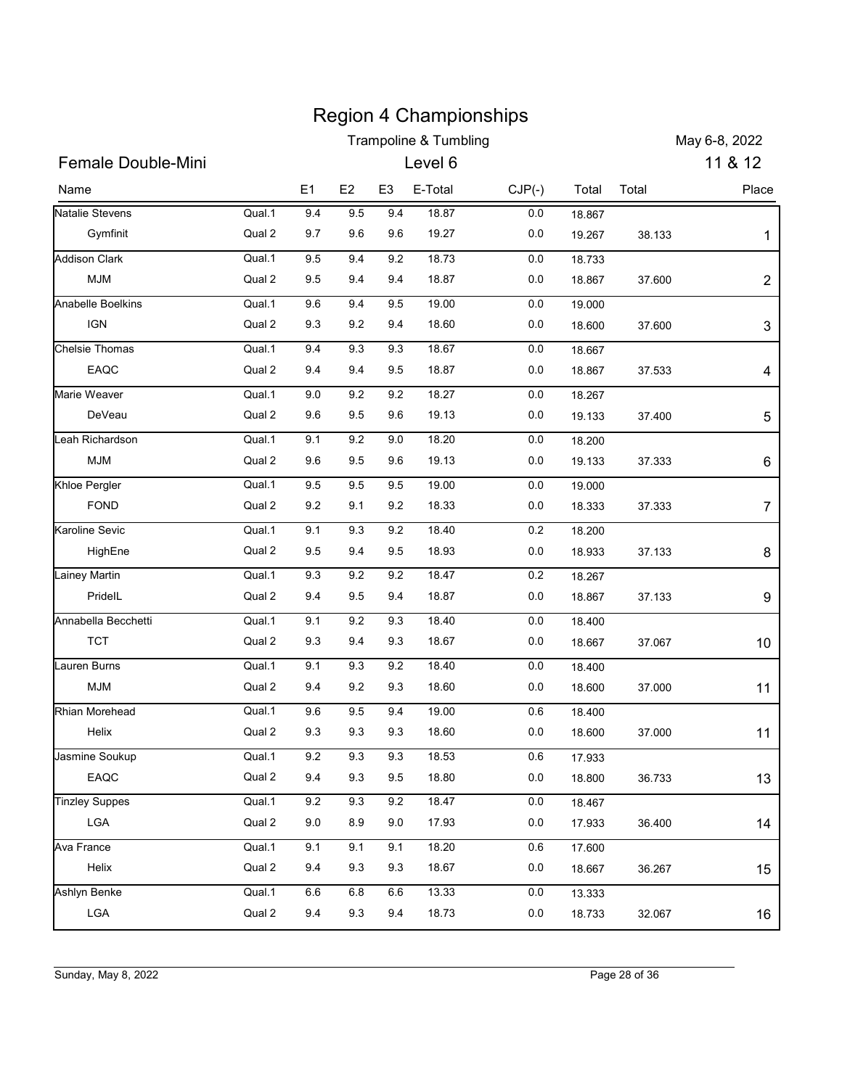|                                    |                  |            |                |                | <b>Region 4 Championships</b>    |            |                  |               |                  |
|------------------------------------|------------------|------------|----------------|----------------|----------------------------------|------------|------------------|---------------|------------------|
| <b>Female Double-Mini</b>          |                  |            |                |                | <b>Trampoline &amp; Tumbling</b> |            |                  |               | May 6-8, 2022    |
|                                    |                  |            |                |                | Level 6                          |            |                  |               | 11 & 12          |
| Name                               |                  | E1         | E <sub>2</sub> | E <sub>3</sub> | E-Total                          | $CJP(-)$   | Total            | Total         | Place            |
| Natalie Stevens                    | Qual.1           | 9.4        | 9.5            | 9.4            | 18.87                            | 0.0        | 18.867           |               |                  |
| Gymfinit                           | Qual 2           | 9.7        | 9.6            | 9.6            | 19.27                            | 0.0        | 19.267           | 38.133        | 1                |
| <b>Addison Clark</b><br><b>MJM</b> | Qual.1<br>Qual 2 | 9.5<br>9.5 | 9.4<br>9.4     | 9.2<br>9.4     | 18.73<br>18.87                   | 0.0<br>0.0 | 18.733<br>18.867 | 37.600        | $\overline{2}$   |
| Anabelle Boelkins                  | Qual.1           | 9.6        | 9.4            | 9.5            | 19.00                            | 0.0        | 19.000           |               |                  |
| <b>IGN</b>                         | Qual 2           | 9.3        | 9.2            | 9.4            | 18.60                            | 0.0        | 18.600           | 37.600        | 3                |
| <b>Chelsie Thomas</b>              | Qual.1           | 9.4        | 9.3            | 9.3            | 18.67                            | 0.0        | 18.667           |               |                  |
| EAQC                               | Qual 2           | 9.4        | 9.4            | 9.5            | 18.87                            | 0.0        | 18.867           | 37.533        | 4                |
| Marie Weaver                       | Qual.1           | 9.0        | 9.2            | 9.2            | 18.27                            | 0.0        | 18.267           |               |                  |
| DeVeau                             | Qual 2           | 9.6        | 9.5            | 9.6            | 19.13                            | $0.0\,$    | 19.133           | 37.400        | 5                |
| Leah Richardson                    | Qual.1           | 9.1        | 9.2            | 9.0            | 18.20                            | 0.0        | 18.200           |               |                  |
| MJM                                | Qual 2           | $9.6\,$    | 9.5            | 9.6            | 19.13                            | 0.0        | 19.133           | 37.333        | 6                |
| Khloe Pergler                      | Qual.1           | 9.5        | 9.5            | 9.5            | 19.00                            | $0.0\,$    | 19.000           |               |                  |
| <b>FOND</b>                        | Qual 2           | 9.2        | 9.1            | 9.2            | 18.33                            | 0.0        | 18.333           | 37.333        | $\boldsymbol{7}$ |
| Karoline Sevic                     | Qual.1           | 9.1        | 9.3            | 9.2            | 18.40                            | 0.2        | 18.200           |               |                  |
| HighEne                            | Qual 2           | 9.5        | 9.4            | 9.5            | 18.93                            | 0.0        | 18.933           | 37.133        | 8                |
| Lainey Martin                      | Qual.1           | 9.3        | 9.2            | 9.2            | 18.47                            | $0.2\,$    | 18.267           |               |                  |
| PridelL                            | Qual 2           | 9.4        | 9.5            | 9.4            | 18.87                            | 0.0        | 18.867           | 37.133        | 9                |
| Annabella Becchetti                | Qual.1           | 9.1        | 9.2            | 9.3            | 18.40                            | 0.0        | 18.400           |               |                  |
| <b>TCT</b>                         | Qual 2           | 9.3        | 9.4            | 9.3            | 18.67                            | 0.0        | 18.667           | 37.067        | 10               |
| Lauren Burns                       | Qual.1           | 9.1        | $9.3\,$        | 9.2            | 18.40                            | 0.0        | 18.400           |               |                  |
| <b>MJM</b>                         | Qual 2           | 9.4        | 9.2            | 9.3            | 18.60                            | 0.0        | 18.600           | 37.000        | 11               |
| <b>Rhian Morehead</b>              | Qual.1           | $9.6\,$    | 9.5            | 9.4            | 19.00                            | 0.6        | 18.400           |               |                  |
| Helix                              | Qual 2           | 9.3        | 9.3            | 9.3            | 18.60                            | 0.0        | 18.600           | 37.000        | 11               |
| Jasmine Soukup                     | Qual.1           | 9.2        | 9.3            | 9.3            | 18.53                            | 0.6        | 17.933           |               |                  |
| EAQC                               | Qual 2           | 9.4        | 9.3            | 9.5            | 18.80                            | 0.0        | 18.800           | 36.733        | 13               |
| <b>Tinzley Suppes</b>              | Qual.1           | $9.2\,$    | 9.3            | 9.2            | 18.47                            | 0.0        | 18.467           |               |                  |
| ${\sf LGA}$                        | Qual 2           | 9.0        | 8.9            | 9.0            | 17.93                            | 0.0        | 17.933           | 36.400        | 14               |
| Ava France                         | Qual.1           | 9.1        | 9.1            | 9.1            | 18.20                            | 0.6        |                  |               |                  |
| Helix                              | Qual 2           | 9.4        | 9.3            | 9.3            | 18.67                            | 0.0        | 17.600<br>18.667 | 36.267        | 15               |
| Ashlyn Benke                       |                  |            |                |                |                                  |            |                  |               |                  |
|                                    | Qual.1           | 6.6        | $6.8\,$        | $6.6\,$        | 13.33                            | 0.0        | 13.333           |               |                  |
| ${\sf LGA}$                        | Qual 2           | 9.4        | 9.3            | 9.4            | 18.73                            | 0.0        | 18.733           | 32.067        | 16               |
|                                    |                  |            |                |                |                                  |            |                  |               |                  |
| Sunday, May 8, 2022                |                  |            |                |                |                                  |            |                  | Page 28 of 36 |                  |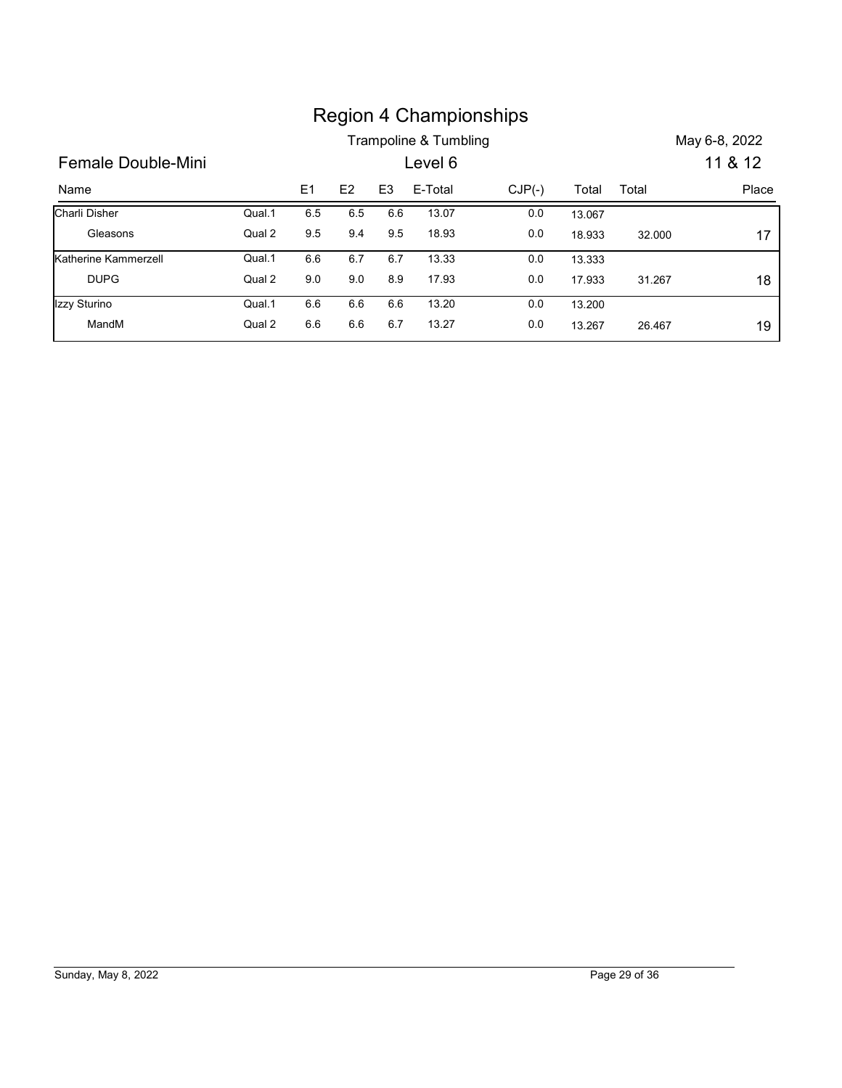|                      |        |                |     |                | <b>Region 4 Championships</b><br>Trampoline & Tumbling |          |        |        | May 6-8, 2022 |
|----------------------|--------|----------------|-----|----------------|--------------------------------------------------------|----------|--------|--------|---------------|
| Female Double-Mini   |        |                |     |                | Level 6                                                |          |        |        | 11 & 12       |
| Name                 |        | E <sub>1</sub> | E2  | E <sub>3</sub> | E-Total                                                | $CJP(-)$ | Total  | Total  | Place         |
| Charli Disher        | Qual.1 | 6.5            | 6.5 | 6.6            | 13.07                                                  | 0.0      | 13.067 |        |               |
| Gleasons             | Qual 2 | $9.5\,$        | 9.4 | $9.5\,$        | 18.93                                                  | $0.0\,$  | 18.933 | 32.000 | 17            |
| Katherine Kammerzell | Qual.1 | $6.6\,$        | 6.7 | 6.7            | 13.33                                                  | 0.0      | 13.333 |        |               |
| <b>DUPG</b>          | Qual 2 | $9.0\,$        | 9.0 | $8.9\,$        | 17.93                                                  | $0.0\,$  | 17.933 | 31.267 | 18            |
| Izzy Sturino         | Qual.1 | 6.6            | 6.6 | 6.6            | 13.20                                                  | $0.0\,$  | 13.200 |        |               |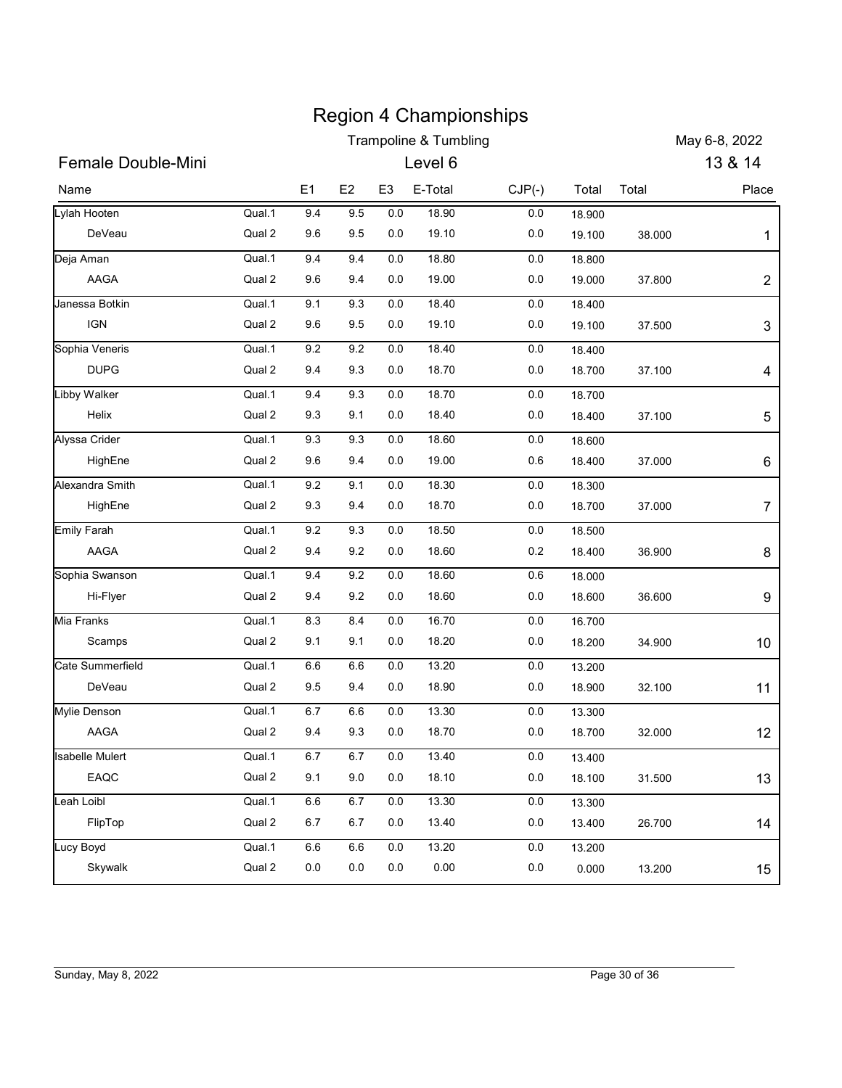|                        |        |         |         |                | <b>Region 4 Championships</b>    |          |        |        |                |
|------------------------|--------|---------|---------|----------------|----------------------------------|----------|--------|--------|----------------|
|                        |        |         |         |                | <b>Trampoline &amp; Tumbling</b> |          |        |        | May 6-8, 2022  |
| Female Double-Mini     |        |         |         |                | Level 6                          |          |        |        | 13 & 14        |
| Name                   |        | E1      | E2      | E <sub>3</sub> | E-Total                          | $CJP(-)$ | Total  | Total  | Place          |
| Lylah Hooten           | Qual.1 | 9.4     | 9.5     | $0.0\,$        | 18.90                            | 0.0      | 18.900 |        |                |
| DeVeau                 | Qual 2 | 9.6     | 9.5     | 0.0            | 19.10                            | 0.0      | 19.100 | 38.000 | 1              |
| Deja Aman              | Qual.1 | 9.4     | 9.4     | 0.0            | 18.80                            | 0.0      | 18.800 |        |                |
| AAGA                   | Qual 2 | 9.6     | 9.4     | 0.0            | 19.00                            | 0.0      | 19.000 | 37.800 | $\overline{c}$ |
| Janessa Botkin         | Qual.1 | 9.1     | 9.3     | 0.0            | 18.40                            | 0.0      | 18.400 |        |                |
| <b>IGN</b>             | Qual 2 | 9.6     | 9.5     | 0.0            | 19.10                            | 0.0      | 19.100 | 37.500 | 3              |
| Sophia Veneris         | Qual.1 | 9.2     | 9.2     | 0.0            | 18.40                            | 0.0      | 18.400 |        |                |
| <b>DUPG</b>            | Qual 2 | 9.4     | 9.3     | 0.0            | 18.70                            | 0.0      | 18.700 | 37.100 | 4              |
| Libby Walker           | Qual.1 | 9.4     | 9.3     | 0.0            | 18.70                            | 0.0      | 18.700 |        |                |
| Helix                  | Qual 2 | 9.3     | 9.1     | 0.0            | 18.40                            | $0.0\,$  | 18.400 | 37.100 | 5              |
| Alyssa Crider          | Qual.1 | 9.3     | 9.3     | 0.0            | 18.60                            | 0.0      | 18.600 |        |                |
| HighEne                | Qual 2 | 9.6     | 9.4     | $0.0\,$        | 19.00                            | $0.6\,$  | 18.400 | 37.000 | 6              |
| Alexandra Smith        | Qual.1 | 9.2     | 9.1     | $0.0\,$        | 18.30                            | $0.0\,$  | 18.300 |        |                |
| HighEne                | Qual 2 | $9.3\,$ | 9.4     | 0.0            | 18.70                            | 0.0      | 18.700 | 37.000 | 7              |
| <b>Emily Farah</b>     | Qual.1 | $9.2\,$ | 9.3     | $0.0\,$        | 18.50                            | $0.0\,$  | 18.500 |        |                |
| AAGA                   | Qual 2 | 9.4     | 9.2     | 0.0            | 18.60                            | 0.2      | 18.400 | 36.900 | 8              |
| Sophia Swanson         | Qual.1 | 9.4     | 9.2     | $0.0\,$        | 18.60                            | $0.6\,$  | 18.000 |        |                |
| Hi-Flyer               | Qual 2 | 9.4     | 9.2     | 0.0            | 18.60                            | 0.0      | 18.600 | 36.600 | 9              |
| Mia Franks             | Qual.1 | 8.3     | 8.4     | $0.0\,$        | 16.70                            | $0.0\,$  | 16.700 |        |                |
| Scamps                 | Qual 2 | 9.1     | 9.1     | 0.0            | 18.20                            | $0.0\,$  | 18.200 | 34.900 | $10$           |
| Cate Summerfield       | Qual.1 | $6.6\,$ | $6.6\,$ | $0.0\,$        | 13.20                            | 0.0      | 13.200 |        |                |
| DeVeau                 | Qual 2 | 9.5     | 9.4     | 0.0            | 18.90                            | 0.0      | 18.900 | 32.100 | 11             |
| Mylie Denson           | Qual.1 | $6.7\,$ | $6.6\,$ | $0.0\,$        | 13.30                            | $0.0\,$  | 13.300 |        |                |
| AAGA                   | Qual 2 | 9.4     | 9.3     | 0.0            | 18.70                            | 0.0      | 18.700 | 32.000 | 12             |
| <b>Isabelle Mulert</b> | Qual.1 | $6.7\,$ | 6.7     | $0.0\,$        | 13.40                            | $0.0\,$  | 13.400 |        |                |
| EAQC                   | Qual 2 | 9.1     | 9.0     | 0.0            | 18.10                            | 0.0      | 18.100 | 31.500 | 13             |
| Leah Loibl             | Qual.1 | $6.6\,$ | $6.7\,$ | $0.0\,$        | 13.30                            | $0.0\,$  | 13.300 |        |                |
| FlipTop                | Qual 2 | $6.7\,$ | $6.7\,$ | 0.0            | 13.40                            | 0.0      | 13.400 | 26.700 | 14             |
|                        |        |         |         |                |                                  | $0.0\,$  | 13.200 |        |                |
| Lucy Boyd              | Qual.1 | $6.6\,$ | $6.6\,$ | $0.0\,$        | 13.20                            |          |        |        |                |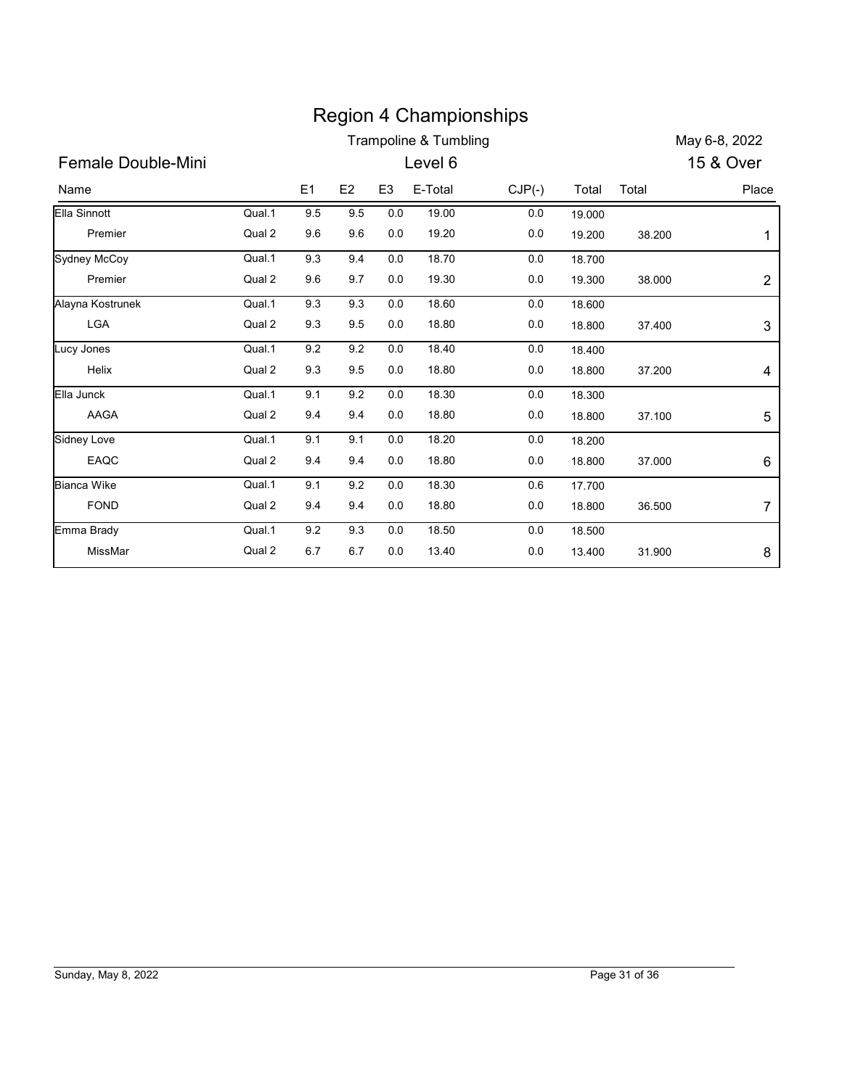|                     |        |                |                |                | <b>Region 4 Championships</b>    |          |        |        |                |
|---------------------|--------|----------------|----------------|----------------|----------------------------------|----------|--------|--------|----------------|
|                     |        |                |                |                | <b>Trampoline &amp; Tumbling</b> |          |        |        | May 6-8, 2022  |
| Female Double-Mini  |        |                |                |                | Level 6                          |          |        |        | 15 & Over      |
| Name                |        | E <sub>1</sub> | E <sub>2</sub> | E <sub>3</sub> | E-Total                          | $CJP(-)$ | Total  | Total  | Place          |
| Ella Sinnott        | Qual.1 | 9.5            | 9.5            | 0.0            | 19.00                            | $0.0\,$  | 19.000 |        |                |
| Premier             | Qual 2 | 9.6            | 9.6            | 0.0            | 19.20                            | 0.0      | 19.200 | 38.200 | 1              |
| <b>Sydney McCoy</b> | Qual.1 | 9.3            | 9.4            | 0.0            | 18.70                            | 0.0      | 18.700 |        |                |
| Premier             | Qual 2 | 9.6            | 9.7            | 0.0            | 19.30                            | 0.0      | 19.300 | 38.000 | 2              |
| Alayna Kostrunek    | Qual.1 | 9.3            | 9.3            | $0.0\,$        | 18.60                            | 0.0      | 18.600 |        |                |
| <b>LGA</b>          | Qual 2 | 9.3            | 9.5            | 0.0            | 18.80                            | 0.0      | 18.800 | 37.400 | 3              |
| Lucy Jones          | Qual.1 | 9.2            | 9.2            | 0.0            | 18.40                            | 0.0      | 18.400 |        |                |
| Helix               | Qual 2 | 9.3            | 9.5            | 0.0            | 18.80                            | 0.0      | 18.800 | 37.200 | 4              |
| Ella Junck          | Qual.1 | 9.1            | 9.2            | 0.0            | 18.30                            | 0.0      | 18.300 |        |                |
| AAGA                | Qual 2 | 9.4            | 9.4            | 0.0            | 18.80                            | 0.0      | 18.800 | 37.100 | 5              |
| Sidney Love         | Qual.1 | 9.1            | 9.1            | $0.0\,$        | 18.20                            | $0.0\,$  | 18.200 |        |                |
| EAQC                | Qual 2 | 9.4            | 9.4            | $0.0\,$        | 18.80                            | $0.0\,$  | 18.800 | 37.000 | 6              |
| <b>Bianca Wike</b>  | Qual.1 | 9.1            | 9.2            | $0.0\,$        | 18.30                            | $0.6\,$  | 17.700 |        |                |
| FOND                | Qual 2 | 9.4            | 9.4            | $0.0\,$        | 18.80                            | 0.0      | 18.800 | 36.500 | $\overline{7}$ |
|                     | Qual.1 | 9.2            | 9.3            | $0.0\,$        | 18.50                            | 0.0      | 18.500 |        |                |
| Emma Brady          |        | 6.7            | 6.7            | $0.0\,$        | 13.40                            | 0.0      | 13.400 | 31.900 | 8              |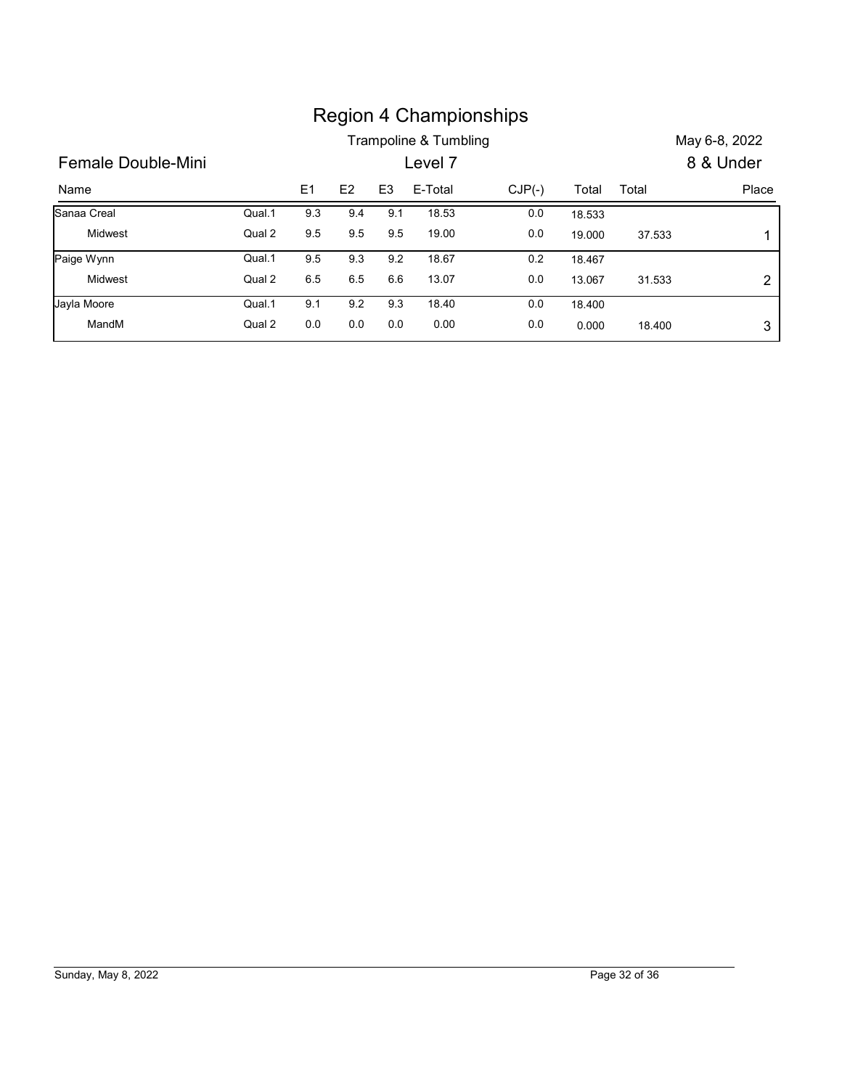|                    |        |                |                |                |                       | <b>Region 4 Championships</b> |        |        |               |
|--------------------|--------|----------------|----------------|----------------|-----------------------|-------------------------------|--------|--------|---------------|
|                    |        |                |                |                | Trampoline & Tumbling |                               |        |        | May 6-8, 2022 |
| Female Double-Mini |        |                |                |                | Level 7               |                               |        |        | 8 & Under     |
| Name               |        | E <sub>1</sub> | E <sub>2</sub> | E <sub>3</sub> | E-Total               | $CJP(-)$                      | Total  | Total  | Place         |
| Sanaa Creal        | Qual.1 | 9.3            | 9.4            | 9.1            | 18.53                 | $0.0\,$                       | 18.533 |        |               |
| Midwest            | Qual 2 | $9.5\,$        | 9.5            | 9.5            | 19.00                 | 0.0                           | 19.000 | 37.533 | 1             |
| Paige Wynn         | Qual.1 | 9.5            | 9.3            | 9.2            | 18.67                 | 0.2                           | 18.467 |        |               |
| Midwest            | Qual 2 | 6.5            | 6.5            | 6.6            | 13.07                 | 0.0                           | 13.067 | 31.533 | $\sqrt{2}$    |
| Jayla Moore        | Qual.1 | 9.1            | 9.2            | 9.3            | 18.40                 | 0.0                           | 18.400 |        |               |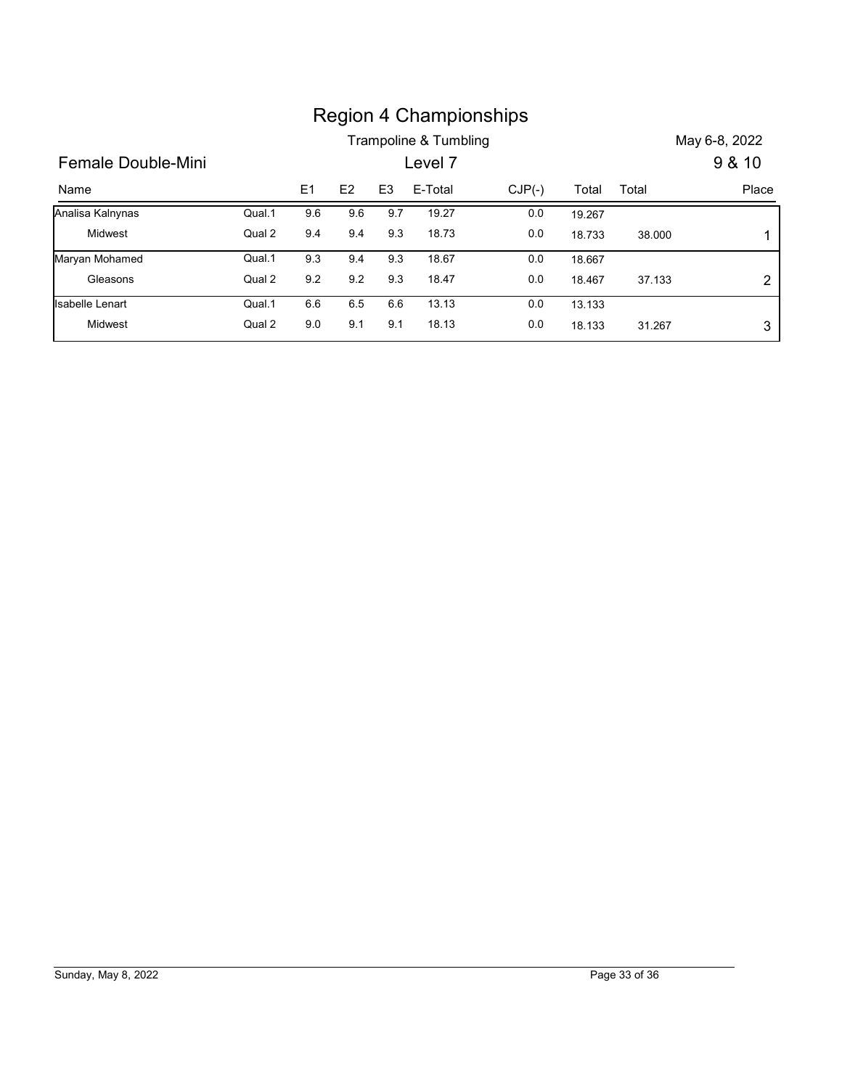|                        |        |         |                |                |                                  | <b>Region 4 Championships</b> |        |        |                         |
|------------------------|--------|---------|----------------|----------------|----------------------------------|-------------------------------|--------|--------|-------------------------|
| Female Double-Mini     |        |         |                |                | Trampoline & Tumbling<br>Level 7 |                               |        |        | May 6-8, 2022<br>9 & 10 |
| Name                   |        | E1      | E <sub>2</sub> | E <sub>3</sub> | E-Total                          | $CJP(-)$                      | Total  | Total  | Place                   |
| Analisa Kalnynas       | Qual.1 | 9.6     | 9.6            | 9.7            | 19.27                            | 0.0                           | 19.267 |        |                         |
| Midwest                | Qual 2 | 9.4     | 9.4            | 9.3            | 18.73                            | 0.0                           | 18.733 | 38.000 | 1                       |
| Maryan Mohamed         | Qual.1 | 9.3     | 9.4            | 9.3            | 18.67                            | 0.0                           | 18.667 |        |                         |
| Gleasons               | Qual 2 | 9.2     | 9.2            | 9.3            | 18.47                            | 0.0                           | 18.467 | 37.133 | $\overline{\mathbf{c}}$ |
| <b>Isabelle Lenart</b> | Qual.1 | $6.6\,$ | $6.5\,$        | 6.6            | 13.13                            | 0.0                           | 13.133 |        |                         |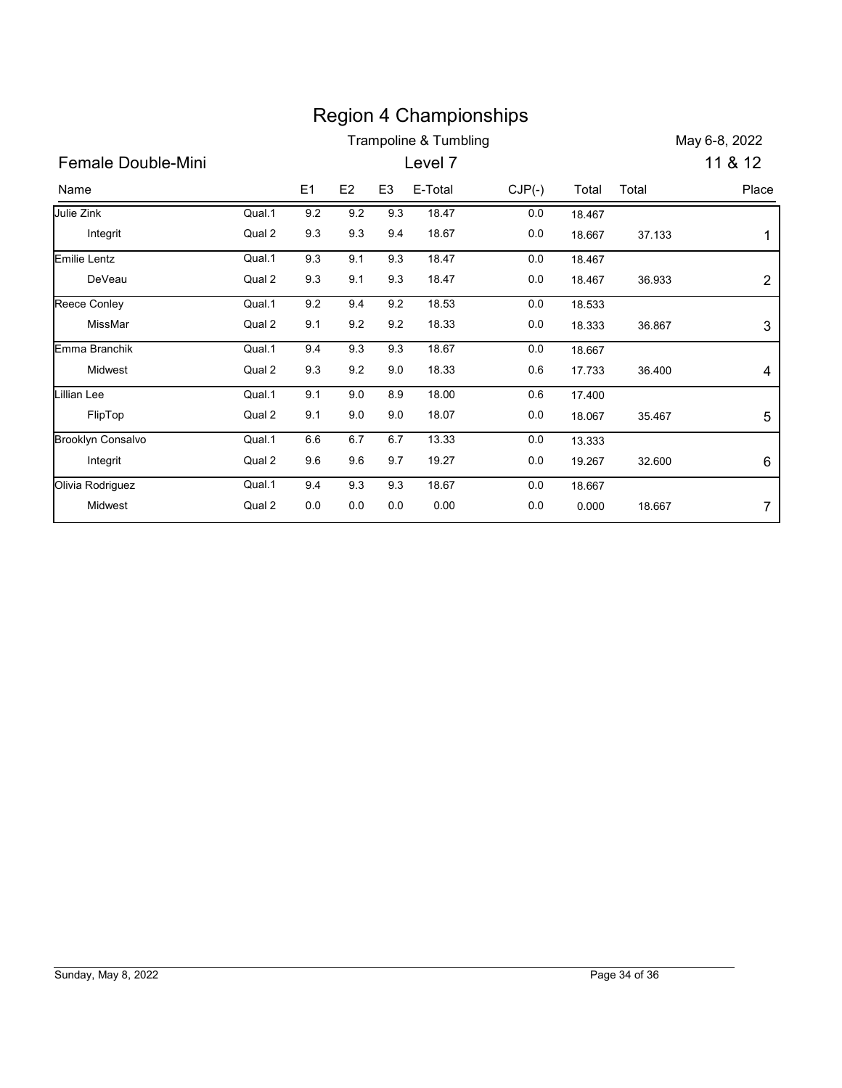|                             |                  |                |            |                |                                  | <b>Region 4 Championships</b> |                 |        |                |
|-----------------------------|------------------|----------------|------------|----------------|----------------------------------|-------------------------------|-----------------|--------|----------------|
|                             |                  |                |            |                | <b>Trampoline &amp; Tumbling</b> |                               |                 |        | May 6-8, 2022  |
| Female Double-Mini          |                  |                |            |                | Level 7                          |                               |                 |        | 11 & 12        |
|                             |                  |                | E2         | E <sub>3</sub> | E-Total                          |                               |                 |        | Place          |
| Name                        |                  | E1             |            |                |                                  | $CJP(-)$                      | Total           | Total  |                |
| Julie Zink                  | Qual.1           | 9.2            | 9.2        | 9.3            | 18.47                            | 0.0                           | 18.467          |        |                |
| Integrit                    | Qual 2           | 9.3            | 9.3        | 9.4            | 18.67                            | 0.0                           | 18.667          | 37.133 | $\mathbf{1}$   |
| <b>Emilie Lentz</b>         | Qual.1           | 9.3            | 9.1        | 9.3            | 18.47                            | 0.0                           | 18.467          |        |                |
| DeVeau                      | Qual 2           | 9.3            | 9.1        | 9.3            | 18.47                            | 0.0                           | 18.467          | 36.933 | $\overline{c}$ |
| Reece Conley                | Qual.1           | 9.2            | 9.4        | 9.2            | 18.53                            | 0.0                           | 18.533          |        |                |
| MissMar                     | Qual 2           | 9.1            | 9.2        | 9.2            | 18.33                            | 0.0                           | 18.333          | 36.867 | 3              |
| Emma Branchik               | Qual.1           | 9.4            | 9.3        | 9.3            | 18.67                            | 0.0                           | 18.667          |        |                |
| Midwest                     | Qual 2           | 9.3            | 9.2        | 9.0            | 18.33                            | $0.6\,$                       | 17.733          | 36.400 | 4              |
| <b>Lillian Lee</b>          | Qual.1           | 9.1            | 9.0        | 8.9            | 18.00                            | 0.6                           | 17.400          |        |                |
| FlipTop                     | Qual 2           | 9.1            | 9.0        | 9.0            | 18.07                            | 0.0                           | 18.067          | 35.467 | 5              |
| <b>Brooklyn Consalvo</b>    | Qual.1           | 6.6            | 6.7        | 6.7            | 13.33                            | 0.0                           | 13.333          |        |                |
|                             | Qual 2           | 9.6            | 9.6        | 9.7            | 19.27                            | 0.0                           | 19.267          | 32.600 | 6              |
|                             |                  |                |            |                |                                  |                               |                 |        |                |
| Integrit                    |                  |                |            |                |                                  |                               |                 |        |                |
| Olivia Rodriguez<br>Midwest | Qual.1<br>Qual 2 | 9.4<br>$0.0\,$ | 9.3<br>0.0 | 9.3<br>0.0     | 18.67<br>0.00                    | 0.0<br>0.0                    | 18.667<br>0.000 | 18.667 | $\overline{7}$ |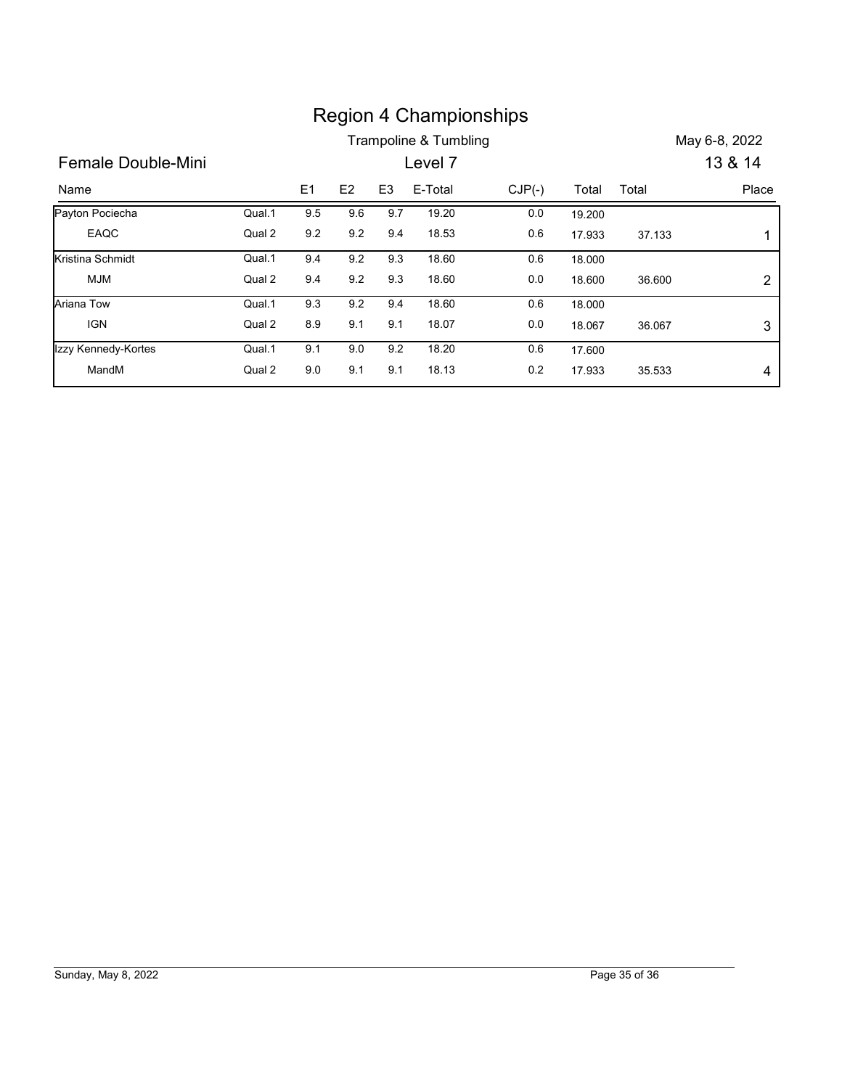|                     |        |     |         |                |                                  | <b>Region 4 Championships</b> |        |        |                          |
|---------------------|--------|-----|---------|----------------|----------------------------------|-------------------------------|--------|--------|--------------------------|
| Female Double-Mini  |        |     |         |                | Trampoline & Tumbling<br>Level 7 |                               |        |        | May 6-8, 2022<br>13 & 14 |
| Name                |        | E1  | E2      | E <sub>3</sub> | E-Total                          | $CJP(-)$                      | Total  | Total  | Place                    |
| Payton Pociecha     | Qual.1 | 9.5 | 9.6     | 9.7            | 19.20                            | 0.0                           | 19.200 |        |                          |
| EAQC                | Qual 2 | 9.2 | $9.2\,$ | 9.4            | 18.53                            | 0.6                           | 17.933 | 37.133 | 1                        |
| Kristina Schmidt    | Qual.1 | 9.4 | $9.2\,$ | 9.3            | 18.60                            | 0.6                           | 18.000 |        |                          |
| <b>MJM</b>          | Qual 2 | 9.4 | 9.2     | 9.3            | 18.60                            | 0.0                           | 18.600 | 36.600 | $\boldsymbol{2}$         |
| Ariana Tow          | Qual.1 | 9.3 | 9.2     | 9.4            | 18.60                            | 0.6                           | 18.000 |        |                          |
| <b>IGN</b>          | Qual 2 | 8.9 | 9.1     | 9.1            | 18.07                            | $0.0\,$                       | 18.067 | 36.067 | 3                        |
| Izzy Kennedy-Kortes | Qual.1 | 9.1 | 9.0     | 9.2            | 18.20                            | 0.6                           | 17.600 |        |                          |